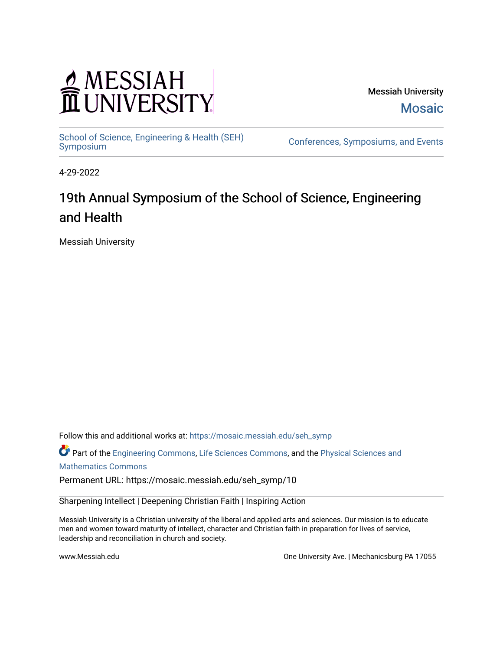# MESSIAH

Messiah University [Mosaic](https://mosaic.messiah.edu/) 

[School of Science, Engineering & Health \(SEH\)](https://mosaic.messiah.edu/seh_symp)<br>Symposium

Conferences, Symposiums, and Events

4-29-2022

# 19th Annual Symposium of the School of Science, Engineering and Health

Messiah University

Follow this and additional works at: [https://mosaic.messiah.edu/seh\\_symp](https://mosaic.messiah.edu/seh_symp?utm_source=mosaic.messiah.edu%2Fseh_symp%2F10&utm_medium=PDF&utm_campaign=PDFCoverPages)

Part of the [Engineering Commons](http://network.bepress.com/hgg/discipline/217?utm_source=mosaic.messiah.edu%2Fseh_symp%2F10&utm_medium=PDF&utm_campaign=PDFCoverPages), [Life Sciences Commons](http://network.bepress.com/hgg/discipline/1016?utm_source=mosaic.messiah.edu%2Fseh_symp%2F10&utm_medium=PDF&utm_campaign=PDFCoverPages), and the [Physical Sciences and](http://network.bepress.com/hgg/discipline/114?utm_source=mosaic.messiah.edu%2Fseh_symp%2F10&utm_medium=PDF&utm_campaign=PDFCoverPages) [Mathematics Commons](http://network.bepress.com/hgg/discipline/114?utm_source=mosaic.messiah.edu%2Fseh_symp%2F10&utm_medium=PDF&utm_campaign=PDFCoverPages)

Permanent URL: https://mosaic.messiah.edu/seh\_symp/10

Sharpening Intellect | Deepening Christian Faith | Inspiring Action

Messiah University is a Christian university of the liberal and applied arts and sciences. Our mission is to educate men and women toward maturity of intellect, character and Christian faith in preparation for lives of service, leadership and reconciliation in church and society.

www.Messiah.edu **One University Ave. | Mechanicsburg PA 17055**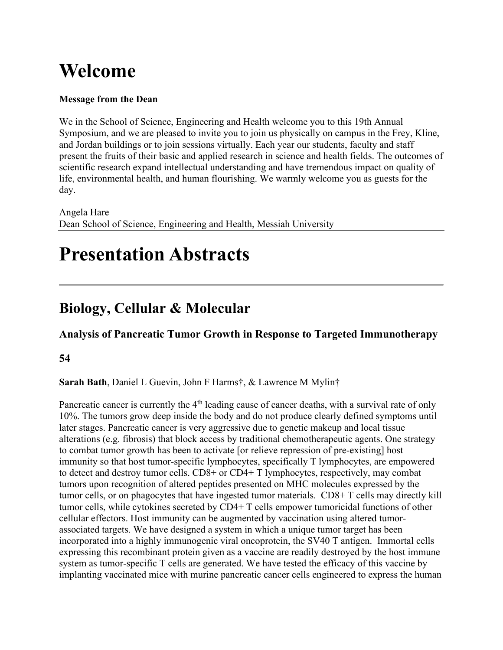# **Welcome**

## **Message from the Dean**

We in the School of Science, Engineering and Health welcome you to this 19th Annual Symposium, and we are pleased to invite you to join us physically on campus in the Frey, Kline, and Jordan buildings or to join sessions virtually. Each year our students, faculty and staff present the fruits of their basic and applied research in science and health fields. The outcomes of scientific research expand intellectual understanding and have tremendous impact on quality of life, environmental health, and human flourishing. We warmly welcome you as guests for the day.

Angela Hare Dean School of Science, Engineering and Health, Messiah University

# **Presentation Abstracts**

## **Biology, Cellular & Molecular**

## **Analysis of Pancreatic Tumor Growth in Response to Targeted Immunotherapy**

## **54**

**Sarah Bath**, Daniel L Guevin, John F Harms†, & Lawrence M Mylin†

Pancreatic cancer is currently the 4<sup>th</sup> leading cause of cancer deaths, with a survival rate of only 10%. The tumors grow deep inside the body and do not produce clearly defined symptoms until later stages. Pancreatic cancer is very aggressive due to genetic makeup and local tissue alterations (e.g. fibrosis) that block access by traditional chemotherapeutic agents. One strategy to combat tumor growth has been to activate [or relieve repression of pre-existing] host immunity so that host tumor-specific lymphocytes, specifically T lymphocytes, are empowered to detect and destroy tumor cells. CD8+ or CD4+ T lymphocytes, respectively, may combat tumors upon recognition of altered peptides presented on MHC molecules expressed by the tumor cells, or on phagocytes that have ingested tumor materials. CD8+ T cells may directly kill tumor cells, while cytokines secreted by CD4+ T cells empower tumoricidal functions of other cellular effectors. Host immunity can be augmented by vaccination using altered tumorassociated targets. We have designed a system in which a unique tumor target has been incorporated into a highly immunogenic viral oncoprotein, the SV40 T antigen. Immortal cells expressing this recombinant protein given as a vaccine are readily destroyed by the host immune system as tumor-specific T cells are generated. We have tested the efficacy of this vaccine by implanting vaccinated mice with murine pancreatic cancer cells engineered to express the human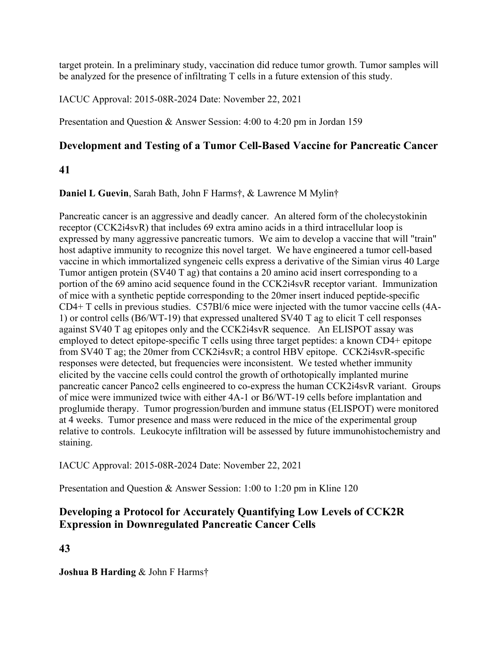target protein. In a preliminary study, vaccination did reduce tumor growth. Tumor samples will be analyzed for the presence of infiltrating T cells in a future extension of this study.

IACUC Approval: 2015-08R-2024 Date: November 22, 2021

Presentation and Question & Answer Session: 4:00 to 4:20 pm in Jordan 159

## **Development and Testing of a Tumor Cell-Based Vaccine for Pancreatic Cancer**

## **41**

**Daniel L Guevin**, Sarah Bath, John F Harms†, & Lawrence M Mylin†

Pancreatic cancer is an aggressive and deadly cancer. An altered form of the cholecystokinin receptor (CCK2i4svR) that includes 69 extra amino acids in a third intracellular loop is expressed by many aggressive pancreatic tumors. We aim to develop a vaccine that will "train" host adaptive immunity to recognize this novel target. We have engineered a tumor cell-based vaccine in which immortalized syngeneic cells express a derivative of the Simian virus 40 Large Tumor antigen protein (SV40 T ag) that contains a 20 amino acid insert corresponding to a portion of the 69 amino acid sequence found in the CCK2i4svR receptor variant. Immunization of mice with a synthetic peptide corresponding to the 20mer insert induced peptide-specific CD4+ T cells in previous studies. C57Bl/6 mice were injected with the tumor vaccine cells (4A-1) or control cells (B6/WT-19) that expressed unaltered SV40 T ag to elicit T cell responses against SV40 T ag epitopes only and the CCK2i4svR sequence. An ELISPOT assay was employed to detect epitope-specific T cells using three target peptides: a known CD4+ epitope from SV40 T ag; the 20mer from CCK2i4svR; a control HBV epitope. CCK2i4svR-specific responses were detected, but frequencies were inconsistent. We tested whether immunity elicited by the vaccine cells could control the growth of orthotopically implanted murine pancreatic cancer Panco2 cells engineered to co-express the human CCK2i4svR variant. Groups of mice were immunized twice with either 4A-1 or B6/WT-19 cells before implantation and proglumide therapy. Tumor progression/burden and immune status (ELISPOT) were monitored at 4 weeks. Tumor presence and mass were reduced in the mice of the experimental group relative to controls. Leukocyte infiltration will be assessed by future immunohistochemistry and staining.

IACUC Approval: 2015-08R-2024 Date: November 22, 2021

Presentation and Question & Answer Session: 1:00 to 1:20 pm in Kline 120

## **Developing a Protocol for Accurately Quantifying Low Levels of CCK2R Expression in Downregulated Pancreatic Cancer Cells**

**43**

**Joshua B Harding** & John F Harms†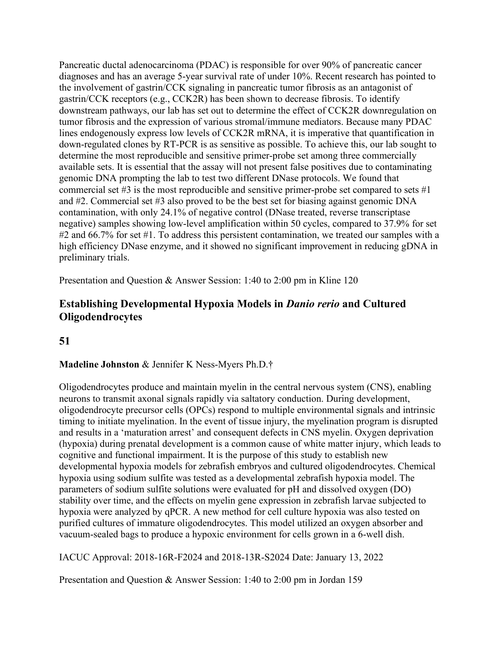Pancreatic ductal adenocarcinoma (PDAC) is responsible for over 90% of pancreatic cancer diagnoses and has an average 5-year survival rate of under 10%. Recent research has pointed to the involvement of gastrin/CCK signaling in pancreatic tumor fibrosis as an antagonist of gastrin/CCK receptors (e.g., CCK2R) has been shown to decrease fibrosis. To identify downstream pathways, our lab has set out to determine the effect of CCK2R downregulation on tumor fibrosis and the expression of various stromal/immune mediators. Because many PDAC lines endogenously express low levels of CCK2R mRNA, it is imperative that quantification in down-regulated clones by RT-PCR is as sensitive as possible. To achieve this, our lab sought to determine the most reproducible and sensitive primer-probe set among three commercially available sets. It is essential that the assay will not present false positives due to contaminating genomic DNA prompting the lab to test two different DNase protocols. We found that commercial set  $#3$  is the most reproducible and sensitive primer-probe set compared to sets  $#1$ and #2. Commercial set #3 also proved to be the best set for biasing against genomic DNA contamination, with only 24.1% of negative control (DNase treated, reverse transcriptase negative) samples showing low-level amplification within 50 cycles, compared to 37.9% for set #2 and 66.7% for set #1. To address this persistent contamination, we treated our samples with a high efficiency DNase enzyme, and it showed no significant improvement in reducing gDNA in preliminary trials.

Presentation and Question & Answer Session: 1:40 to 2:00 pm in Kline 120

## **Establishing Developmental Hypoxia Models in** *Danio rerio* **and Cultured Oligodendrocytes**

## **51**

## **Madeline Johnston** & Jennifer K Ness-Myers Ph.D.†

Oligodendrocytes produce and maintain myelin in the central nervous system (CNS), enabling neurons to transmit axonal signals rapidly via saltatory conduction. During development, oligodendrocyte precursor cells (OPCs) respond to multiple environmental signals and intrinsic timing to initiate myelination. In the event of tissue injury, the myelination program is disrupted and results in a 'maturation arrest' and consequent defects in CNS myelin. Oxygen deprivation (hypoxia) during prenatal development is a common cause of white matter injury, which leads to cognitive and functional impairment. It is the purpose of this study to establish new developmental hypoxia models for zebrafish embryos and cultured oligodendrocytes. Chemical hypoxia using sodium sulfite was tested as a developmental zebrafish hypoxia model. The parameters of sodium sulfite solutions were evaluated for pH and dissolved oxygen (DO) stability over time, and the effects on myelin gene expression in zebrafish larvae subjected to hypoxia were analyzed by qPCR. A new method for cell culture hypoxia was also tested on purified cultures of immature oligodendrocytes. This model utilized an oxygen absorber and vacuum-sealed bags to produce a hypoxic environment for cells grown in a 6-well dish.

IACUC Approval: 2018-16R-F2024 and 2018-13R-S2024 Date: January 13, 2022

Presentation and Question & Answer Session: 1:40 to 2:00 pm in Jordan 159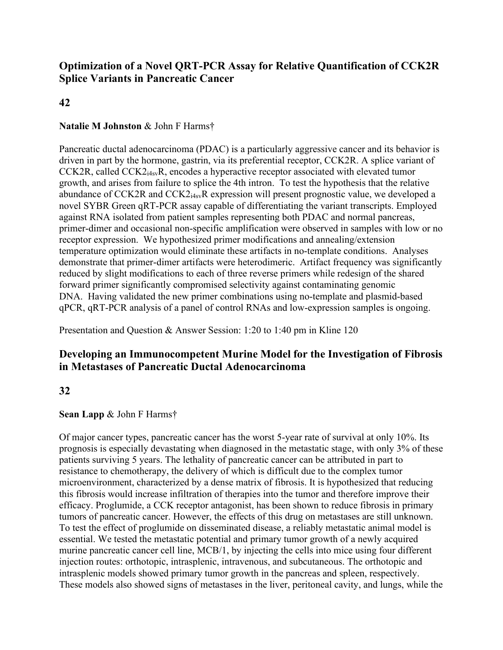## **Optimization of a Novel QRT-PCR Assay for Relative Quantification of CCK2R Splice Variants in Pancreatic Cancer**

## **42**

## **Natalie M Johnston** & John F Harms†

Pancreatic ductal adenocarcinoma (PDAC) is a particularly aggressive cancer and its behavior is driven in part by the hormone, gastrin, via its preferential receptor, CCK2R. A splice variant of CCK2R, called CCK2i4svR, encodes a hyperactive receptor associated with elevated tumor growth, and arises from failure to splice the 4th intron. To test the hypothesis that the relative abundance of CCK2R and CCK2i4svR expression will present prognostic value, we developed a novel SYBR Green qRT-PCR assay capable of differentiating the variant transcripts. Employed against RNA isolated from patient samples representing both PDAC and normal pancreas, primer-dimer and occasional non-specific amplification were observed in samples with low or no receptor expression. We hypothesized primer modifications and annealing/extension temperature optimization would eliminate these artifacts in no-template conditions. Analyses demonstrate that primer-dimer artifacts were heterodimeric. Artifact frequency was significantly reduced by slight modifications to each of three reverse primers while redesign of the shared forward primer significantly compromised selectivity against contaminating genomic DNA. Having validated the new primer combinations using no-template and plasmid-based qPCR, qRT-PCR analysis of a panel of control RNAs and low-expression samples is ongoing.

Presentation and Question & Answer Session: 1:20 to 1:40 pm in Kline 120

## **Developing an Immunocompetent Murine Model for the Investigation of Fibrosis in Metastases of Pancreatic Ductal Adenocarcinoma**

## **32**

## **Sean Lapp** & John F Harms†

Of major cancer types, pancreatic cancer has the worst 5-year rate of survival at only 10%. Its prognosis is especially devastating when diagnosed in the metastatic stage, with only 3% of these patients surviving 5 years. The lethality of pancreatic cancer can be attributed in part to resistance to chemotherapy, the delivery of which is difficult due to the complex tumor microenvironment, characterized by a dense matrix of fibrosis. It is hypothesized that reducing this fibrosis would increase infiltration of therapies into the tumor and therefore improve their efficacy. Proglumide, a CCK receptor antagonist, has been shown to reduce fibrosis in primary tumors of pancreatic cancer. However, the effects of this drug on metastases are still unknown. To test the effect of proglumide on disseminated disease, a reliably metastatic animal model is essential. We tested the metastatic potential and primary tumor growth of a newly acquired murine pancreatic cancer cell line, MCB/1, by injecting the cells into mice using four different injection routes: orthotopic, intrasplenic, intravenous, and subcutaneous. The orthotopic and intrasplenic models showed primary tumor growth in the pancreas and spleen, respectively. These models also showed signs of metastases in the liver, peritoneal cavity, and lungs, while the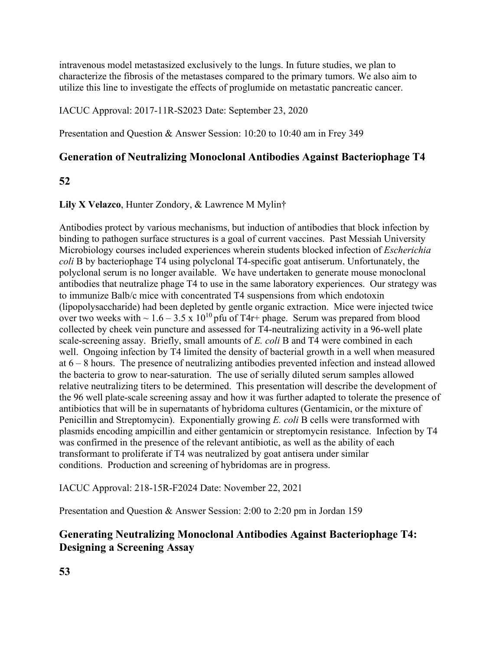intravenous model metastasized exclusively to the lungs. In future studies, we plan to characterize the fibrosis of the metastases compared to the primary tumors. We also aim to utilize this line to investigate the effects of proglumide on metastatic pancreatic cancer.

IACUC Approval: 2017-11R-S2023 Date: September 23, 2020

Presentation and Question & Answer Session: 10:20 to 10:40 am in Frey 349

## **Generation of Neutralizing Monoclonal Antibodies Against Bacteriophage T4**

## **52**

**Lily X Velazco**, Hunter Zondory, & Lawrence M Mylin†

Antibodies protect by various mechanisms, but induction of antibodies that block infection by binding to pathogen surface structures is a goal of current vaccines. Past Messiah University Microbiology courses included experiences wherein students blocked infection of *Escherichia coli* B by bacteriophage T4 using polyclonal T4-specific goat antiserum. Unfortunately, the polyclonal serum is no longer available. We have undertaken to generate mouse monoclonal antibodies that neutralize phage T4 to use in the same laboratory experiences. Our strategy was to immunize Balb/c mice with concentrated T4 suspensions from which endotoxin (lipopolysaccharide) had been depleted by gentle organic extraction. Mice were injected twice over two weeks with  $\sim 1.6 - 3.5 \times 10^{10}$  pfu of T4r+ phage. Serum was prepared from blood collected by cheek vein puncture and assessed for T4-neutralizing activity in a 96-well plate scale-screening assay. Briefly, small amounts of *E. coli* B and T4 were combined in each well. Ongoing infection by T4 limited the density of bacterial growth in a well when measured at 6 – 8 hours. The presence of neutralizing antibodies prevented infection and instead allowed the bacteria to grow to near-saturation. The use of serially diluted serum samples allowed relative neutralizing titers to be determined. This presentation will describe the development of the 96 well plate-scale screening assay and how it was further adapted to tolerate the presence of antibiotics that will be in supernatants of hybridoma cultures (Gentamicin, or the mixture of Penicillin and Streptomycin). Exponentially growing *E. coli* B cells were transformed with plasmids encoding ampicillin and either gentamicin or streptomycin resistance. Infection by T4 was confirmed in the presence of the relevant antibiotic, as well as the ability of each transformant to proliferate if T4 was neutralized by goat antisera under similar conditions. Production and screening of hybridomas are in progress.

IACUC Approval: 218-15R-F2024 Date: November 22, 2021

Presentation and Question & Answer Session: 2:00 to 2:20 pm in Jordan 159

## **Generating Neutralizing Monoclonal Antibodies Against Bacteriophage T4: Designing a Screening Assay**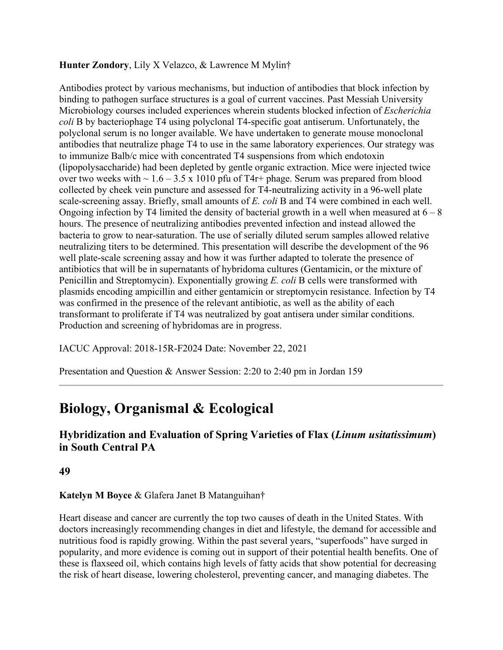## **Hunter Zondory**, Lily X Velazco, & Lawrence M Mylin†

Antibodies protect by various mechanisms, but induction of antibodies that block infection by binding to pathogen surface structures is a goal of current vaccines. Past Messiah University Microbiology courses included experiences wherein students blocked infection of *Escherichia coli* B by bacteriophage T4 using polyclonal T4-specific goat antiserum. Unfortunately, the polyclonal serum is no longer available. We have undertaken to generate mouse monoclonal antibodies that neutralize phage T4 to use in the same laboratory experiences. Our strategy was to immunize Balb/c mice with concentrated T4 suspensions from which endotoxin (lipopolysaccharide) had been depleted by gentle organic extraction. Mice were injected twice over two weeks with  $\sim 1.6 - 3.5 \times 1010$  pfu of T4r+ phage. Serum was prepared from blood collected by cheek vein puncture and assessed for T4-neutralizing activity in a 96-well plate scale-screening assay. Briefly, small amounts of *E. coli* B and T4 were combined in each well. Ongoing infection by T4 limited the density of bacterial growth in a well when measured at  $6 - 8$ hours. The presence of neutralizing antibodies prevented infection and instead allowed the bacteria to grow to near-saturation. The use of serially diluted serum samples allowed relative neutralizing titers to be determined. This presentation will describe the development of the 96 well plate-scale screening assay and how it was further adapted to tolerate the presence of antibiotics that will be in supernatants of hybridoma cultures (Gentamicin, or the mixture of Penicillin and Streptomycin). Exponentially growing *E. coli* B cells were transformed with plasmids encoding ampicillin and either gentamicin or streptomycin resistance. Infection by T4 was confirmed in the presence of the relevant antibiotic, as well as the ability of each transformant to proliferate if T4 was neutralized by goat antisera under similar conditions. Production and screening of hybridomas are in progress.

IACUC Approval: 2018-15R-F2024 Date: November 22, 2021

Presentation and Question & Answer Session: 2:20 to 2:40 pm in Jordan 159

## **Biology, Organismal & Ecological**

## **Hybridization and Evaluation of Spring Varieties of Flax (***Linum usitatissimum***) in South Central PA**

## **49**

## **Katelyn M Boyce** & Glafera Janet B Matanguihan†

Heart disease and cancer are currently the top two causes of death in the United States. With doctors increasingly recommending changes in diet and lifestyle, the demand for accessible and nutritious food is rapidly growing. Within the past several years, "superfoods" have surged in popularity, and more evidence is coming out in support of their potential health benefits. One of these is flaxseed oil, which contains high levels of fatty acids that show potential for decreasing the risk of heart disease, lowering cholesterol, preventing cancer, and managing diabetes. The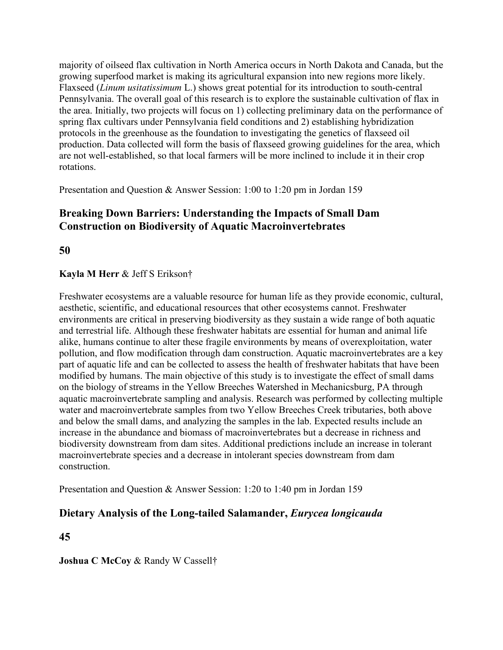majority of oilseed flax cultivation in North America occurs in North Dakota and Canada, but the growing superfood market is making its agricultural expansion into new regions more likely. Flaxseed (*Linum usitatissimum* L.) shows great potential for its introduction to south-central Pennsylvania. The overall goal of this research is to explore the sustainable cultivation of flax in the area. Initially, two projects will focus on 1) collecting preliminary data on the performance of spring flax cultivars under Pennsylvania field conditions and 2) establishing hybridization protocols in the greenhouse as the foundation to investigating the genetics of flaxseed oil production. Data collected will form the basis of flaxseed growing guidelines for the area, which are not well-established, so that local farmers will be more inclined to include it in their crop rotations.

Presentation and Question & Answer Session: 1:00 to 1:20 pm in Jordan 159

## **Breaking Down Barriers: Understanding the Impacts of Small Dam Construction on Biodiversity of Aquatic Macroinvertebrates**

**50**

## **Kayla M Herr** & Jeff S Erikson†

Freshwater ecosystems are a valuable resource for human life as they provide economic, cultural, aesthetic, scientific, and educational resources that other ecosystems cannot. Freshwater environments are critical in preserving biodiversity as they sustain a wide range of both aquatic and terrestrial life. Although these freshwater habitats are essential for human and animal life alike, humans continue to alter these fragile environments by means of overexploitation, water pollution, and flow modification through dam construction. Aquatic macroinvertebrates are a key part of aquatic life and can be collected to assess the health of freshwater habitats that have been modified by humans. The main objective of this study is to investigate the effect of small dams on the biology of streams in the Yellow Breeches Watershed in Mechanicsburg, PA through aquatic macroinvertebrate sampling and analysis. Research was performed by collecting multiple water and macroinvertebrate samples from two Yellow Breeches Creek tributaries, both above and below the small dams, and analyzing the samples in the lab. Expected results include an increase in the abundance and biomass of macroinvertebrates but a decrease in richness and biodiversity downstream from dam sites. Additional predictions include an increase in tolerant macroinvertebrate species and a decrease in intolerant species downstream from dam construction.

Presentation and Question & Answer Session: 1:20 to 1:40 pm in Jordan 159

## **Dietary Analysis of the Long-tailed Salamander,** *Eurycea longicauda*

**45**

**Joshua C McCoy** & Randy W Cassell†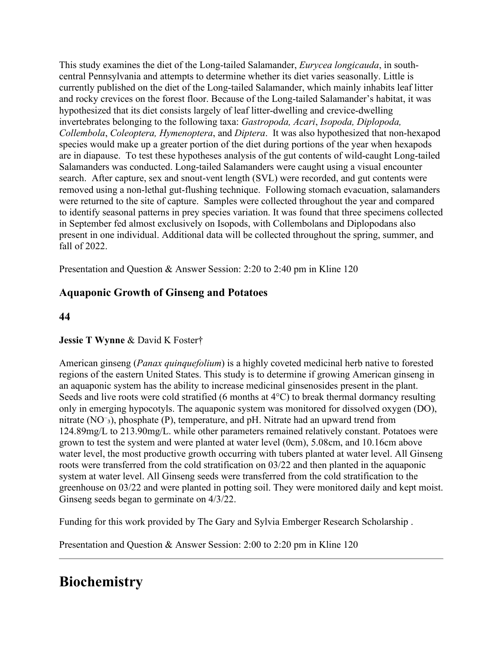This study examines the diet of the Long-tailed Salamander, *Eurycea longicauda*, in southcentral Pennsylvania and attempts to determine whether its diet varies seasonally. Little is currently published on the diet of the Long-tailed Salamander, which mainly inhabits leaf litter and rocky crevices on the forest floor. Because of the Long-tailed Salamander's habitat, it was hypothesized that its diet consists largely of leaf litter-dwelling and crevice-dwelling invertebrates belonging to the following taxa: *Gastropoda, Acari*, *Isopoda, Diplopoda, Collembola*, *Coleoptera, Hymenoptera*, and *Diptera*. It was also hypothesized that non-hexapod species would make up a greater portion of the diet during portions of the year when hexapods are in diapause. To test these hypotheses analysis of the gut contents of wild-caught Long-tailed Salamanders was conducted. Long-tailed Salamanders were caught using a visual encounter search. After capture, sex and snout-vent length (SVL) were recorded, and gut contents were removed using a non-lethal gut-flushing technique. Following stomach evacuation, salamanders were returned to the site of capture. Samples were collected throughout the year and compared to identify seasonal patterns in prey species variation. It was found that three specimens collected in September fed almost exclusively on Isopods, with Collembolans and Diplopodans also present in one individual. Additional data will be collected throughout the spring, summer, and fall of 2022.

Presentation and Question & Answer Session: 2:20 to 2:40 pm in Kline 120

## **Aquaponic Growth of Ginseng and Potatoes**

## **44**

## **Jessie T Wynne** & David K Foster†

American ginseng (*Panax quinquefolium*) is a highly coveted medicinal herb native to forested regions of the eastern United States. This study is to determine if growing American ginseng in an aquaponic system has the ability to increase medicinal ginsenosides present in the plant. Seeds and live roots were cold stratified (6 months at 4°C) to break thermal dormancy resulting only in emerging hypocotyls. The aquaponic system was monitored for dissolved oxygen (DO), nitrate (NO<sup>-</sup>3), phosphate (P), temperature, and pH. Nitrate had an upward trend from 124.89mg/L to 213.90mg/L. while other parameters remained relatively constant. Potatoes were grown to test the system and were planted at water level (0cm), 5.08cm, and 10.16cm above water level, the most productive growth occurring with tubers planted at water level. All Ginseng roots were transferred from the cold stratification on 03/22 and then planted in the aquaponic system at water level. All Ginseng seeds were transferred from the cold stratification to the greenhouse on 03/22 and were planted in potting soil. They were monitored daily and kept moist. Ginseng seeds began to germinate on 4/3/22.

Funding for this work provided by The Gary and Sylvia Emberger Research Scholarship .

Presentation and Question & Answer Session: 2:00 to 2:20 pm in Kline 120

## **Biochemistry**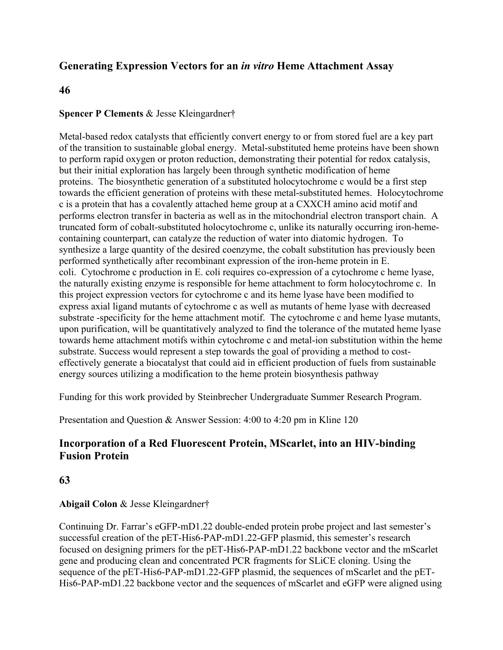## **Generating Expression Vectors for an** *in vitro* **Heme Attachment Assay**

#### **46**

## **Spencer P Clements** & Jesse Kleingardner†

Metal-based redox catalysts that efficiently convert energy to or from stored fuel are a key part of the transition to sustainable global energy. Metal-substituted heme proteins have been shown to perform rapid oxygen or proton reduction, demonstrating their potential for redox catalysis, but their initial exploration has largely been through synthetic modification of heme proteins. The biosynthetic generation of a substituted holocytochrome c would be a first step towards the efficient generation of proteins with these metal-substituted hemes. Holocytochrome c is a protein that has a covalently attached heme group at a CXXCH amino acid motif and performs electron transfer in bacteria as well as in the mitochondrial electron transport chain. A truncated form of cobalt-substituted holocytochrome c, unlike its naturally occurring iron-hemecontaining counterpart, can catalyze the reduction of water into diatomic hydrogen. To synthesize a large quantity of the desired coenzyme, the cobalt substitution has previously been performed synthetically after recombinant expression of the iron-heme protein in E. coli. Cytochrome c production in E. coli requires co-expression of a cytochrome c heme lyase, the naturally existing enzyme is responsible for heme attachment to form holocytochrome c. In this project expression vectors for cytochrome c and its heme lyase have been modified to express axial ligand mutants of cytochrome c as well as mutants of heme lyase with decreased substrate -specificity for the heme attachment motif. The cytochrome c and heme lyase mutants, upon purification, will be quantitatively analyzed to find the tolerance of the mutated heme lyase towards heme attachment motifs within cytochrome c and metal-ion substitution within the heme substrate. Success would represent a step towards the goal of providing a method to costeffectively generate a biocatalyst that could aid in efficient production of fuels from sustainable energy sources utilizing a modification to the heme protein biosynthesis pathway

Funding for this work provided by Steinbrecher Undergraduate Summer Research Program.

Presentation and Question & Answer Session: 4:00 to 4:20 pm in Kline 120

## **Incorporation of a Red Fluorescent Protein, MScarlet, into an HIV-binding Fusion Protein**

## **63**

## **Abigail Colon** & Jesse Kleingardner†

Continuing Dr. Farrar's eGFP-mD1.22 double-ended protein probe project and last semester's successful creation of the pET-His6-PAP-mD1.22-GFP plasmid, this semester's research focused on designing primers for the pET-His6-PAP-mD1.22 backbone vector and the mScarlet gene and producing clean and concentrated PCR fragments for SLiCE cloning. Using the sequence of the pET-His6-PAP-mD1.22-GFP plasmid, the sequences of mScarlet and the pET-His6-PAP-mD1.22 backbone vector and the sequences of mScarlet and eGFP were aligned using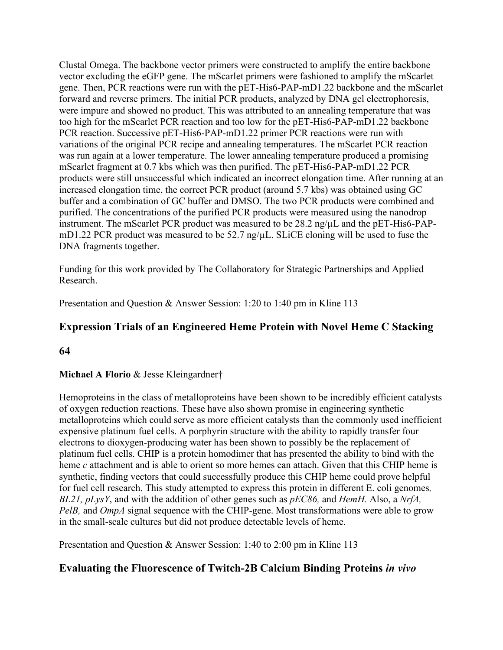Clustal Omega. The backbone vector primers were constructed to amplify the entire backbone vector excluding the eGFP gene. The mScarlet primers were fashioned to amplify the mScarlet gene. Then, PCR reactions were run with the pET-His6-PAP-mD1.22 backbone and the mScarlet forward and reverse primers. The initial PCR products, analyzed by DNA gel electrophoresis, were impure and showed no product. This was attributed to an annealing temperature that was too high for the mScarlet PCR reaction and too low for the pET-His6-PAP-mD1.22 backbone PCR reaction. Successive pET-His6-PAP-mD1.22 primer PCR reactions were run with variations of the original PCR recipe and annealing temperatures. The mScarlet PCR reaction was run again at a lower temperature. The lower annealing temperature produced a promising mScarlet fragment at 0.7 kbs which was then purified. The pET-His6-PAP-mD1.22 PCR products were still unsuccessful which indicated an incorrect elongation time. After running at an increased elongation time, the correct PCR product (around 5.7 kbs) was obtained using GC buffer and a combination of GC buffer and DMSO. The two PCR products were combined and purified. The concentrations of the purified PCR products were measured using the nanodrop instrument. The mScarlet PCR product was measured to be 28.2 ng/µL and the pET-His6-PAPmD1.22 PCR product was measured to be 52.7 ng/ $\mu$ L. SLiCE cloning will be used to fuse the DNA fragments together.

Funding for this work provided by The Collaboratory for Strategic Partnerships and Applied Research.

Presentation and Question & Answer Session: 1:20 to 1:40 pm in Kline 113

## **Expression Trials of an Engineered Heme Protein with Novel Heme C Stacking**

## **64**

## **Michael A Florio** & Jesse Kleingardner†

Hemoproteins in the class of metalloproteins have been shown to be incredibly efficient catalysts of oxygen reduction reactions. These have also shown promise in engineering synthetic metalloproteins which could serve as more efficient catalysts than the commonly used inefficient expensive platinum fuel cells. A porphyrin structure with the ability to rapidly transfer four electrons to dioxygen-producing water has been shown to possibly be the replacement of platinum fuel cells. CHIP is a protein homodimer that has presented the ability to bind with the heme *c* attachment and is able to orient so more hemes can attach. Given that this CHIP heme is synthetic, finding vectors that could successfully produce this CHIP heme could prove helpful for fuel cell research. This study attempted to express this protein in different E. coli genomes*, BL21, pLysY*, and with the addition of other genes such as *pEC86,* and *HemH.* Also, a *NrfA, PelB,* and *OmpA* signal sequence with the CHIP-gene. Most transformations were able to grow in the small-scale cultures but did not produce detectable levels of heme.

Presentation and Question & Answer Session: 1:40 to 2:00 pm in Kline 113

## **Evaluating the Fluorescence of Twitch-2B Calcium Binding Proteins** *in vivo*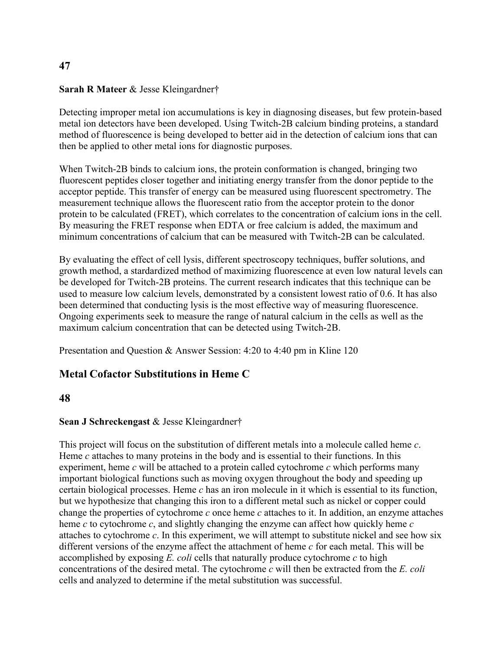## **47**

#### **Sarah R Mateer** & Jesse Kleingardner†

Detecting improper metal ion accumulations is key in diagnosing diseases, but few protein-based metal ion detectors have been developed. Using Twitch-2B calcium binding proteins, a standard method of fluorescence is being developed to better aid in the detection of calcium ions that can then be applied to other metal ions for diagnostic purposes.

When Twitch-2B binds to calcium ions, the protein conformation is changed, bringing two fluorescent peptides closer together and initiating energy transfer from the donor peptide to the acceptor peptide. This transfer of energy can be measured using fluorescent spectrometry. The measurement technique allows the fluorescent ratio from the acceptor protein to the donor protein to be calculated (FRET), which correlates to the concentration of calcium ions in the cell. By measuring the FRET response when EDTA or free calcium is added, the maximum and minimum concentrations of calcium that can be measured with Twitch-2B can be calculated.

By evaluating the effect of cell lysis, different spectroscopy techniques, buffer solutions, and growth method, a stardardized method of maximizing fluorescence at even low natural levels can be developed for Twitch-2B proteins. The current research indicates that this technique can be used to measure low calcium levels, demonstrated by a consistent lowest ratio of 0.6. It has also been determined that conducting lysis is the most effective way of measuring fluorescence. Ongoing experiments seek to measure the range of natural calcium in the cells as well as the maximum calcium concentration that can be detected using Twitch-2B.

Presentation and Question & Answer Session: 4:20 to 4:40 pm in Kline 120

## **Metal Cofactor Substitutions in Heme C**

## **48**

## **Sean J Schreckengast** & Jesse Kleingardner†

This project will focus on the substitution of different metals into a molecule called heme *c*. Heme *c* attaches to many proteins in the body and is essential to their functions. In this experiment, heme *c* will be attached to a protein called cytochrome *c* which performs many important biological functions such as moving oxygen throughout the body and speeding up certain biological processes. Heme *c* has an iron molecule in it which is essential to its function, but we hypothesize that changing this iron to a different metal such as nickel or copper could change the properties of cytochrome *c* once heme *c* attaches to it. In addition, an enzyme attaches heme *c* to cytochrome *c*, and slightly changing the enzyme can affect how quickly heme *c* attaches to cytochrome *c*. In this experiment, we will attempt to substitute nickel and see how six different versions of the enzyme affect the attachment of heme *c* for each metal. This will be accomplished by exposing *E. coli* cells that naturally produce cytochrome *c* to high concentrations of the desired metal. The cytochrome *c* will then be extracted from the *E. coli*  cells and analyzed to determine if the metal substitution was successful.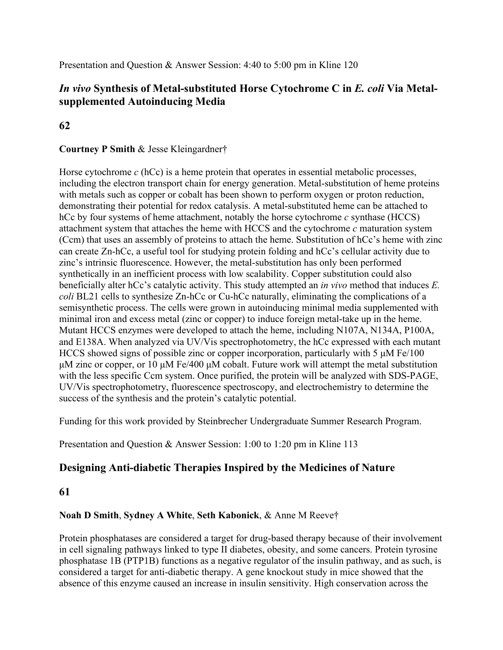## *In vivo* **Synthesis of Metal-substituted Horse Cytochrome C in** *E. coli* **Via Metalsupplemented Autoinducing Media**

## **62**

## **Courtney P Smith** & Jesse Kleingardner†

Horse cytochrome *c* (hCc) is a heme protein that operates in essential metabolic processes, including the electron transport chain for energy generation. Metal-substitution of heme proteins with metals such as copper or cobalt has been shown to perform oxygen or proton reduction, demonstrating their potential for redox catalysis. A metal-substituted heme can be attached to hCc by four systems of heme attachment, notably the horse cytochrome *c* synthase (HCCS) attachment system that attaches the heme with HCCS and the cytochrome *c* maturation system (Ccm) that uses an assembly of proteins to attach the heme. Substitution of hCc's heme with zinc can create Zn-hCc, a useful tool for studying protein folding and hCc's cellular activity due to zinc's intrinsic fluorescence. However, the metal-substitution has only been performed synthetically in an inefficient process with low scalability. Copper substitution could also beneficially alter hCc's catalytic activity. This study attempted an *in vivo* method that induces *E. coli* BL21 cells to synthesize Zn-hCc or Cu-hCc naturally, eliminating the complications of a semisynthetic process. The cells were grown in autoinducing minimal media supplemented with minimal iron and excess metal (zinc or copper) to induce foreign metal-take up in the heme. Mutant HCCS enzymes were developed to attach the heme, including N107A, N134A, P100A, and E138A. When analyzed via UV/Vis spectrophotometry, the hCc expressed with each mutant HCCS showed signs of possible zinc or copper incorporation, particularly with  $5 \mu M$  Fe/100 μM zinc or copper, or 10 μM Fe/400 μM cobalt. Future work will attempt the metal substitution with the less specific Ccm system. Once purified, the protein will be analyzed with SDS-PAGE, UV/Vis spectrophotometry, fluorescence spectroscopy, and electrochemistry to determine the success of the synthesis and the protein's catalytic potential.

Funding for this work provided by Steinbrecher Undergraduate Summer Research Program.

Presentation and Question & Answer Session: 1:00 to 1:20 pm in Kline 113

## **Designing Anti-diabetic Therapies Inspired by the Medicines of Nature**

## **61**

## **Noah D Smith**, **Sydney A White**, **Seth Kabonick**, & Anne M Reeve†

Protein phosphatases are considered a target for drug-based therapy because of their involvement in cell signaling pathways linked to type II diabetes, obesity, and some cancers. Protein tyrosine phosphatase 1B (PTP1B) functions as a negative regulator of the insulin pathway, and as such, is considered a target for anti-diabetic therapy. A gene knockout study in mice showed that the absence of this enzyme caused an increase in insulin sensitivity. High conservation across the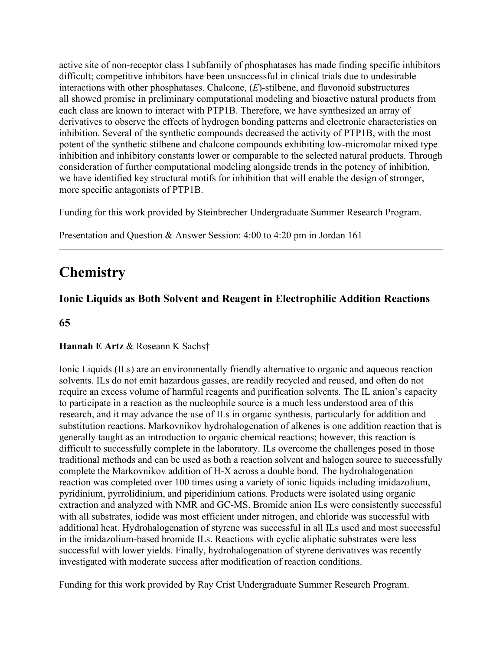active site of non-receptor class I subfamily of phosphatases has made finding specific inhibitors difficult; competitive inhibitors have been unsuccessful in clinical trials due to undesirable interactions with other phosphatases. Chalcone, (*E*)-stilbene, and flavonoid substructures all showed promise in preliminary computational modeling and bioactive natural products from each class are known to interact with PTP1B. Therefore, we have synthesized an array of derivatives to observe the effects of hydrogen bonding patterns and electronic characteristics on inhibition. Several of the synthetic compounds decreased the activity of PTP1B, with the most potent of the synthetic stilbene and chalcone compounds exhibiting low-micromolar mixed type inhibition and inhibitory constants lower or comparable to the selected natural products. Through consideration of further computational modeling alongside trends in the potency of inhibition, we have identified key structural motifs for inhibition that will enable the design of stronger, more specific antagonists of PTP1B.

Funding for this work provided by Steinbrecher Undergraduate Summer Research Program.

Presentation and Question & Answer Session: 4:00 to 4:20 pm in Jordan 161

## **Chemistry**

## **Ionic Liquids as Both Solvent and Reagent in Electrophilic Addition Reactions**

## **65**

## **Hannah E Artz** & Roseann K Sachs†

Ionic Liquids (ILs) are an environmentally friendly alternative to organic and aqueous reaction solvents. ILs do not emit hazardous gasses, are readily recycled and reused, and often do not require an excess volume of harmful reagents and purification solvents. The IL anion's capacity to participate in a reaction as the nucleophile source is a much less understood area of this research, and it may advance the use of ILs in organic synthesis, particularly for addition and substitution reactions. Markovnikov hydrohalogenation of alkenes is one addition reaction that is generally taught as an introduction to organic chemical reactions; however, this reaction is difficult to successfully complete in the laboratory. ILs overcome the challenges posed in those traditional methods and can be used as both a reaction solvent and halogen source to successfully complete the Markovnikov addition of H-X across a double bond. The hydrohalogenation reaction was completed over 100 times using a variety of ionic liquids including imidazolium, pyridinium, pyrrolidinium, and piperidinium cations. Products were isolated using organic extraction and analyzed with NMR and GC-MS. Bromide anion ILs were consistently successful with all substrates, iodide was most efficient under nitrogen, and chloride was successful with additional heat. Hydrohalogenation of styrene was successful in all ILs used and most successful in the imidazolium-based bromide ILs. Reactions with cyclic aliphatic substrates were less successful with lower yields. Finally, hydrohalogenation of styrene derivatives was recently investigated with moderate success after modification of reaction conditions.

Funding for this work provided by Ray Crist Undergraduate Summer Research Program.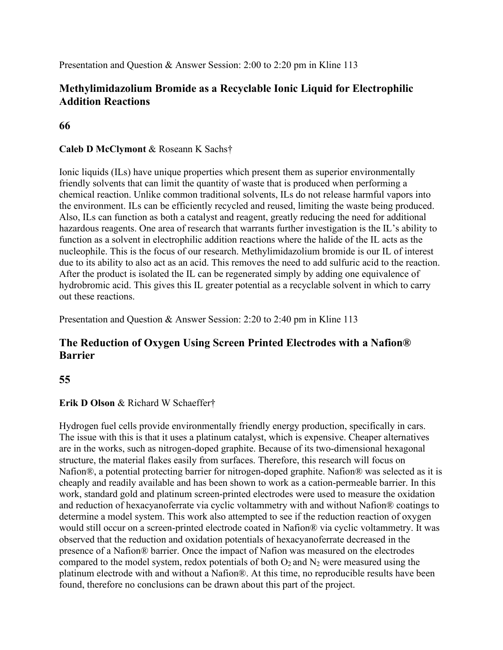Presentation and Question & Answer Session: 2:00 to 2:20 pm in Kline 113

## **Methylimidazolium Bromide as a Recyclable Ionic Liquid for Electrophilic Addition Reactions**

## **66**

## **Caleb D McClymont** & Roseann K Sachs†

Ionic liquids (ILs) have unique properties which present them as superior environmentally friendly solvents that can limit the quantity of waste that is produced when performing a chemical reaction. Unlike common traditional solvents, ILs do not release harmful vapors into the environment. ILs can be efficiently recycled and reused, limiting the waste being produced. Also, ILs can function as both a catalyst and reagent, greatly reducing the need for additional hazardous reagents. One area of research that warrants further investigation is the IL's ability to function as a solvent in electrophilic addition reactions where the halide of the IL acts as the nucleophile. This is the focus of our research. Methylimidazolium bromide is our IL of interest due to its ability to also act as an acid. This removes the need to add sulfuric acid to the reaction. After the product is isolated the IL can be regenerated simply by adding one equivalence of hydrobromic acid. This gives this IL greater potential as a recyclable solvent in which to carry out these reactions.

Presentation and Question & Answer Session: 2:20 to 2:40 pm in Kline 113

## **The Reduction of Oxygen Using Screen Printed Electrodes with a Nafion® Barrier**

## **55**

## **Erik D Olson** & Richard W Schaeffer†

Hydrogen fuel cells provide environmentally friendly energy production, specifically in cars. The issue with this is that it uses a platinum catalyst, which is expensive. Cheaper alternatives are in the works, such as nitrogen-doped graphite. Because of its two-dimensional hexagonal structure, the material flakes easily from surfaces. Therefore, this research will focus on Nafion®, a potential protecting barrier for nitrogen-doped graphite. Nafion® was selected as it is cheaply and readily available and has been shown to work as a cation-permeable barrier. In this work, standard gold and platinum screen-printed electrodes were used to measure the oxidation and reduction of hexacyanoferrate via cyclic voltammetry with and without Nafion® coatings to determine a model system. This work also attempted to see if the reduction reaction of oxygen would still occur on a screen-printed electrode coated in Nafion® via cyclic voltammetry. It was observed that the reduction and oxidation potentials of hexacyanoferrate decreased in the presence of a Nafion® barrier. Once the impact of Nafion was measured on the electrodes compared to the model system, redox potentials of both  $O_2$  and  $N_2$  were measured using the platinum electrode with and without a Nafion®. At this time, no reproducible results have been found, therefore no conclusions can be drawn about this part of the project.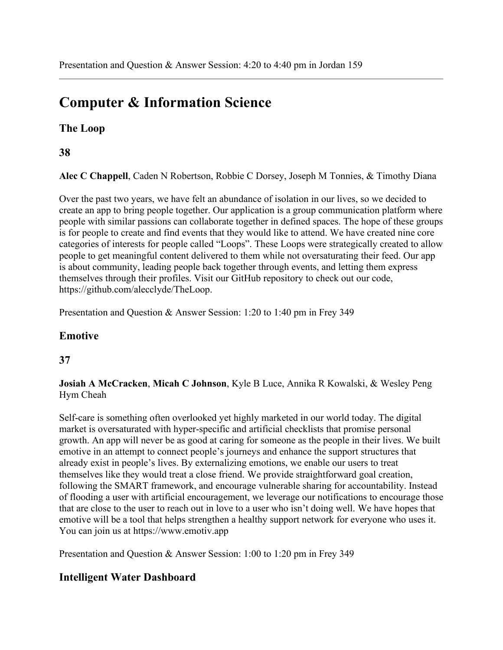## **Computer & Information Science**

## **The Loop**

## **38**

**Alec C Chappell**, Caden N Robertson, Robbie C Dorsey, Joseph M Tonnies, & Timothy Diana

Over the past two years, we have felt an abundance of isolation in our lives, so we decided to create an app to bring people together. Our application is a group communication platform where people with similar passions can collaborate together in defined spaces. The hope of these groups is for people to create and find events that they would like to attend. We have created nine core categories of interests for people called "Loops". These Loops were strategically created to allow people to get meaningful content delivered to them while not oversaturating their feed. Our app is about community, leading people back together through events, and letting them express themselves through their profiles. Visit our GitHub repository to check out our code, https://github.com/alecclyde/TheLoop.

Presentation and Question & Answer Session: 1:20 to 1:40 pm in Frey 349

## **Emotive**

## **37**

**Josiah A McCracken**, **Micah C Johnson**, Kyle B Luce, Annika R Kowalski, & Wesley Peng Hym Cheah

Self-care is something often overlooked yet highly marketed in our world today. The digital market is oversaturated with hyper-specific and artificial checklists that promise personal growth. An app will never be as good at caring for someone as the people in their lives. We built emotive in an attempt to connect people's journeys and enhance the support structures that already exist in people's lives. By externalizing emotions, we enable our users to treat themselves like they would treat a close friend. We provide straightforward goal creation, following the SMART framework, and encourage vulnerable sharing for accountability. Instead of flooding a user with artificial encouragement, we leverage our notifications to encourage those that are close to the user to reach out in love to a user who isn't doing well. We have hopes that emotive will be a tool that helps strengthen a healthy support network for everyone who uses it. You can join us at https://www.emotiv.app

Presentation and Question & Answer Session: 1:00 to 1:20 pm in Frey 349

## **Intelligent Water Dashboard**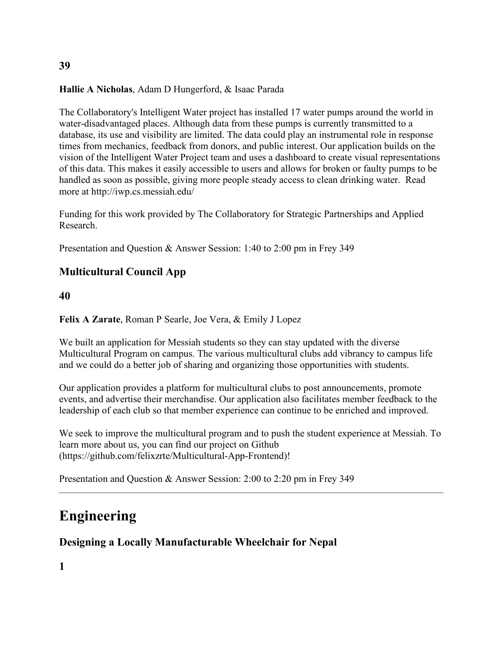## **Hallie A Nicholas**, Adam D Hungerford, & Isaac Parada

The Collaboratory's Intelligent Water project has installed 17 water pumps around the world in water-disadvantaged places. Although data from these pumps is currently transmitted to a database, its use and visibility are limited. The data could play an instrumental role in response times from mechanics, feedback from donors, and public interest. Our application builds on the vision of the Intelligent Water Project team and uses a dashboard to create visual representations of this data. This makes it easily accessible to users and allows for broken or faulty pumps to be handled as soon as possible, giving more people steady access to clean drinking water. Read more at http://iwp.cs.messiah.edu/

Funding for this work provided by The Collaboratory for Strategic Partnerships and Applied Research.

Presentation and Question & Answer Session: 1:40 to 2:00 pm in Frey 349

## **Multicultural Council App**

## **40**

**Felix A Zarate**, Roman P Searle, Joe Vera, & Emily J Lopez

We built an application for Messiah students so they can stay updated with the diverse Multicultural Program on campus. The various multicultural clubs add vibrancy to campus life and we could do a better job of sharing and organizing those opportunities with students.

Our application provides a platform for multicultural clubs to post announcements, promote events, and advertise their merchandise. Our application also facilitates member feedback to the leadership of each club so that member experience can continue to be enriched and improved.

We seek to improve the multicultural program and to push the student experience at Messiah. To learn more about us, you can find our project on Github (https://github.com/felixzrte/Multicultural-App-Frontend)!

Presentation and Question & Answer Session: 2:00 to 2:20 pm in Frey 349

## **Engineering**

## **Designing a Locally Manufacturable Wheelchair for Nepal**

## **1**

**39**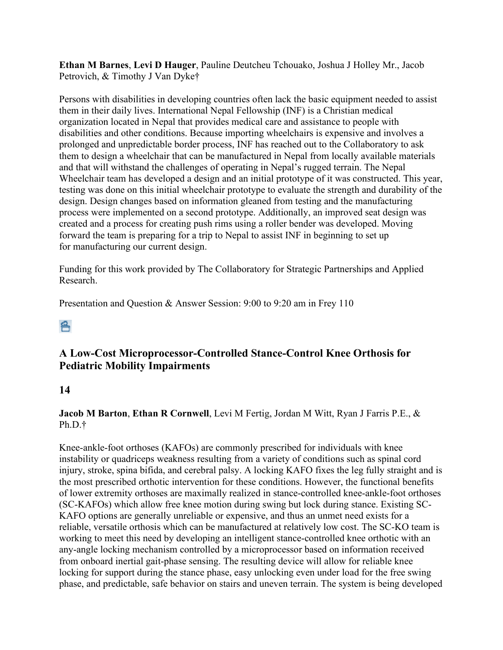**Ethan M Barnes**, **Levi D Hauger**, Pauline Deutcheu Tchouako, Joshua J Holley Mr., Jacob Petrovich, & Timothy J Van Dyke†

Persons with disabilities in developing countries often lack the basic equipment needed to assist them in their daily lives. International Nepal Fellowship (INF) is a Christian medical organization located in Nepal that provides medical care and assistance to people with disabilities and other conditions. Because importing wheelchairs is expensive and involves a prolonged and unpredictable border process, INF has reached out to the Collaboratory to ask them to design a wheelchair that can be manufactured in Nepal from locally available materials and that will withstand the challenges of operating in Nepal's rugged terrain. The Nepal Wheelchair team has developed a design and an initial prototype of it was constructed. This year, testing was done on this initial wheelchair prototype to evaluate the strength and durability of the design. Design changes based on information gleaned from testing and the manufacturing process were implemented on a second prototype. Additionally, an improved seat design was created and a process for creating push rims using a roller bender was developed. Moving forward the team is preparing for a trip to Nepal to assist INF in beginning to set up for manufacturing our current design.

Funding for this work provided by The Collaboratory for Strategic Partnerships and Applied Research.

Presentation and Question & Answer Session: 9:00 to 9:20 am in Frey 110

各

## **A Low-Cost Microprocessor-Controlled Stance-Control Knee Orthosis for Pediatric Mobility Impairments**

## **14**

## **Jacob M Barton**, **Ethan R Cornwell**, Levi M Fertig, Jordan M Witt, Ryan J Farris P.E., & Ph.D.†

Knee-ankle-foot orthoses (KAFOs) are commonly prescribed for individuals with knee instability or quadriceps weakness resulting from a variety of conditions such as spinal cord injury, stroke, spina bifida, and cerebral palsy. A locking KAFO fixes the leg fully straight and is the most prescribed orthotic intervention for these conditions. However, the functional benefits of lower extremity orthoses are maximally realized in stance-controlled knee-ankle-foot orthoses (SC-KAFOs) which allow free knee motion during swing but lock during stance. Existing SC-KAFO options are generally unreliable or expensive, and thus an unmet need exists for a reliable, versatile orthosis which can be manufactured at relatively low cost. The SC-KO team is working to meet this need by developing an intelligent stance-controlled knee orthotic with an any-angle locking mechanism controlled by a microprocessor based on information received from onboard inertial gait-phase sensing. The resulting device will allow for reliable knee locking for support during the stance phase, easy unlocking even under load for the free swing phase, and predictable, safe behavior on stairs and uneven terrain. The system is being developed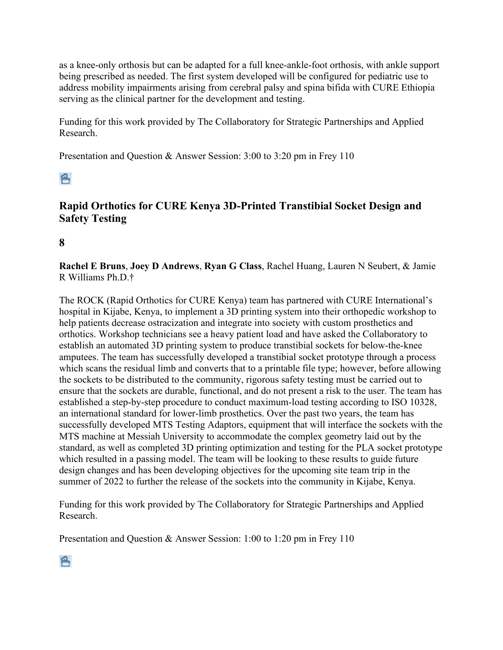as a knee-only orthosis but can be adapted for a full knee-ankle-foot orthosis, with ankle support being prescribed as needed. The first system developed will be configured for pediatric use to address mobility impairments arising from cerebral palsy and spina bifida with CURE Ethiopia serving as the clinical partner for the development and testing.

Funding for this work provided by The Collaboratory for Strategic Partnerships and Applied Research.

Presentation and Question & Answer Session: 3:00 to 3:20 pm in Frey 110

## 各

## **Rapid Orthotics for CURE Kenya 3D-Printed Transtibial Socket Design and Safety Testing**

## **8**

**Rachel E Bruns**, **Joey D Andrews**, **Ryan G Class**, Rachel Huang, Lauren N Seubert, & Jamie R Williams Ph.D.†

The ROCK (Rapid Orthotics for CURE Kenya) team has partnered with CURE International's hospital in Kijabe, Kenya, to implement a 3D printing system into their orthopedic workshop to help patients decrease ostracization and integrate into society with custom prosthetics and orthotics. Workshop technicians see a heavy patient load and have asked the Collaboratory to establish an automated 3D printing system to produce transtibial sockets for below-the-knee amputees. The team has successfully developed a transtibial socket prototype through a process which scans the residual limb and converts that to a printable file type; however, before allowing the sockets to be distributed to the community, rigorous safety testing must be carried out to ensure that the sockets are durable, functional, and do not present a risk to the user. The team has established a step-by-step procedure to conduct maximum-load testing according to ISO 10328, an international standard for lower-limb prosthetics. Over the past two years, the team has successfully developed MTS Testing Adaptors, equipment that will interface the sockets with the MTS machine at Messiah University to accommodate the complex geometry laid out by the standard, as well as completed 3D printing optimization and testing for the PLA socket prototype which resulted in a passing model. The team will be looking to these results to guide future design changes and has been developing objectives for the upcoming site team trip in the summer of 2022 to further the release of the sockets into the community in Kijabe, Kenya.

Funding for this work provided by The Collaboratory for Strategic Partnerships and Applied Research.

Presentation and Question & Answer Session: 1:00 to 1:20 pm in Frey 110

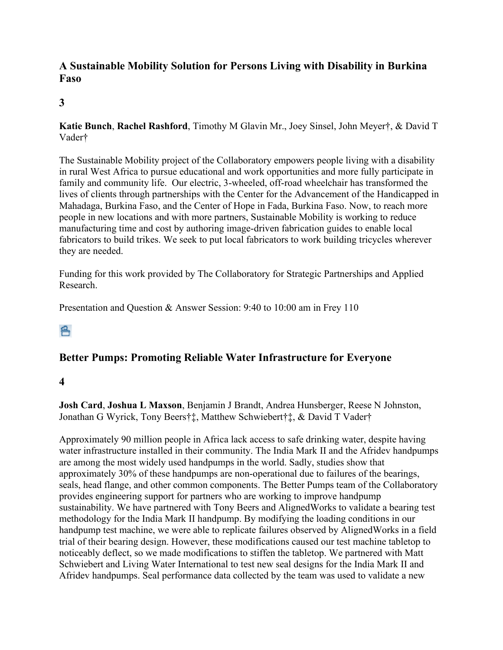## **A Sustainable Mobility Solution for Persons Living with Disability in Burkina Faso**

## **3**

**Katie Bunch**, **Rachel Rashford**, Timothy M Glavin Mr., Joey Sinsel, John Meyer†, & David T Vader†

The Sustainable Mobility project of the Collaboratory empowers people living with a disability in rural West Africa to pursue educational and work opportunities and more fully participate in family and community life. Our electric, 3-wheeled, off-road wheelchair has transformed the lives of clients through partnerships with the Center for the Advancement of the Handicapped in Mahadaga, Burkina Faso, and the Center of Hope in Fada, Burkina Faso. Now, to reach more people in new locations and with more partners, Sustainable Mobility is working to reduce manufacturing time and cost by authoring image-driven fabrication guides to enable local fabricators to build trikes. We seek to put local fabricators to work building tricycles wherever they are needed.

Funding for this work provided by The Collaboratory for Strategic Partnerships and Applied Research.

Presentation and Question & Answer Session: 9:40 to 10:00 am in Frey 110

## 各

## **Better Pumps: Promoting Reliable Water Infrastructure for Everyone**

## **4**

**Josh Card**, **Joshua L Maxson**, Benjamin J Brandt, Andrea Hunsberger, Reese N Johnston, Jonathan G Wyrick, Tony Beers†‡, Matthew Schwiebert†‡, & David T Vader†

Approximately 90 million people in Africa lack access to safe drinking water, despite having water infrastructure installed in their community. The India Mark II and the Afridev handpumps are among the most widely used handpumps in the world. Sadly, studies show that approximately 30% of these handpumps are non-operational due to failures of the bearings, seals, head flange, and other common components. The Better Pumps team of the Collaboratory provides engineering support for partners who are working to improve handpump sustainability. We have partnered with Tony Beers and AlignedWorks to validate a bearing test methodology for the India Mark II handpump. By modifying the loading conditions in our handpump test machine, we were able to replicate failures observed by AlignedWorks in a field trial of their bearing design. However, these modifications caused our test machine tabletop to noticeably deflect, so we made modifications to stiffen the tabletop. We partnered with Matt Schwiebert and Living Water International to test new seal designs for the India Mark II and Afridev handpumps. Seal performance data collected by the team was used to validate a new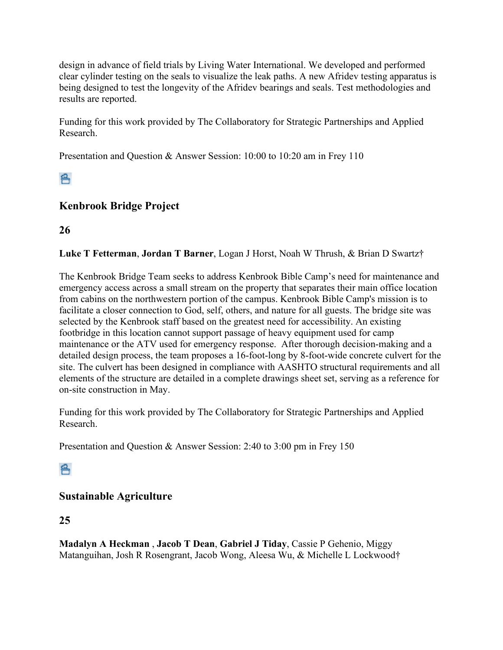design in advance of field trials by Living Water International. We developed and performed clear cylinder testing on the seals to visualize the leak paths. A new Afridev testing apparatus is being designed to test the longevity of the Afridev bearings and seals. Test methodologies and results are reported.

Funding for this work provided by The Collaboratory for Strategic Partnerships and Applied Research.

Presentation and Question & Answer Session: 10:00 to 10:20 am in Frey 110

## 各

## **Kenbrook Bridge Project**

## **26**

**Luke T Fetterman**, **Jordan T Barner**, Logan J Horst, Noah W Thrush, & Brian D Swartz†

The Kenbrook Bridge Team seeks to address Kenbrook Bible Camp's need for maintenance and emergency access across a small stream on the property that separates their main office location from cabins on the northwestern portion of the campus. Kenbrook Bible Camp's mission is to facilitate a closer connection to God, self, others, and nature for all guests. The bridge site was selected by the Kenbrook staff based on the greatest need for accessibility. An existing footbridge in this location cannot support passage of heavy equipment used for camp maintenance or the ATV used for emergency response. After thorough decision-making and a detailed design process, the team proposes a 16-foot-long by 8-foot-wide concrete culvert for the site. The culvert has been designed in compliance with AASHTO structural requirements and all elements of the structure are detailed in a complete drawings sheet set, serving as a reference for on-site construction in May.

Funding for this work provided by The Collaboratory for Strategic Partnerships and Applied Research.

Presentation and Question & Answer Session: 2:40 to 3:00 pm in Frey 150

## 各

## **Sustainable Agriculture**

## **25**

**Madalyn A Heckman** , **Jacob T Dean**, **Gabriel J Tiday**, Cassie P Gehenio, Miggy Matanguihan, Josh R Rosengrant, Jacob Wong, Aleesa Wu, & Michelle L Lockwood†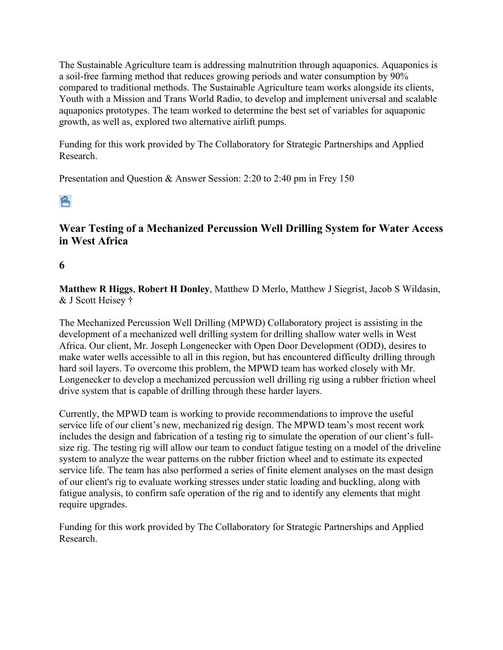The Sustainable Agriculture team is addressing malnutrition through aquaponics. Aquaponics is a soil-free farming method that reduces growing periods and water consumption by 90% compared to traditional methods. The Sustainable Agriculture team works alongside its clients, Youth with a Mission and Trans World Radio, to develop and implement universal and scalable aquaponics prototypes. The team worked to determine the best set of variables for aquaponic growth, as well as, explored two alternative airlift pumps.

Funding for this work provided by The Collaboratory for Strategic Partnerships and Applied Research.

Presentation and Question & Answer Session: 2:20 to 2:40 pm in Frey 150

## 各

## **Wear Testing of a Mechanized Percussion Well Drilling System for Water Access in West Africa**

## **6**

**Matthew R Higgs**, **Robert H Donley**, Matthew D Merlo, Matthew J Siegrist, Jacob S Wildasin, & J Scott Heisey †

The Mechanized Percussion Well Drilling (MPWD) Collaboratory project is assisting in the development of a mechanized well drilling system for drilling shallow water wells in West Africa. Our client, Mr. Joseph Longenecker with Open Door Development (ODD), desires to make water wells accessible to all in this region, but has encountered difficulty drilling through hard soil layers. To overcome this problem, the MPWD team has worked closely with Mr. Longenecker to develop a mechanized percussion well drilling rig using a rubber friction wheel drive system that is capable of drilling through these harder layers.

Currently, the MPWD team is working to provide recommendations to improve the useful service life of our client's new, mechanized rig design. The MPWD team's most recent work includes the design and fabrication of a testing rig to simulate the operation of our client's fullsize rig. The testing rig will allow our team to conduct fatigue testing on a model of the driveline system to analyze the wear patterns on the rubber friction wheel and to estimate its expected service life. The team has also performed a series of finite element analyses on the mast design of our client's rig to evaluate working stresses under static loading and buckling, along with fatigue analysis, to confirm safe operation of the rig and to identify any elements that might require upgrades.

Funding for this work provided by The Collaboratory for Strategic Partnerships and Applied Research.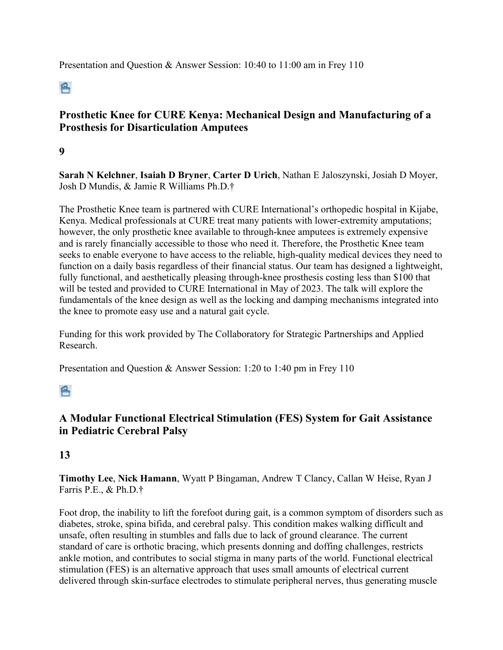Presentation and Question & Answer Session: 10:40 to 11:00 am in Frey 110

 $\mathbf{P}$ 

## **Prosthetic Knee for CURE Kenya: Mechanical Design and Manufacturing of a Prosthesis for Disarticulation Amputees**

**9** 

**Sarah N Kelchner**, **Isaiah D Bryner**, **Carter D Urich**, Nathan E Jaloszynski, Josiah D Moyer, Josh D Mundis, & Jamie R Williams Ph.D.†

The Prosthetic Knee team is partnered with CURE International's orthopedic hospital in Kijabe, Kenya. Medical professionals at CURE treat many patients with lower-extremity amputations; however, the only prosthetic knee available to through-knee amputees is extremely expensive and is rarely financially accessible to those who need it. Therefore, the Prosthetic Knee team seeks to enable everyone to have access to the reliable, high-quality medical devices they need to function on a daily basis regardless of their financial status. Our team has designed a lightweight, fully functional, and aesthetically pleasing through-knee prosthesis costing less than \$100 that will be tested and provided to CURE International in May of 2023. The talk will explore the fundamentals of the knee design as well as the locking and damping mechanisms integrated into the knee to promote easy use and a natural gait cycle.

Funding for this work provided by The Collaboratory for Strategic Partnerships and Applied Research.

Presentation and Question & Answer Session: 1:20 to 1:40 pm in Frey 110

## $\triangle$

## **A Modular Functional Electrical Stimulation (FES) System for Gait Assistance in Pediatric Cerebral Palsy**

## **13**

**Timothy Lee**, **Nick Hamann**, Wyatt P Bingaman, Andrew T Clancy, Callan W Heise, Ryan J Farris P.E., & Ph.D.†

Foot drop, the inability to lift the forefoot during gait, is a common symptom of disorders such as diabetes, stroke, spina bifida, and cerebral palsy. This condition makes walking difficult and unsafe, often resulting in stumbles and falls due to lack of ground clearance. The current standard of care is orthotic bracing, which presents donning and doffing challenges, restricts ankle motion, and contributes to social stigma in many parts of the world. Functional electrical stimulation (FES) is an alternative approach that uses small amounts of electrical current delivered through skin-surface electrodes to stimulate peripheral nerves, thus generating muscle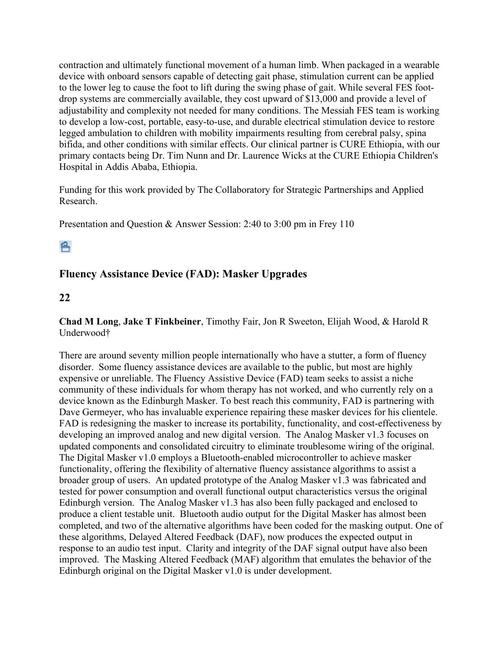contraction and ultimately functional movement of a human limb. When packaged in a wearable device with onboard sensors capable of detecting gait phase, stimulation current can be applied to the lower leg to cause the foot to lift during the swing phase of gait. While several FES footdrop systems are commercially available, they cost upward of \$13,000 and provide a level of adjustability and complexity not needed for many conditions. The Messiah FES team is working to develop a low-cost, portable, easy-to-use, and durable electrical stimulation device to restore legged ambulation to children with mobility impairments resulting from cerebral palsy, spina bifida, and other conditions with similar effects. Our clinical partner is CURE Ethiopia, with our primary contacts being Dr. Tim Nunn and Dr. Laurence Wicks at the CURE Ethiopia Children's Hospital in Addis Ababa, Ethiopia.

Funding for this work provided by The Collaboratory for Strategic Partnerships and Applied Research.

Presentation and Question & Answer Session: 2:40 to 3:00 pm in Frey 110

## 各

## **Fluency Assistance Device (FAD): Masker Upgrades**

## **22**

**Chad M Long**, **Jake T Finkbeiner**, Timothy Fair, Jon R Sweeton, Elijah Wood, & Harold R Underwood†

There are around seventy million people internationally who have a stutter, a form of fluency disorder. Some fluency assistance devices are available to the public, but most are highly expensive or unreliable. The Fluency Assistive Device (FAD) team seeks to assist a niche community of these individuals for whom therapy has not worked, and who currently rely on a device known as the Edinburgh Masker. To best reach this community, FAD is partnering with Dave Germeyer, who has invaluable experience repairing these masker devices for his clientele. FAD is redesigning the masker to increase its portability, functionality, and cost-effectiveness by developing an improved analog and new digital version. The Analog Masker v1.3 focuses on updated components and consolidated circuitry to eliminate troublesome wiring of the original. The Digital Masker v1.0 employs a Bluetooth-enabled microcontroller to achieve masker functionality, offering the flexibility of alternative fluency assistance algorithms to assist a broader group of users. An updated prototype of the Analog Masker v1.3 was fabricated and tested for power consumption and overall functional output characteristics versus the original Edinburgh version. The Analog Masker v1.3 has also been fully packaged and enclosed to produce a client testable unit. Bluetooth audio output for the Digital Masker has almost been completed, and two of the alternative algorithms have been coded for the masking output. One of these algorithms, Delayed Altered Feedback (DAF), now produces the expected output in response to an audio test input. Clarity and integrity of the DAF signal output have also been improved. The Masking Altered Feedback (MAF) algorithm that emulates the behavior of the Edinburgh original on the Digital Masker v1.0 is under development.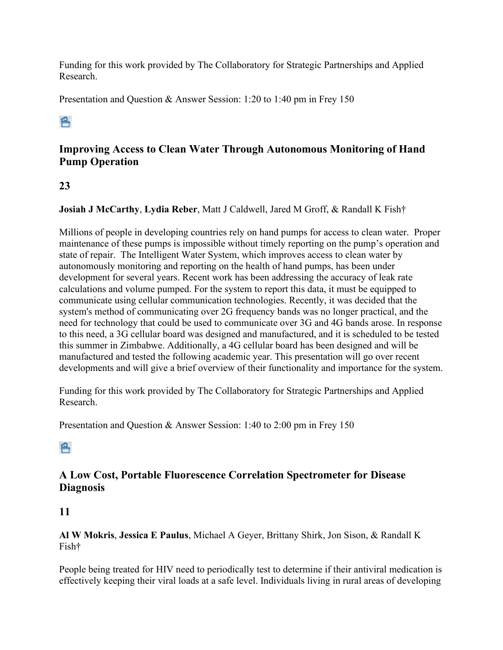Funding for this work provided by The Collaboratory for Strategic Partnerships and Applied Research.

Presentation and Question & Answer Session: 1:20 to 1:40 pm in Frey 150

## 8

## **Improving Access to Clean Water Through Autonomous Monitoring of Hand Pump Operation**

## **23**

## **Josiah J McCarthy**, **Lydia Reber**, Matt J Caldwell, Jared M Groff, & Randall K Fish†

Millions of people in developing countries rely on hand pumps for access to clean water. Proper maintenance of these pumps is impossible without timely reporting on the pump's operation and state of repair. The Intelligent Water System, which improves access to clean water by autonomously monitoring and reporting on the health of hand pumps, has been under development for several years. Recent work has been addressing the accuracy of leak rate calculations and volume pumped. For the system to report this data, it must be equipped to communicate using cellular communication technologies. Recently, it was decided that the system's method of communicating over 2G frequency bands was no longer practical, and the need for technology that could be used to communicate over 3G and 4G bands arose. In response to this need, a 3G cellular board was designed and manufactured, and it is scheduled to be tested this summer in Zimbabwe. Additionally, a 4G cellular board has been designed and will be manufactured and tested the following academic year. This presentation will go over recent developments and will give a brief overview of their functionality and importance for the system.

Funding for this work provided by The Collaboratory for Strategic Partnerships and Applied Research.

Presentation and Question & Answer Session: 1:40 to 2:00 pm in Frey 150

## 各

## **A Low Cost, Portable Fluorescence Correlation Spectrometer for Disease Diagnosis**

## **11**

## **Al W Mokris**, **Jessica E Paulus**, Michael A Geyer, Brittany Shirk, Jon Sison, & Randall K Fish†

People being treated for HIV need to periodically test to determine if their antiviral medication is effectively keeping their viral loads at a safe level. Individuals living in rural areas of developing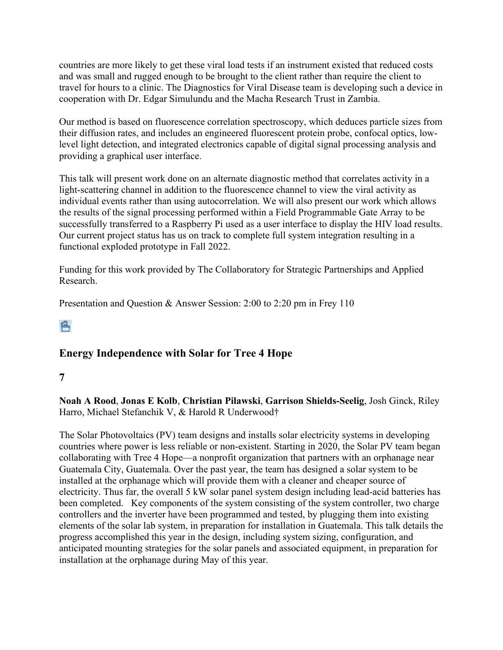countries are more likely to get these viral load tests if an instrument existed that reduced costs and was small and rugged enough to be brought to the client rather than require the client to travel for hours to a clinic. The Diagnostics for Viral Disease team is developing such a device in cooperation with Dr. Edgar Simulundu and the Macha Research Trust in Zambia.

Our method is based on fluorescence correlation spectroscopy, which deduces particle sizes from their diffusion rates, and includes an engineered fluorescent protein probe, confocal optics, lowlevel light detection, and integrated electronics capable of digital signal processing analysis and providing a graphical user interface.

This talk will present work done on an alternate diagnostic method that correlates activity in a light-scattering channel in addition to the fluorescence channel to view the viral activity as individual events rather than using autocorrelation. We will also present our work which allows the results of the signal processing performed within a Field Programmable Gate Array to be successfully transferred to a Raspberry Pi used as a user interface to display the HIV load results. Our current project status has us on track to complete full system integration resulting in a functional exploded prototype in Fall 2022.

Funding for this work provided by The Collaboratory for Strategic Partnerships and Applied Research.

Presentation and Question & Answer Session: 2:00 to 2:20 pm in Frey 110

各

## **Energy Independence with Solar for Tree 4 Hope**

## **7**

**Noah A Rood**, **Jonas E Kolb**, **Christian Pilawski**, **Garrison Shields-Seelig**, Josh Ginck, Riley Harro, Michael Stefanchik V, & Harold R Underwood†

The Solar Photovoltaics (PV) team designs and installs solar electricity systems in developing countries where power is less reliable or non-existent. Starting in 2020, the Solar PV team began collaborating with Tree 4 Hope—a nonprofit organization that partners with an orphanage near Guatemala City, Guatemala. Over the past year, the team has designed a solar system to be installed at the orphanage which will provide them with a cleaner and cheaper source of electricity. Thus far, the overall 5 kW solar panel system design including lead-acid batteries has been completed. Key components of the system consisting of the system controller, two charge controllers and the inverter have been programmed and tested, by plugging them into existing elements of the solar lab system, in preparation for installation in Guatemala. This talk details the progress accomplished this year in the design, including system sizing, configuration, and anticipated mounting strategies for the solar panels and associated equipment, in preparation for installation at the orphanage during May of this year.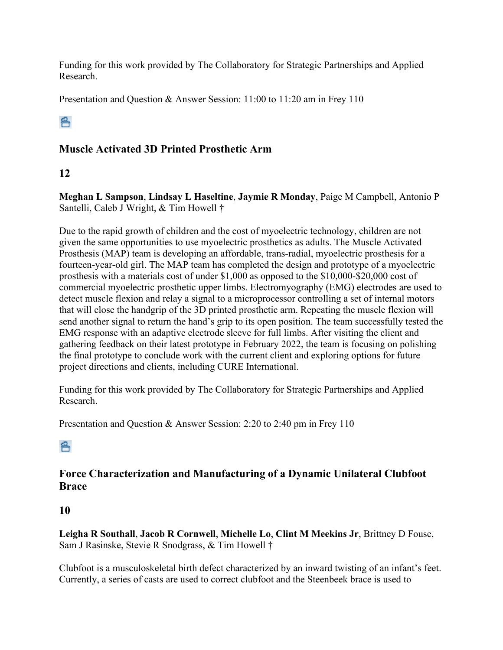Funding for this work provided by The Collaboratory for Strategic Partnerships and Applied Research.

Presentation and Question & Answer Session: 11:00 to 11:20 am in Frey 110

## 各

## **Muscle Activated 3D Printed Prosthetic Arm**

## **12**

**Meghan L Sampson**, **Lindsay L Haseltine**, **Jaymie R Monday**, Paige M Campbell, Antonio P Santelli, Caleb J Wright, & Tim Howell †

Due to the rapid growth of children and the cost of myoelectric technology, children are not given the same opportunities to use myoelectric prosthetics as adults. The Muscle Activated Prosthesis (MAP) team is developing an affordable, trans-radial, myoelectric prosthesis for a fourteen-year-old girl. The MAP team has completed the design and prototype of a myoelectric prosthesis with a materials cost of under \$1,000 as opposed to the \$10,000-\$20,000 cost of commercial myoelectric prosthetic upper limbs. Electromyography (EMG) electrodes are used to detect muscle flexion and relay a signal to a microprocessor controlling a set of internal motors that will close the handgrip of the 3D printed prosthetic arm. Repeating the muscle flexion will send another signal to return the hand's grip to its open position. The team successfully tested the EMG response with an adaptive electrode sleeve for full limbs. After visiting the client and gathering feedback on their latest prototype in February 2022, the team is focusing on polishing the final prototype to conclude work with the current client and exploring options for future project directions and clients, including CURE International.

Funding for this work provided by The Collaboratory for Strategic Partnerships and Applied Research.

Presentation and Question & Answer Session: 2:20 to 2:40 pm in Frey 110

## 8

## **Force Characterization and Manufacturing of a Dynamic Unilateral Clubfoot Brace**

## **10**

**Leigha R Southall**, **Jacob R Cornwell**, **Michelle Lo**, **Clint M Meekins Jr**, Brittney D Fouse, Sam J Rasinske, Stevie R Snodgrass, & Tim Howell †

Clubfoot is a musculoskeletal birth defect characterized by an inward twisting of an infant's feet. Currently, a series of casts are used to correct clubfoot and the Steenbeek brace is used to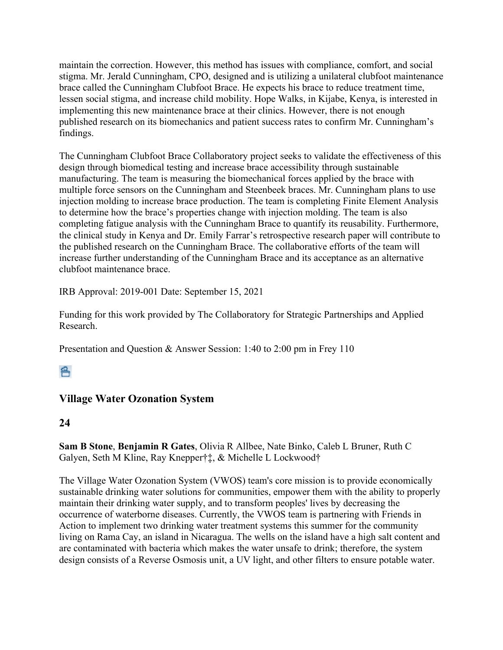maintain the correction. However, this method has issues with compliance, comfort, and social stigma. Mr. Jerald Cunningham, CPO, designed and is utilizing a unilateral clubfoot maintenance brace called the Cunningham Clubfoot Brace. He expects his brace to reduce treatment time, lessen social stigma, and increase child mobility. Hope Walks, in Kijabe, Kenya, is interested in implementing this new maintenance brace at their clinics. However, there is not enough published research on its biomechanics and patient success rates to confirm Mr. Cunningham's findings.

The Cunningham Clubfoot Brace Collaboratory project seeks to validate the effectiveness of this design through biomedical testing and increase brace accessibility through sustainable manufacturing. The team is measuring the biomechanical forces applied by the brace with multiple force sensors on the Cunningham and Steenbeek braces. Mr. Cunningham plans to use injection molding to increase brace production. The team is completing Finite Element Analysis to determine how the brace's properties change with injection molding. The team is also completing fatigue analysis with the Cunningham Brace to quantify its reusability. Furthermore, the clinical study in Kenya and Dr. Emily Farrar's retrospective research paper will contribute to the published research on the Cunningham Brace. The collaborative efforts of the team will increase further understanding of the Cunningham Brace and its acceptance as an alternative clubfoot maintenance brace.

IRB Approval: 2019-001 Date: September 15, 2021

Funding for this work provided by The Collaboratory for Strategic Partnerships and Applied Research.

Presentation and Question & Answer Session: 1:40 to 2:00 pm in Frey 110

## $\mathbf{P}$

## **Village Water Ozonation System**

## **24**

**Sam B Stone**, **Benjamin R Gates**, Olivia R Allbee, Nate Binko, Caleb L Bruner, Ruth C Galyen, Seth M Kline, Ray Knepper†‡, & Michelle L Lockwood†

The Village Water Ozonation System (VWOS) team's core mission is to provide economically sustainable drinking water solutions for communities, empower them with the ability to properly maintain their drinking water supply, and to transform peoples' lives by decreasing the occurrence of waterborne diseases. Currently, the VWOS team is partnering with Friends in Action to implement two drinking water treatment systems this summer for the community living on Rama Cay, an island in Nicaragua. The wells on the island have a high salt content and are contaminated with bacteria which makes the water unsafe to drink; therefore, the system design consists of a Reverse Osmosis unit, a UV light, and other filters to ensure potable water.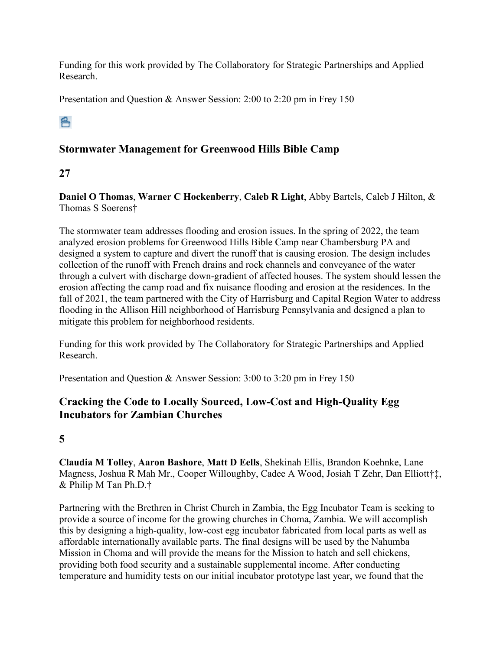Funding for this work provided by The Collaboratory for Strategic Partnerships and Applied Research.

Presentation and Question & Answer Session: 2:00 to 2:20 pm in Frey 150

## 8

## **Stormwater Management for Greenwood Hills Bible Camp**

## **27**

**Daniel O Thomas**, **Warner C Hockenberry**, **Caleb R Light**, Abby Bartels, Caleb J Hilton, & Thomas S Soerens†

The stormwater team addresses flooding and erosion issues. In the spring of 2022, the team analyzed erosion problems for Greenwood Hills Bible Camp near Chambersburg PA and designed a system to capture and divert the runoff that is causing erosion. The design includes collection of the runoff with French drains and rock channels and conveyance of the water through a culvert with discharge down-gradient of affected houses. The system should lessen the erosion affecting the camp road and fix nuisance flooding and erosion at the residences. In the fall of 2021, the team partnered with the City of Harrisburg and Capital Region Water to address flooding in the Allison Hill neighborhood of Harrisburg Pennsylvania and designed a plan to mitigate this problem for neighborhood residents.

Funding for this work provided by The Collaboratory for Strategic Partnerships and Applied Research.

Presentation and Question & Answer Session: 3:00 to 3:20 pm in Frey 150

## **Cracking the Code to Locally Sourced, Low-Cost and High-Quality Egg Incubators for Zambian Churches**

## **5**

**Claudia M Tolley**, **Aaron Bashore**, **Matt D Eells**, Shekinah Ellis, Brandon Koehnke, Lane Magness, Joshua R Mah Mr., Cooper Willoughby, Cadee A Wood, Josiah T Zehr, Dan Elliott†‡, & Philip M Tan Ph.D.†

Partnering with the Brethren in Christ Church in Zambia, the Egg Incubator Team is seeking to provide a source of income for the growing churches in Choma, Zambia. We will accomplish this by designing a high-quality, low-cost egg incubator fabricated from local parts as well as affordable internationally available parts. The final designs will be used by the Nahumba Mission in Choma and will provide the means for the Mission to hatch and sell chickens, providing both food security and a sustainable supplemental income. After conducting temperature and humidity tests on our initial incubator prototype last year, we found that the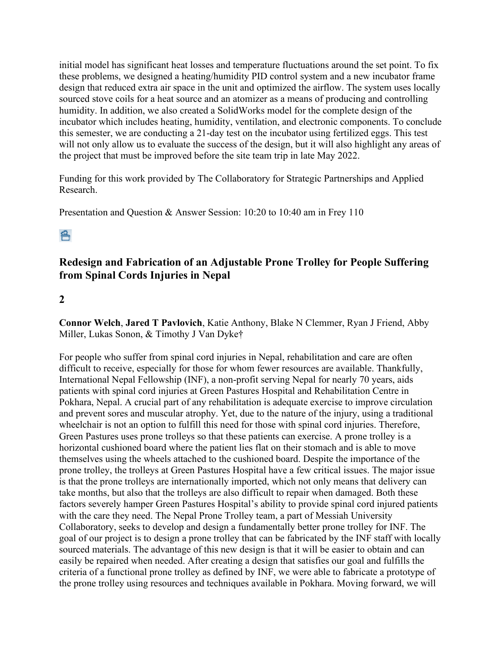initial model has significant heat losses and temperature fluctuations around the set point. To fix these problems, we designed a heating/humidity PID control system and a new incubator frame design that reduced extra air space in the unit and optimized the airflow. The system uses locally sourced stove coils for a heat source and an atomizer as a means of producing and controlling humidity. In addition, we also created a SolidWorks model for the complete design of the incubator which includes heating, humidity, ventilation, and electronic components. To conclude this semester, we are conducting a 21-day test on the incubator using fertilized eggs. This test will not only allow us to evaluate the success of the design, but it will also highlight any areas of the project that must be improved before the site team trip in late May 2022.

Funding for this work provided by The Collaboratory for Strategic Partnerships and Applied Research.

Presentation and Question & Answer Session: 10:20 to 10:40 am in Frey 110

## 各

## **Redesign and Fabrication of an Adjustable Prone Trolley for People Suffering from Spinal Cords Injuries in Nepal**

## **2**

**Connor Welch**, **Jared T Pavlovich**, Katie Anthony, Blake N Clemmer, Ryan J Friend, Abby Miller, Lukas Sonon, & Timothy J Van Dyke†

For people who suffer from spinal cord injuries in Nepal, rehabilitation and care are often difficult to receive, especially for those for whom fewer resources are available. Thankfully, International Nepal Fellowship (INF), a non-profit serving Nepal for nearly 70 years, aids patients with spinal cord injuries at Green Pastures Hospital and Rehabilitation Centre in Pokhara, Nepal. A crucial part of any rehabilitation is adequate exercise to improve circulation and prevent sores and muscular atrophy. Yet, due to the nature of the injury, using a traditional wheelchair is not an option to fulfill this need for those with spinal cord injuries. Therefore, Green Pastures uses prone trolleys so that these patients can exercise. A prone trolley is a horizontal cushioned board where the patient lies flat on their stomach and is able to move themselves using the wheels attached to the cushioned board. Despite the importance of the prone trolley, the trolleys at Green Pastures Hospital have a few critical issues. The major issue is that the prone trolleys are internationally imported, which not only means that delivery can take months, but also that the trolleys are also difficult to repair when damaged. Both these factors severely hamper Green Pastures Hospital's ability to provide spinal cord injured patients with the care they need. The Nepal Prone Trolley team, a part of Messiah University Collaboratory, seeks to develop and design a fundamentally better prone trolley for INF. The goal of our project is to design a prone trolley that can be fabricated by the INF staff with locally sourced materials. The advantage of this new design is that it will be easier to obtain and can easily be repaired when needed. After creating a design that satisfies our goal and fulfills the criteria of a functional prone trolley as defined by INF, we were able to fabricate a prototype of the prone trolley using resources and techniques available in Pokhara. Moving forward, we will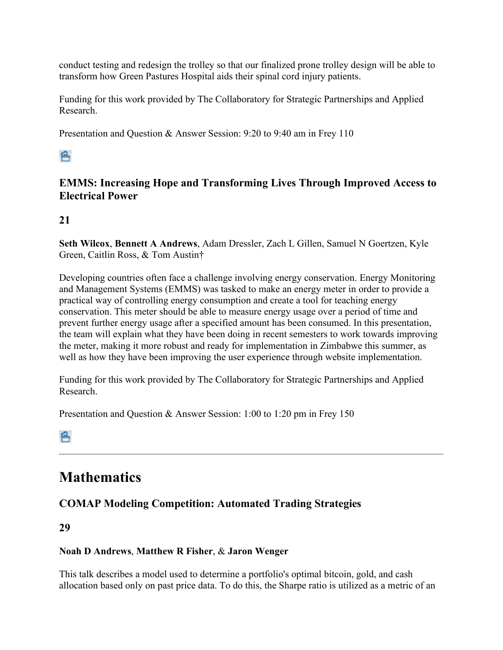conduct testing and redesign the trolley so that our finalized prone trolley design will be able to transform how Green Pastures Hospital aids their spinal cord injury patients.

Funding for this work provided by The Collaboratory for Strategic Partnerships and Applied Research.

Presentation and Question & Answer Session: 9:20 to 9:40 am in Frey 110

## 各

## **EMMS: Increasing Hope and Transforming Lives Through Improved Access to Electrical Power**

## **21**

**Seth Wilcox**, **Bennett A Andrews**, Adam Dressler, Zach L Gillen, Samuel N Goertzen, Kyle Green, Caitlin Ross, & Tom Austin†

Developing countries often face a challenge involving energy conservation. Energy Monitoring and Management Systems (EMMS) was tasked to make an energy meter in order to provide a practical way of controlling energy consumption and create a tool for teaching energy conservation. This meter should be able to measure energy usage over a period of time and prevent further energy usage after a specified amount has been consumed. In this presentation, the team will explain what they have been doing in recent semesters to work towards improving the meter, making it more robust and ready for implementation in Zimbabwe this summer, as well as how they have been improving the user experience through website implementation.

Funding for this work provided by The Collaboratory for Strategic Partnerships and Applied Research.

Presentation and Question & Answer Session: 1:00 to 1:20 pm in Frey 150

各

## **Mathematics**

## **COMAP Modeling Competition: Automated Trading Strategies**

## **29**

## **Noah D Andrews**, **Matthew R Fisher**, & **Jaron Wenger**

This talk describes a model used to determine a portfolio's optimal bitcoin, gold, and cash allocation based only on past price data. To do this, the Sharpe ratio is utilized as a metric of an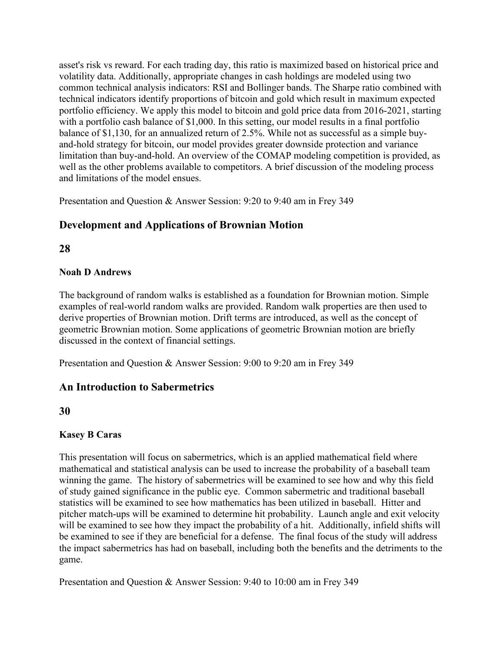asset's risk vs reward. For each trading day, this ratio is maximized based on historical price and volatility data. Additionally, appropriate changes in cash holdings are modeled using two common technical analysis indicators: RSI and Bollinger bands. The Sharpe ratio combined with technical indicators identify proportions of bitcoin and gold which result in maximum expected portfolio efficiency. We apply this model to bitcoin and gold price data from 2016-2021, starting with a portfolio cash balance of \$1,000. In this setting, our model results in a final portfolio balance of \$1,130, for an annualized return of 2.5%. While not as successful as a simple buyand-hold strategy for bitcoin, our model provides greater downside protection and variance limitation than buy-and-hold. An overview of the COMAP modeling competition is provided, as well as the other problems available to competitors. A brief discussion of the modeling process and limitations of the model ensues.

Presentation and Question & Answer Session: 9:20 to 9:40 am in Frey 349

## **Development and Applications of Brownian Motion**

**28**

#### **Noah D Andrews**

The background of random walks is established as a foundation for Brownian motion. Simple examples of real-world random walks are provided. Random walk properties are then used to derive properties of Brownian motion. Drift terms are introduced, as well as the concept of geometric Brownian motion. Some applications of geometric Brownian motion are briefly discussed in the context of financial settings.

Presentation and Question & Answer Session: 9:00 to 9:20 am in Frey 349

## **An Introduction to Sabermetrics**

## **30**

## **Kasey B Caras**

This presentation will focus on sabermetrics, which is an applied mathematical field where mathematical and statistical analysis can be used to increase the probability of a baseball team winning the game. The history of sabermetrics will be examined to see how and why this field of study gained significance in the public eye. Common sabermetric and traditional baseball statistics will be examined to see how mathematics has been utilized in baseball. Hitter and pitcher match-ups will be examined to determine hit probability. Launch angle and exit velocity will be examined to see how they impact the probability of a hit. Additionally, infield shifts will be examined to see if they are beneficial for a defense. The final focus of the study will address the impact sabermetrics has had on baseball, including both the benefits and the detriments to the game.

Presentation and Question & Answer Session: 9:40 to 10:00 am in Frey 349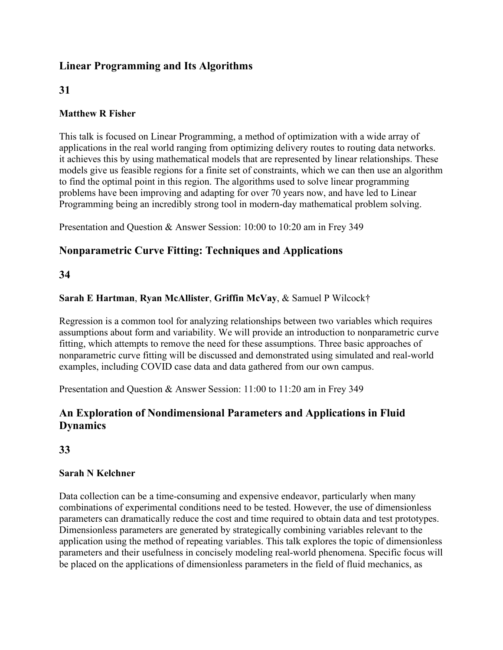## **Linear Programming and Its Algorithms**

## **31**

## **Matthew R Fisher**

This talk is focused on Linear Programming, a method of optimization with a wide array of applications in the real world ranging from optimizing delivery routes to routing data networks. it achieves this by using mathematical models that are represented by linear relationships. These models give us feasible regions for a finite set of constraints, which we can then use an algorithm to find the optimal point in this region. The algorithms used to solve linear programming problems have been improving and adapting for over 70 years now, and have led to Linear Programming being an incredibly strong tool in modern-day mathematical problem solving.

Presentation and Question & Answer Session: 10:00 to 10:20 am in Frey 349

## **Nonparametric Curve Fitting: Techniques and Applications**

## **34**

## **Sarah E Hartman**, **Ryan McAllister**, **Griffin McVay**, & Samuel P Wilcock†

Regression is a common tool for analyzing relationships between two variables which requires assumptions about form and variability. We will provide an introduction to nonparametric curve fitting, which attempts to remove the need for these assumptions. Three basic approaches of nonparametric curve fitting will be discussed and demonstrated using simulated and real-world examples, including COVID case data and data gathered from our own campus.

Presentation and Question & Answer Session: 11:00 to 11:20 am in Frey 349

## **An Exploration of Nondimensional Parameters and Applications in Fluid Dynamics**

## **33**

## **Sarah N Kelchner**

Data collection can be a time-consuming and expensive endeavor, particularly when many combinations of experimental conditions need to be tested. However, the use of dimensionless parameters can dramatically reduce the cost and time required to obtain data and test prototypes. Dimensionless parameters are generated by strategically combining variables relevant to the application using the method of repeating variables. This talk explores the topic of dimensionless parameters and their usefulness in concisely modeling real-world phenomena. Specific focus will be placed on the applications of dimensionless parameters in the field of fluid mechanics, as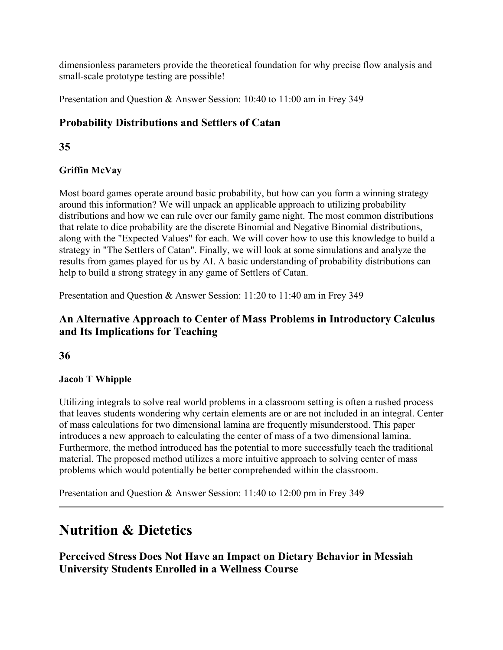dimensionless parameters provide the theoretical foundation for why precise flow analysis and small-scale prototype testing are possible!

Presentation and Question & Answer Session: 10:40 to 11:00 am in Frey 349

## **Probability Distributions and Settlers of Catan**

## **35**

## **Griffin McVay**

Most board games operate around basic probability, but how can you form a winning strategy around this information? We will unpack an applicable approach to utilizing probability distributions and how we can rule over our family game night. The most common distributions that relate to dice probability are the discrete Binomial and Negative Binomial distributions, along with the "Expected Values" for each. We will cover how to use this knowledge to build a strategy in "The Settlers of Catan". Finally, we will look at some simulations and analyze the results from games played for us by AI. A basic understanding of probability distributions can help to build a strong strategy in any game of Settlers of Catan.

Presentation and Question & Answer Session: 11:20 to 11:40 am in Frey 349

## **An Alternative Approach to Center of Mass Problems in Introductory Calculus and Its Implications for Teaching**

## **36**

## **Jacob T Whipple**

Utilizing integrals to solve real world problems in a classroom setting is often a rushed process that leaves students wondering why certain elements are or are not included in an integral. Center of mass calculations for two dimensional lamina are frequently misunderstood. This paper introduces a new approach to calculating the center of mass of a two dimensional lamina. Furthermore, the method introduced has the potential to more successfully teach the traditional material. The proposed method utilizes a more intuitive approach to solving center of mass problems which would potentially be better comprehended within the classroom.

Presentation and Question & Answer Session: 11:40 to 12:00 pm in Frey 349

## **Nutrition & Dietetics**

**Perceived Stress Does Not Have an Impact on Dietary Behavior in Messiah University Students Enrolled in a Wellness Course**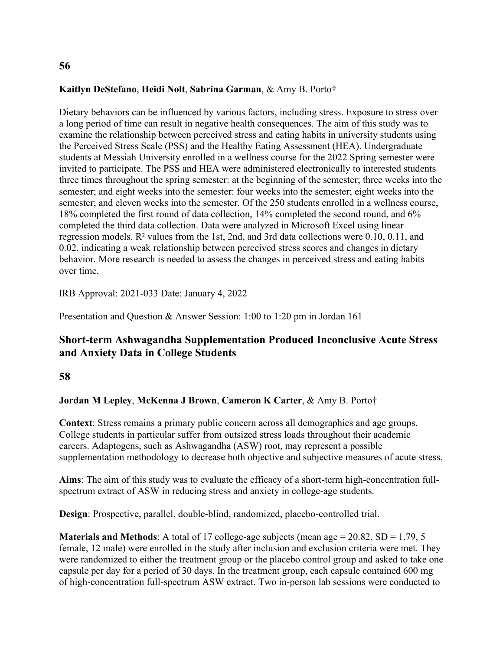## **Kaitlyn DeStefano**, **Heidi Nolt**, **Sabrina Garman**, & Amy B. Porto†

Dietary behaviors can be influenced by various factors, including stress. Exposure to stress over a long period of time can result in negative health consequences. The aim of this study was to examine the relationship between perceived stress and eating habits in university students using the Perceived Stress Scale (PSS) and the Healthy Eating Assessment (HEA). Undergraduate students at Messiah University enrolled in a wellness course for the 2022 Spring semester were invited to participate. The PSS and HEA were administered electronically to interested students three times throughout the spring semester: at the beginning of the semester; three weeks into the semester; and eight weeks into the semester: four weeks into the semester; eight weeks into the semester; and eleven weeks into the semester. Of the 250 students enrolled in a wellness course, 18% completed the first round of data collection, 14% completed the second round, and 6% completed the third data collection. Data were analyzed in Microsoft Excel using linear regression models. R² values from the 1st, 2nd, and 3rd data collections were 0.10, 0.11, and 0.02, indicating a weak relationship between perceived stress scores and changes in dietary behavior. More research is needed to assess the changes in perceived stress and eating habits over time.

IRB Approval: 2021-033 Date: January 4, 2022

Presentation and Question & Answer Session: 1:00 to 1:20 pm in Jordan 161

## **Short-term Ashwagandha Supplementation Produced Inconclusive Acute Stress and Anxiety Data in College Students**

#### **58**

#### **Jordan M Lepley**, **McKenna J Brown**, **Cameron K Carter**, & Amy B. Porto†

**Context**: Stress remains a primary public concern across all demographics and age groups. College students in particular suffer from outsized stress loads throughout their academic careers. Adaptogens, such as Ashwagandha (ASW) root, may represent a possible supplementation methodology to decrease both objective and subjective measures of acute stress.

**Aims**: The aim of this study was to evaluate the efficacy of a short-term high-concentration fullspectrum extract of ASW in reducing stress and anxiety in college-age students.

**Design**: Prospective, parallel, double-blind, randomized, placebo-controlled trial.

**Materials and Methods**: A total of 17 college-age subjects (mean age = 20.82, SD = 1.79, 5 female, 12 male) were enrolled in the study after inclusion and exclusion criteria were met. They were randomized to either the treatment group or the placebo control group and asked to take one capsule per day for a period of 30 days. In the treatment group, each capsule contained 600 mg of high-concentration full-spectrum ASW extract. Two in-person lab sessions were conducted to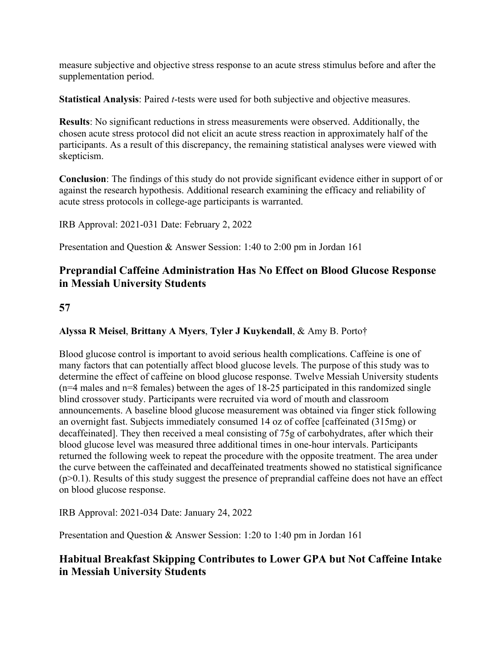measure subjective and objective stress response to an acute stress stimulus before and after the supplementation period.

**Statistical Analysis**: Paired *t*-tests were used for both subjective and objective measures.

**Results**: No significant reductions in stress measurements were observed. Additionally, the chosen acute stress protocol did not elicit an acute stress reaction in approximately half of the participants. As a result of this discrepancy, the remaining statistical analyses were viewed with skepticism.

**Conclusion**: The findings of this study do not provide significant evidence either in support of or against the research hypothesis. Additional research examining the efficacy and reliability of acute stress protocols in college-age participants is warranted.

IRB Approval: 2021-031 Date: February 2, 2022

Presentation and Question & Answer Session: 1:40 to 2:00 pm in Jordan 161

## **Preprandial Caffeine Administration Has No Effect on Blood Glucose Response in Messiah University Students**

## **57**

## **Alyssa R Meisel**, **Brittany A Myers**, **Tyler J Kuykendall**, & Amy B. Porto†

Blood glucose control is important to avoid serious health complications. Caffeine is one of many factors that can potentially affect blood glucose levels. The purpose of this study was to determine the effect of caffeine on blood glucose response. Twelve Messiah University students  $(n=4 \text{ males and } n=8 \text{ females})$  between the ages of 18-25 participated in this randomized single blind crossover study. Participants were recruited via word of mouth and classroom announcements. A baseline blood glucose measurement was obtained via finger stick following an overnight fast. Subjects immediately consumed 14 oz of coffee [caffeinated (315mg) or decaffeinated]. They then received a meal consisting of 75g of carbohydrates, after which their blood glucose level was measured three additional times in one-hour intervals. Participants returned the following week to repeat the procedure with the opposite treatment. The area under the curve between the caffeinated and decaffeinated treatments showed no statistical significance (p>0.1). Results of this study suggest the presence of preprandial caffeine does not have an effect on blood glucose response.

IRB Approval: 2021-034 Date: January 24, 2022

Presentation and Question & Answer Session: 1:20 to 1:40 pm in Jordan 161

## **Habitual Breakfast Skipping Contributes to Lower GPA but Not Caffeine Intake in Messiah University Students**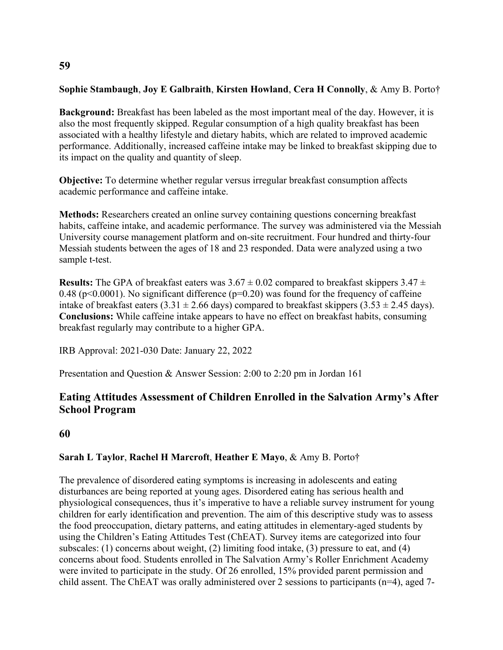#### **Sophie Stambaugh**, **Joy E Galbraith**, **Kirsten Howland**, **Cera H Connolly**, & Amy B. Porto†

**Background:** Breakfast has been labeled as the most important meal of the day. However, it is also the most frequently skipped. Regular consumption of a high quality breakfast has been associated with a healthy lifestyle and dietary habits, which are related to improved academic performance. Additionally, increased caffeine intake may be linked to breakfast skipping due to its impact on the quality and quantity of sleep.

**Objective:** To determine whether regular versus irregular breakfast consumption affects academic performance and caffeine intake.

**Methods:** Researchers created an online survey containing questions concerning breakfast habits, caffeine intake, and academic performance. The survey was administered via the Messiah University course management platform and on-site recruitment. Four hundred and thirty-four Messiah students between the ages of 18 and 23 responded. Data were analyzed using a two sample t-test.

**Results:** The GPA of breakfast eaters was  $3.67 \pm 0.02$  compared to breakfast skippers  $3.47 \pm 0.02$ 0.48 ( $p$ <0.0001). No significant difference ( $p$ =0.20) was found for the frequency of caffeine intake of breakfast eaters  $(3.31 \pm 2.66 \text{ days})$  compared to breakfast skippers  $(3.53 \pm 2.45 \text{ days})$ . **Conclusions:** While caffeine intake appears to have no effect on breakfast habits, consuming breakfast regularly may contribute to a higher GPA.

IRB Approval: 2021-030 Date: January 22, 2022

Presentation and Question & Answer Session: 2:00 to 2:20 pm in Jordan 161

#### **Eating Attitudes Assessment of Children Enrolled in the Salvation Army's After School Program**

**60**

#### **Sarah L Taylor**, **Rachel H Marcroft**, **Heather E Mayo**, & Amy B. Porto†

The prevalence of disordered eating symptoms is increasing in adolescents and eating disturbances are being reported at young ages. Disordered eating has serious health and physiological consequences, thus it's imperative to have a reliable survey instrument for young children for early identification and prevention. The aim of this descriptive study was to assess the food preoccupation, dietary patterns, and eating attitudes in elementary-aged students by using the Children's Eating Attitudes Test (ChEAT). Survey items are categorized into four subscales: (1) concerns about weight, (2) limiting food intake, (3) pressure to eat, and (4) concerns about food. Students enrolled in The Salvation Army's Roller Enrichment Academy were invited to participate in the study. Of 26 enrolled, 15% provided parent permission and child assent. The ChEAT was orally administered over 2 sessions to participants (n=4), aged 7-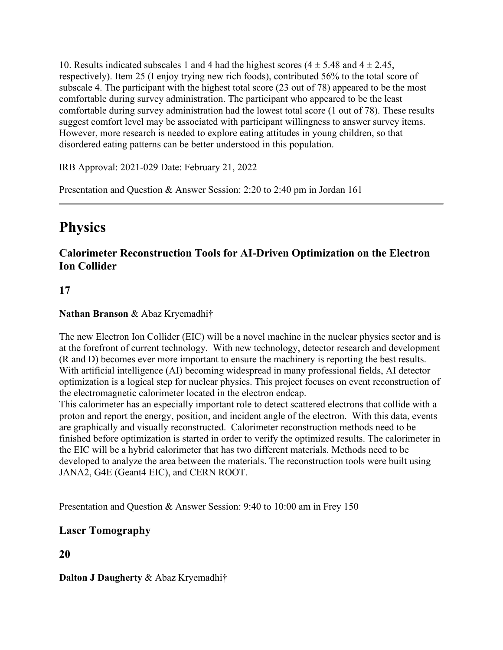10. Results indicated subscales 1 and 4 had the highest scores  $(4 \pm 5.48 \text{ and } 4 \pm 2.45,$ respectively). Item 25 (I enjoy trying new rich foods), contributed 56% to the total score of subscale 4. The participant with the highest total score (23 out of 78) appeared to be the most comfortable during survey administration. The participant who appeared to be the least comfortable during survey administration had the lowest total score (1 out of 78). These results suggest comfort level may be associated with participant willingness to answer survey items. However, more research is needed to explore eating attitudes in young children, so that disordered eating patterns can be better understood in this population.

IRB Approval: 2021-029 Date: February 21, 2022

Presentation and Question & Answer Session: 2:20 to 2:40 pm in Jordan 161

## **Physics**

## **Calorimeter Reconstruction Tools for AI-Driven Optimization on the Electron Ion Collider**

## **17**

#### **Nathan Branson** & Abaz Kryemadhi†

The new Electron Ion Collider (EIC) will be a novel machine in the nuclear physics sector and is at the forefront of current technology. With new technology, detector research and development (R and D) becomes ever more important to ensure the machinery is reporting the best results. With artificial intelligence (AI) becoming widespread in many professional fields, AI detector optimization is a logical step for nuclear physics. This project focuses on event reconstruction of the electromagnetic calorimeter located in the electron endcap.

This calorimeter has an especially important role to detect scattered electrons that collide with a proton and report the energy, position, and incident angle of the electron. With this data, events are graphically and visually reconstructed. Calorimeter reconstruction methods need to be finished before optimization is started in order to verify the optimized results. The calorimeter in the EIC will be a hybrid calorimeter that has two different materials. Methods need to be developed to analyze the area between the materials. The reconstruction tools were built using JANA2, G4E (Geant4 EIC), and CERN ROOT.

Presentation and Question & Answer Session: 9:40 to 10:00 am in Frey 150

## **Laser Tomography**

#### **20**

**Dalton J Daugherty** & Abaz Kryemadhi†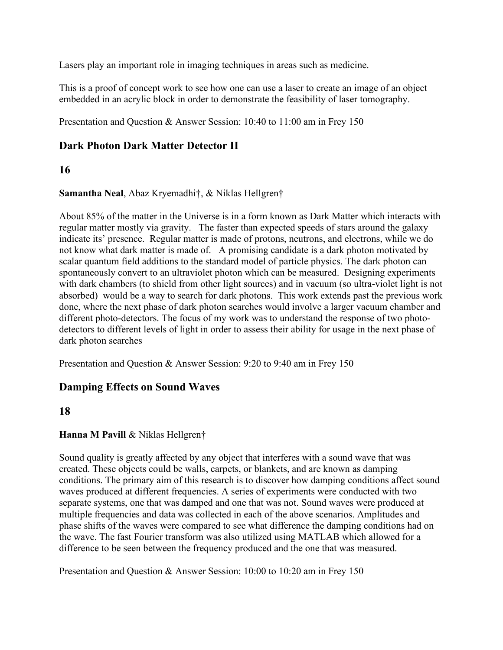Lasers play an important role in imaging techniques in areas such as medicine.

This is a proof of concept work to see how one can use a laser to create an image of an object embedded in an acrylic block in order to demonstrate the feasibility of laser tomography.

Presentation and Question & Answer Session: 10:40 to 11:00 am in Frey 150

### **Dark Photon Dark Matter Detector II**

#### **16**

**Samantha Neal**, Abaz Kryemadhi†, & Niklas Hellgren†

About 85% of the matter in the Universe is in a form known as Dark Matter which interacts with regular matter mostly via gravity. The faster than expected speeds of stars around the galaxy indicate its' presence. Regular matter is made of protons, neutrons, and electrons, while we do not know what dark matter is made of. A promising candidate is a dark photon motivated by scalar quantum field additions to the standard model of particle physics. The dark photon can spontaneously convert to an ultraviolet photon which can be measured. Designing experiments with dark chambers (to shield from other light sources) and in vacuum (so ultra-violet light is not absorbed) would be a way to search for dark photons. This work extends past the previous work done, where the next phase of dark photon searches would involve a larger vacuum chamber and different photo-detectors. The focus of my work was to understand the response of two photodetectors to different levels of light in order to assess their ability for usage in the next phase of dark photon searches

Presentation and Question & Answer Session: 9:20 to 9:40 am in Frey 150

#### **Damping Effects on Sound Waves**

#### **18**

#### **Hanna M Pavill** & Niklas Hellgren†

Sound quality is greatly affected by any object that interferes with a sound wave that was created. These objects could be walls, carpets, or blankets, and are known as damping conditions. The primary aim of this research is to discover how damping conditions affect sound waves produced at different frequencies. A series of experiments were conducted with two separate systems, one that was damped and one that was not. Sound waves were produced at multiple frequencies and data was collected in each of the above scenarios. Amplitudes and phase shifts of the waves were compared to see what difference the damping conditions had on the wave. The fast Fourier transform was also utilized using MATLAB which allowed for a difference to be seen between the frequency produced and the one that was measured.

Presentation and Question & Answer Session: 10:00 to 10:20 am in Frey 150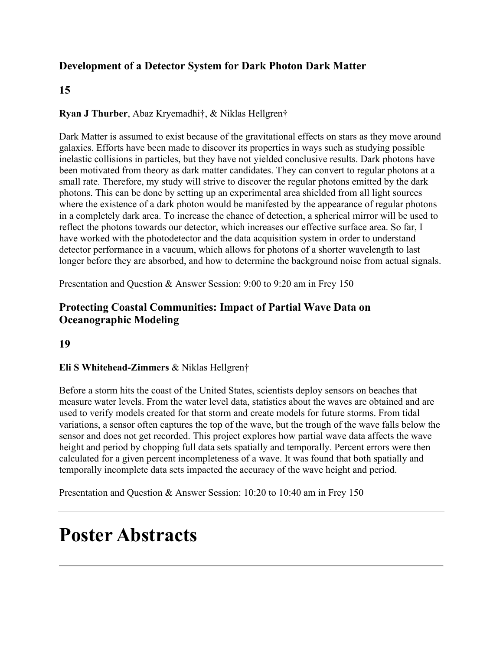## **Development of a Detector System for Dark Photon Dark Matter**

### **15**

#### **Ryan J Thurber**, Abaz Kryemadhi†, & Niklas Hellgren†

Dark Matter is assumed to exist because of the gravitational effects on stars as they move around galaxies. Efforts have been made to discover its properties in ways such as studying possible inelastic collisions in particles, but they have not yielded conclusive results. Dark photons have been motivated from theory as dark matter candidates. They can convert to regular photons at a small rate. Therefore, my study will strive to discover the regular photons emitted by the dark photons. This can be done by setting up an experimental area shielded from all light sources where the existence of a dark photon would be manifested by the appearance of regular photons in a completely dark area. To increase the chance of detection, a spherical mirror will be used to reflect the photons towards our detector, which increases our effective surface area. So far, I have worked with the photodetector and the data acquisition system in order to understand detector performance in a vacuum, which allows for photons of a shorter wavelength to last longer before they are absorbed, and how to determine the background noise from actual signals.

Presentation and Question & Answer Session: 9:00 to 9:20 am in Frey 150

## **Protecting Coastal Communities: Impact of Partial Wave Data on Oceanographic Modeling**

#### **19**

#### **Eli S Whitehead-Zimmers** & Niklas Hellgren†

Before a storm hits the coast of the United States, scientists deploy sensors on beaches that measure water levels. From the water level data, statistics about the waves are obtained and are used to verify models created for that storm and create models for future storms. From tidal variations, a sensor often captures the top of the wave, but the trough of the wave falls below the sensor and does not get recorded. This project explores how partial wave data affects the wave height and period by chopping full data sets spatially and temporally. Percent errors were then calculated for a given percent incompleteness of a wave. It was found that both spatially and temporally incomplete data sets impacted the accuracy of the wave height and period.

Presentation and Question & Answer Session: 10:20 to 10:40 am in Frey 150

# **Poster Abstracts**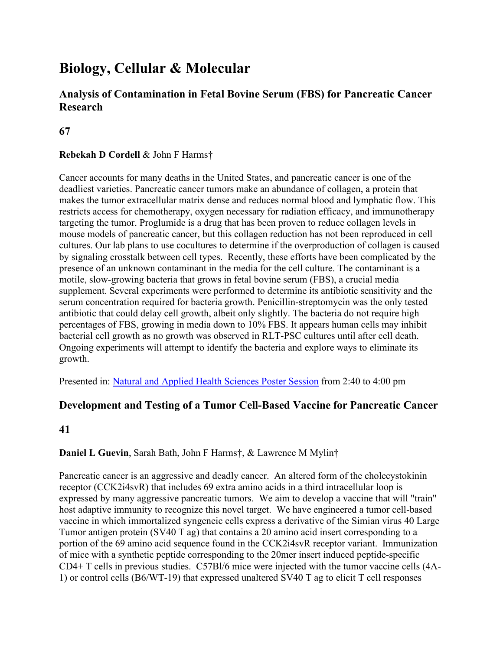## **Biology, Cellular & Molecular**

## **Analysis of Contamination in Fetal Bovine Serum (FBS) for Pancreatic Cancer Research**

**67**

#### **Rebekah D Cordell** & John F Harms†

Cancer accounts for many deaths in the United States, and pancreatic cancer is one of the deadliest varieties. Pancreatic cancer tumors make an abundance of collagen, a protein that makes the tumor extracellular matrix dense and reduces normal blood and lymphatic flow. This restricts access for chemotherapy, oxygen necessary for radiation efficacy, and immunotherapy targeting the tumor. Proglumide is a drug that has been proven to reduce collagen levels in mouse models of pancreatic cancer, but this collagen reduction has not been reproduced in cell cultures. Our lab plans to use cocultures to determine if the overproduction of collagen is caused by signaling crosstalk between cell types. Recently, these efforts have been complicated by the presence of an unknown contaminant in the media for the cell culture. The contaminant is a motile, slow-growing bacteria that grows in fetal bovine serum (FBS), a crucial media supplement. Several experiments were performed to determine its antibiotic sensitivity and the serum concentration required for bacteria growth. Penicillin-streptomycin was the only tested antibiotic that could delay cell growth, albeit only slightly. The bacteria do not require high percentages of FBS, growing in media down to 10% FBS. It appears human cells may inhibit bacterial cell growth as no growth was observed in RLT-PSC cultures until after cell death. Ongoing experiments will attempt to identify the bacteria and explore ways to eliminate its growth.

Presented in: [Natural and Applied Health Sciences Poster Session](http://huggs.messiah.edu/seh_symposium/symposium_posters.php?session=3) from 2:40 to 4:00 pm

## **Development and Testing of a Tumor Cell-Based Vaccine for Pancreatic Cancer**

#### **41**

#### **Daniel L Guevin**, Sarah Bath, John F Harms†, & Lawrence M Mylin†

Pancreatic cancer is an aggressive and deadly cancer. An altered form of the cholecystokinin receptor (CCK2i4svR) that includes 69 extra amino acids in a third intracellular loop is expressed by many aggressive pancreatic tumors. We aim to develop a vaccine that will "train" host adaptive immunity to recognize this novel target. We have engineered a tumor cell-based vaccine in which immortalized syngeneic cells express a derivative of the Simian virus 40 Large Tumor antigen protein (SV40 T ag) that contains a 20 amino acid insert corresponding to a portion of the 69 amino acid sequence found in the CCK2i4svR receptor variant. Immunization of mice with a synthetic peptide corresponding to the 20mer insert induced peptide-specific CD4+ T cells in previous studies. C57Bl/6 mice were injected with the tumor vaccine cells (4A-1) or control cells (B6/WT-19) that expressed unaltered SV40 T ag to elicit T cell responses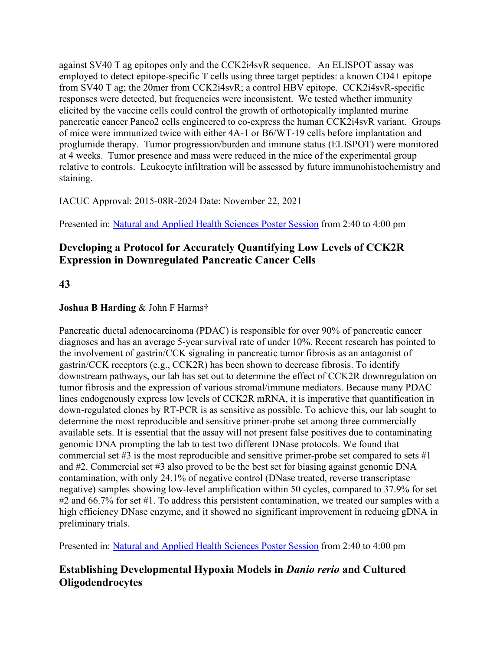against SV40 T ag epitopes only and the CCK2i4svR sequence. An ELISPOT assay was employed to detect epitope-specific T cells using three target peptides: a known CD4+ epitope from SV40 T ag; the 20mer from CCK2i4svR; a control HBV epitope. CCK2i4svR-specific responses were detected, but frequencies were inconsistent. We tested whether immunity elicited by the vaccine cells could control the growth of orthotopically implanted murine pancreatic cancer Panco2 cells engineered to co-express the human CCK2i4svR variant. Groups of mice were immunized twice with either 4A-1 or B6/WT-19 cells before implantation and proglumide therapy. Tumor progression/burden and immune status (ELISPOT) were monitored at 4 weeks. Tumor presence and mass were reduced in the mice of the experimental group relative to controls. Leukocyte infiltration will be assessed by future immunohistochemistry and staining.

IACUC Approval: 2015-08R-2024 Date: November 22, 2021

Presented in: [Natural and Applied Health Sciences Poster Session](http://huggs.messiah.edu/seh_symposium/symposium_posters.php?session=3) from 2:40 to 4:00 pm

## **Developing a Protocol for Accurately Quantifying Low Levels of CCK2R Expression in Downregulated Pancreatic Cancer Cells**

#### **43**

#### **Joshua B Harding** & John F Harms†

Pancreatic ductal adenocarcinoma (PDAC) is responsible for over 90% of pancreatic cancer diagnoses and has an average 5-year survival rate of under 10%. Recent research has pointed to the involvement of gastrin/CCK signaling in pancreatic tumor fibrosis as an antagonist of gastrin/CCK receptors (e.g., CCK2R) has been shown to decrease fibrosis. To identify downstream pathways, our lab has set out to determine the effect of CCK2R downregulation on tumor fibrosis and the expression of various stromal/immune mediators. Because many PDAC lines endogenously express low levels of CCK2R mRNA, it is imperative that quantification in down-regulated clones by RT-PCR is as sensitive as possible. To achieve this, our lab sought to determine the most reproducible and sensitive primer-probe set among three commercially available sets. It is essential that the assay will not present false positives due to contaminating genomic DNA prompting the lab to test two different DNase protocols. We found that commercial set #3 is the most reproducible and sensitive primer-probe set compared to sets #1 and #2. Commercial set #3 also proved to be the best set for biasing against genomic DNA contamination, with only 24.1% of negative control (DNase treated, reverse transcriptase negative) samples showing low-level amplification within 50 cycles, compared to 37.9% for set #2 and 66.7% for set #1. To address this persistent contamination, we treated our samples with a high efficiency DNase enzyme, and it showed no significant improvement in reducing gDNA in preliminary trials.

Presented in: [Natural and Applied Health Sciences Poster Session](http://huggs.messiah.edu/seh_symposium/symposium_posters.php?session=3) from 2:40 to 4:00 pm

## **Establishing Developmental Hypoxia Models in** *Danio rerio* **and Cultured Oligodendrocytes**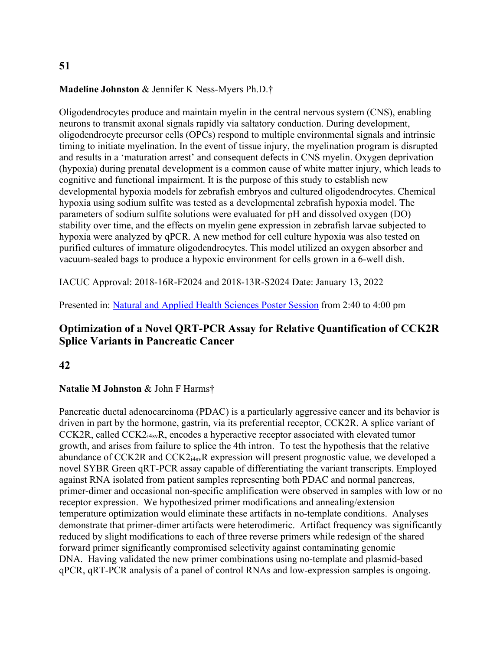#### **51**

#### **Madeline Johnston** & Jennifer K Ness-Myers Ph.D.†

Oligodendrocytes produce and maintain myelin in the central nervous system (CNS), enabling neurons to transmit axonal signals rapidly via saltatory conduction. During development, oligodendrocyte precursor cells (OPCs) respond to multiple environmental signals and intrinsic timing to initiate myelination. In the event of tissue injury, the myelination program is disrupted and results in a 'maturation arrest' and consequent defects in CNS myelin. Oxygen deprivation (hypoxia) during prenatal development is a common cause of white matter injury, which leads to cognitive and functional impairment. It is the purpose of this study to establish new developmental hypoxia models for zebrafish embryos and cultured oligodendrocytes. Chemical hypoxia using sodium sulfite was tested as a developmental zebrafish hypoxia model. The parameters of sodium sulfite solutions were evaluated for pH and dissolved oxygen (DO) stability over time, and the effects on myelin gene expression in zebrafish larvae subjected to hypoxia were analyzed by qPCR. A new method for cell culture hypoxia was also tested on purified cultures of immature oligodendrocytes. This model utilized an oxygen absorber and vacuum-sealed bags to produce a hypoxic environment for cells grown in a 6-well dish.

IACUC Approval: 2018-16R-F2024 and 2018-13R-S2024 Date: January 13, 2022

Presented in: [Natural and Applied Health Sciences Poster Session](http://huggs.messiah.edu/seh_symposium/symposium_posters.php?session=3) from 2:40 to 4:00 pm

### **Optimization of a Novel QRT-PCR Assay for Relative Quantification of CCK2R Splice Variants in Pancreatic Cancer**

#### **42**

#### **Natalie M Johnston** & John F Harms†

Pancreatic ductal adenocarcinoma (PDAC) is a particularly aggressive cancer and its behavior is driven in part by the hormone, gastrin, via its preferential receptor, CCK2R. A splice variant of CCK2R, called CCK2i4svR, encodes a hyperactive receptor associated with elevated tumor growth, and arises from failure to splice the 4th intron. To test the hypothesis that the relative abundance of CCK2R and CCK2i4svR expression will present prognostic value, we developed a novel SYBR Green qRT-PCR assay capable of differentiating the variant transcripts. Employed against RNA isolated from patient samples representing both PDAC and normal pancreas, primer-dimer and occasional non-specific amplification were observed in samples with low or no receptor expression. We hypothesized primer modifications and annealing/extension temperature optimization would eliminate these artifacts in no-template conditions. Analyses demonstrate that primer-dimer artifacts were heterodimeric. Artifact frequency was significantly reduced by slight modifications to each of three reverse primers while redesign of the shared forward primer significantly compromised selectivity against contaminating genomic DNA. Having validated the new primer combinations using no-template and plasmid-based qPCR, qRT-PCR analysis of a panel of control RNAs and low-expression samples is ongoing.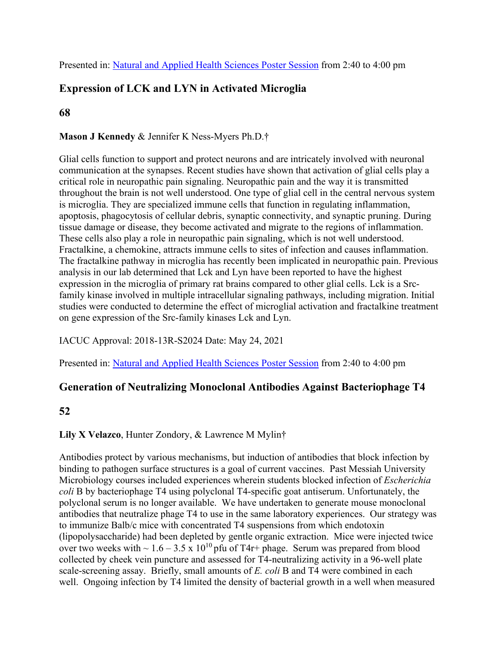## **Expression of LCK and LYN in Activated Microglia**

### **68**

#### **Mason J Kennedy** & Jennifer K Ness-Myers Ph.D.†

Glial cells function to support and protect neurons and are intricately involved with neuronal communication at the synapses. Recent studies have shown that activation of glial cells play a critical role in neuropathic pain signaling. Neuropathic pain and the way it is transmitted throughout the brain is not well understood. One type of glial cell in the central nervous system is microglia. They are specialized immune cells that function in regulating inflammation, apoptosis, phagocytosis of cellular debris, synaptic connectivity, and synaptic pruning. During tissue damage or disease, they become activated and migrate to the regions of inflammation. These cells also play a role in neuropathic pain signaling, which is not well understood. Fractalkine, a chemokine, attracts immune cells to sites of infection and causes inflammation. The fractalkine pathway in microglia has recently been implicated in neuropathic pain. Previous analysis in our lab determined that Lck and Lyn have been reported to have the highest expression in the microglia of primary rat brains compared to other glial cells. Lck is a Srcfamily kinase involved in multiple intracellular signaling pathways, including migration. Initial studies were conducted to determine the effect of microglial activation and fractalkine treatment on gene expression of the Src-family kinases Lck and Lyn.

#### IACUC Approval: 2018-13R-S2024 Date: May 24, 2021

Presented in: [Natural and Applied Health Sciences Poster Session](http://huggs.messiah.edu/seh_symposium/symposium_posters.php?session=3) from 2:40 to 4:00 pm

## **Generation of Neutralizing Monoclonal Antibodies Against Bacteriophage T4**

#### **52**

#### **Lily X Velazco**, Hunter Zondory, & Lawrence M Mylin†

Antibodies protect by various mechanisms, but induction of antibodies that block infection by binding to pathogen surface structures is a goal of current vaccines. Past Messiah University Microbiology courses included experiences wherein students blocked infection of *Escherichia coli* B by bacteriophage T4 using polyclonal T4-specific goat antiserum. Unfortunately, the polyclonal serum is no longer available. We have undertaken to generate mouse monoclonal antibodies that neutralize phage T4 to use in the same laboratory experiences. Our strategy was to immunize Balb/c mice with concentrated T4 suspensions from which endotoxin (lipopolysaccharide) had been depleted by gentle organic extraction. Mice were injected twice over two weeks with  $\sim 1.6 - 3.5 \times 10^{10}$  pfu of T4r+ phage. Serum was prepared from blood collected by cheek vein puncture and assessed for T4-neutralizing activity in a 96-well plate scale-screening assay. Briefly, small amounts of *E. coli* B and T4 were combined in each well. Ongoing infection by T4 limited the density of bacterial growth in a well when measured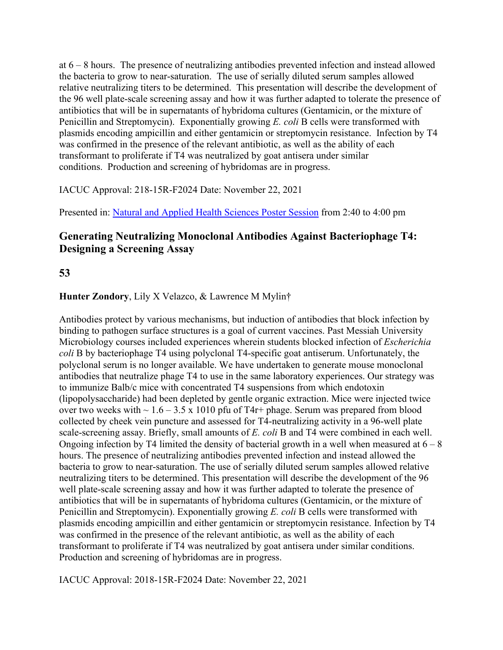at 6 – 8 hours. The presence of neutralizing antibodies prevented infection and instead allowed the bacteria to grow to near-saturation. The use of serially diluted serum samples allowed relative neutralizing titers to be determined. This presentation will describe the development of the 96 well plate-scale screening assay and how it was further adapted to tolerate the presence of antibiotics that will be in supernatants of hybridoma cultures (Gentamicin, or the mixture of Penicillin and Streptomycin). Exponentially growing *E. coli* B cells were transformed with plasmids encoding ampicillin and either gentamicin or streptomycin resistance. Infection by T4 was confirmed in the presence of the relevant antibiotic, as well as the ability of each transformant to proliferate if T4 was neutralized by goat antisera under similar conditions. Production and screening of hybridomas are in progress.

IACUC Approval: 218-15R-F2024 Date: November 22, 2021

Presented in: [Natural and Applied Health Sciences Poster Session](http://huggs.messiah.edu/seh_symposium/symposium_posters.php?session=3) from 2:40 to 4:00 pm

## **Generating Neutralizing Monoclonal Antibodies Against Bacteriophage T4: Designing a Screening Assay**

**53**

**Hunter Zondory**, Lily X Velazco, & Lawrence M Mylin†

Antibodies protect by various mechanisms, but induction of antibodies that block infection by binding to pathogen surface structures is a goal of current vaccines. Past Messiah University Microbiology courses included experiences wherein students blocked infection of *Escherichia coli* B by bacteriophage T4 using polyclonal T4-specific goat antiserum. Unfortunately, the polyclonal serum is no longer available. We have undertaken to generate mouse monoclonal antibodies that neutralize phage T4 to use in the same laboratory experiences. Our strategy was to immunize Balb/c mice with concentrated T4 suspensions from which endotoxin (lipopolysaccharide) had been depleted by gentle organic extraction. Mice were injected twice over two weeks with  $\sim 1.6 - 3.5 \times 1010$  pfu of T4r+ phage. Serum was prepared from blood collected by cheek vein puncture and assessed for T4-neutralizing activity in a 96-well plate scale-screening assay. Briefly, small amounts of *E. coli* B and T4 were combined in each well. Ongoing infection by T4 limited the density of bacterial growth in a well when measured at  $6 - 8$ hours. The presence of neutralizing antibodies prevented infection and instead allowed the bacteria to grow to near-saturation. The use of serially diluted serum samples allowed relative neutralizing titers to be determined. This presentation will describe the development of the 96 well plate-scale screening assay and how it was further adapted to tolerate the presence of antibiotics that will be in supernatants of hybridoma cultures (Gentamicin, or the mixture of Penicillin and Streptomycin). Exponentially growing *E. coli* B cells were transformed with plasmids encoding ampicillin and either gentamicin or streptomycin resistance. Infection by T4 was confirmed in the presence of the relevant antibiotic, as well as the ability of each transformant to proliferate if T4 was neutralized by goat antisera under similar conditions. Production and screening of hybridomas are in progress.

IACUC Approval: 2018-15R-F2024 Date: November 22, 2021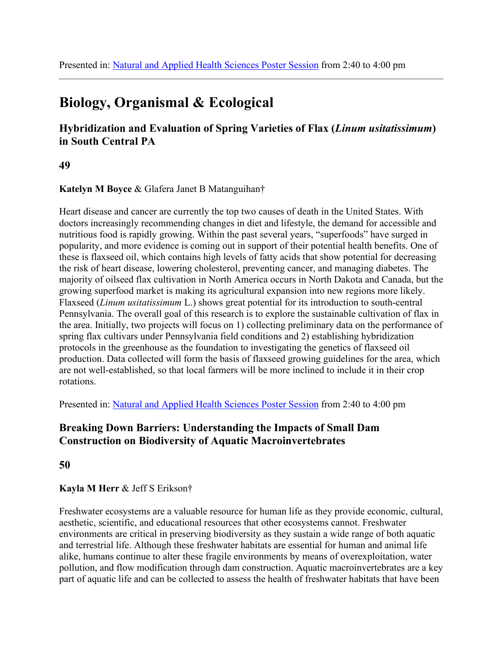## **Biology, Organismal & Ecological**

## **Hybridization and Evaluation of Spring Varieties of Flax (***Linum usitatissimum***) in South Central PA**

#### **49**

**Katelyn M Boyce** & Glafera Janet B Matanguihan†

Heart disease and cancer are currently the top two causes of death in the United States. With doctors increasingly recommending changes in diet and lifestyle, the demand for accessible and nutritious food is rapidly growing. Within the past several years, "superfoods" have surged in popularity, and more evidence is coming out in support of their potential health benefits. One of these is flaxseed oil, which contains high levels of fatty acids that show potential for decreasing the risk of heart disease, lowering cholesterol, preventing cancer, and managing diabetes. The majority of oilseed flax cultivation in North America occurs in North Dakota and Canada, but the growing superfood market is making its agricultural expansion into new regions more likely. Flaxseed (*Linum usitatissimum* L.) shows great potential for its introduction to south-central Pennsylvania. The overall goal of this research is to explore the sustainable cultivation of flax in the area. Initially, two projects will focus on 1) collecting preliminary data on the performance of spring flax cultivars under Pennsylvania field conditions and 2) establishing hybridization protocols in the greenhouse as the foundation to investigating the genetics of flaxseed oil production. Data collected will form the basis of flaxseed growing guidelines for the area, which are not well-established, so that local farmers will be more inclined to include it in their crop rotations.

Presented in: [Natural and Applied Health Sciences Poster Session](http://huggs.messiah.edu/seh_symposium/symposium_posters.php?session=3) from 2:40 to 4:00 pm

## **Breaking Down Barriers: Understanding the Impacts of Small Dam Construction on Biodiversity of Aquatic Macroinvertebrates**

**50**

#### **Kayla M Herr** & Jeff S Erikson†

Freshwater ecosystems are a valuable resource for human life as they provide economic, cultural, aesthetic, scientific, and educational resources that other ecosystems cannot. Freshwater environments are critical in preserving biodiversity as they sustain a wide range of both aquatic and terrestrial life. Although these freshwater habitats are essential for human and animal life alike, humans continue to alter these fragile environments by means of overexploitation, water pollution, and flow modification through dam construction. Aquatic macroinvertebrates are a key part of aquatic life and can be collected to assess the health of freshwater habitats that have been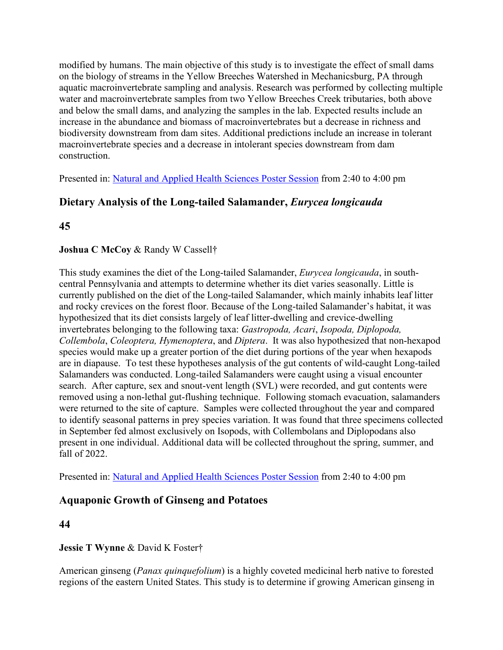modified by humans. The main objective of this study is to investigate the effect of small dams on the biology of streams in the Yellow Breeches Watershed in Mechanicsburg, PA through aquatic macroinvertebrate sampling and analysis. Research was performed by collecting multiple water and macroinvertebrate samples from two Yellow Breeches Creek tributaries, both above and below the small dams, and analyzing the samples in the lab. Expected results include an increase in the abundance and biomass of macroinvertebrates but a decrease in richness and biodiversity downstream from dam sites. Additional predictions include an increase in tolerant macroinvertebrate species and a decrease in intolerant species downstream from dam construction.

Presented in: [Natural and Applied Health Sciences Poster Session](http://huggs.messiah.edu/seh_symposium/symposium_posters.php?session=3) from 2:40 to 4:00 pm

## **Dietary Analysis of the Long-tailed Salamander,** *Eurycea longicauda*

#### **45**

#### **Joshua C McCoy** & Randy W Cassell†

This study examines the diet of the Long-tailed Salamander, *Eurycea longicauda*, in southcentral Pennsylvania and attempts to determine whether its diet varies seasonally. Little is currently published on the diet of the Long-tailed Salamander, which mainly inhabits leaf litter and rocky crevices on the forest floor. Because of the Long-tailed Salamander's habitat, it was hypothesized that its diet consists largely of leaf litter-dwelling and crevice-dwelling invertebrates belonging to the following taxa: *Gastropoda, Acari*, *Isopoda, Diplopoda, Collembola*, *Coleoptera, Hymenoptera*, and *Diptera*. It was also hypothesized that non-hexapod species would make up a greater portion of the diet during portions of the year when hexapods are in diapause. To test these hypotheses analysis of the gut contents of wild-caught Long-tailed Salamanders was conducted. Long-tailed Salamanders were caught using a visual encounter search. After capture, sex and snout-vent length (SVL) were recorded, and gut contents were removed using a non-lethal gut-flushing technique. Following stomach evacuation, salamanders were returned to the site of capture. Samples were collected throughout the year and compared to identify seasonal patterns in prey species variation. It was found that three specimens collected in September fed almost exclusively on Isopods, with Collembolans and Diplopodans also present in one individual. Additional data will be collected throughout the spring, summer, and fall of 2022.

Presented in: Natural and Applied [Health Sciences Poster Session](http://huggs.messiah.edu/seh_symposium/symposium_posters.php?session=3) from 2:40 to 4:00 pm

## **Aquaponic Growth of Ginseng and Potatoes**

#### **44**

#### **Jessie T Wynne** & David K Foster†

American ginseng (*Panax quinquefolium*) is a highly coveted medicinal herb native to forested regions of the eastern United States. This study is to determine if growing American ginseng in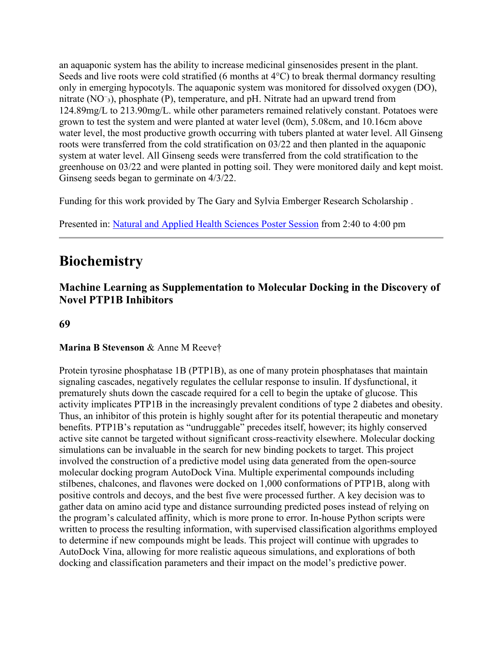an aquaponic system has the ability to increase medicinal ginsenosides present in the plant. Seeds and live roots were cold stratified (6 months at 4<sup>o</sup>C) to break thermal dormancy resulting only in emerging hypocotyls. The aquaponic system was monitored for dissolved oxygen (DO), nitrate (NO<sup>-</sup>3), phosphate (P), temperature, and pH. Nitrate had an upward trend from 124.89mg/L to 213.90mg/L. while other parameters remained relatively constant. Potatoes were grown to test the system and were planted at water level (0cm), 5.08cm, and 10.16cm above water level, the most productive growth occurring with tubers planted at water level. All Ginseng roots were transferred from the cold stratification on 03/22 and then planted in the aquaponic system at water level. All Ginseng seeds were transferred from the cold stratification to the greenhouse on 03/22 and were planted in potting soil. They were monitored daily and kept moist. Ginseng seeds began to germinate on 4/3/22.

Funding for this work provided by The Gary and Sylvia Emberger Research Scholarship .

Presented in: [Natural and Applied Health Sciences Poster Session](http://huggs.messiah.edu/seh_symposium/symposium_posters.php?session=3) from 2:40 to 4:00 pm

## **Biochemistry**

### **Machine Learning as Supplementation to Molecular Docking in the Discovery of Novel PTP1B Inhibitors**

### **69**

#### **Marina B Stevenson** & Anne M Reeve†

Protein tyrosine phosphatase 1B (PTP1B), as one of many protein phosphatases that maintain signaling cascades, negatively regulates the cellular response to insulin. If dysfunctional, it prematurely shuts down the cascade required for a cell to begin the uptake of glucose. This activity implicates PTP1B in the increasingly prevalent conditions of type 2 diabetes and obesity. Thus, an inhibitor of this protein is highly sought after for its potential therapeutic and monetary benefits. PTP1B's reputation as "undruggable" precedes itself, however; its highly conserved active site cannot be targeted without significant cross-reactivity elsewhere. Molecular docking simulations can be invaluable in the search for new binding pockets to target. This project involved the construction of a predictive model using data generated from the open-source molecular docking program AutoDock Vina. Multiple experimental compounds including stilbenes, chalcones, and flavones were docked on 1,000 conformations of PTP1B, along with positive controls and decoys, and the best five were processed further. A key decision was to gather data on amino acid type and distance surrounding predicted poses instead of relying on the program's calculated affinity, which is more prone to error. In-house Python scripts were written to process the resulting information, with supervised classification algorithms employed to determine if new compounds might be leads. This project will continue with upgrades to AutoDock Vina, allowing for more realistic aqueous simulations, and explorations of both docking and classification parameters and their impact on the model's predictive power.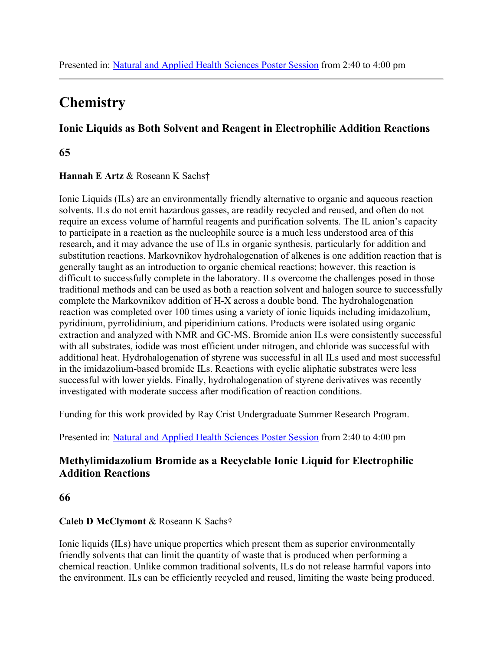## **Chemistry**

### **Ionic Liquids as Both Solvent and Reagent in Electrophilic Addition Reactions**

## **65**

**Hannah E Artz** & Roseann K Sachs†

Ionic Liquids (ILs) are an environmentally friendly alternative to organic and aqueous reaction solvents. ILs do not emit hazardous gasses, are readily recycled and reused, and often do not require an excess volume of harmful reagents and purification solvents. The IL anion's capacity to participate in a reaction as the nucleophile source is a much less understood area of this research, and it may advance the use of ILs in organic synthesis, particularly for addition and substitution reactions. Markovnikov hydrohalogenation of alkenes is one addition reaction that is generally taught as an introduction to organic chemical reactions; however, this reaction is difficult to successfully complete in the laboratory. ILs overcome the challenges posed in those traditional methods and can be used as both a reaction solvent and halogen source to successfully complete the Markovnikov addition of H-X across a double bond. The hydrohalogenation reaction was completed over 100 times using a variety of ionic liquids including imidazolium, pyridinium, pyrrolidinium, and piperidinium cations. Products were isolated using organic extraction and analyzed with NMR and GC-MS. Bromide anion ILs were consistently successful with all substrates, iodide was most efficient under nitrogen, and chloride was successful with additional heat. Hydrohalogenation of styrene was successful in all ILs used and most successful in the imidazolium-based bromide ILs. Reactions with cyclic aliphatic substrates were less successful with lower yields. Finally, hydrohalogenation of styrene derivatives was recently investigated with moderate success after modification of reaction conditions.

Funding for this work provided by Ray Crist Undergraduate Summer Research Program.

Presented in: [Natural and Applied Health Sciences Poster Session](http://huggs.messiah.edu/seh_symposium/symposium_posters.php?session=3) from 2:40 to 4:00 pm

## **Methylimidazolium Bromide as a Recyclable Ionic Liquid for Electrophilic Addition Reactions**

**66**

#### **Caleb D McClymont** & Roseann K Sachs†

Ionic liquids (ILs) have unique properties which present them as superior environmentally friendly solvents that can limit the quantity of waste that is produced when performing a chemical reaction. Unlike common traditional solvents, ILs do not release harmful vapors into the environment. ILs can be efficiently recycled and reused, limiting the waste being produced.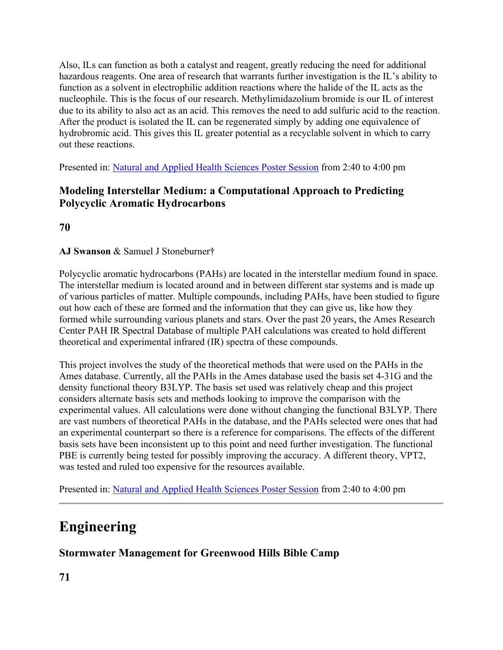Also, ILs can function as both a catalyst and reagent, greatly reducing the need for additional hazardous reagents. One area of research that warrants further investigation is the IL's ability to function as a solvent in electrophilic addition reactions where the halide of the IL acts as the nucleophile. This is the focus of our research. Methylimidazolium bromide is our IL of interest due to its ability to also act as an acid. This removes the need to add sulfuric acid to the reaction. After the product is isolated the IL can be regenerated simply by adding one equivalence of hydrobromic acid. This gives this IL greater potential as a recyclable solvent in which to carry out these reactions.

Presented in: [Natural and Applied Health Sciences Poster Session](http://huggs.messiah.edu/seh_symposium/symposium_posters.php?session=3) from 2:40 to 4:00 pm

## **Modeling Interstellar Medium: a Computational Approach to Predicting Polycyclic Aromatic Hydrocarbons**

**70**

### **AJ Swanson** & Samuel J Stoneburner†

Polycyclic aromatic hydrocarbons (PAHs) are located in the interstellar medium found in space. The interstellar medium is located around and in between different star systems and is made up of various particles of matter. Multiple compounds, including PAHs, have been studied to figure out how each of these are formed and the information that they can give us, like how they formed while surrounding various planets and stars. Over the past 20 years, the Ames Research Center PAH IR Spectral Database of multiple PAH calculations was created to hold different theoretical and experimental infrared (IR) spectra of these compounds.

This project involves the study of the theoretical methods that were used on the PAHs in the Ames database. Currently, all the PAHs in the Ames database used the basis set 4-31G and the density functional theory B3LYP. The basis set used was relatively cheap and this project considers alternate basis sets and methods looking to improve the comparison with the experimental values. All calculations were done without changing the functional B3LYP. There are vast numbers of theoretical PAHs in the database, and the PAHs selected were ones that had an experimental counterpart so there is a reference for comparisons. The effects of the different basis sets have been inconsistent up to this point and need further investigation. The functional PBE is currently being tested for possibly improving the accuracy. A different theory, VPT2, was tested and ruled too expensive for the resources available.

Presented in: [Natural and Applied Health Sciences Poster Session](http://huggs.messiah.edu/seh_symposium/symposium_posters.php?session=3) from 2:40 to 4:00 pm

## **Engineering**

## **Stormwater Management for Greenwood Hills Bible Camp**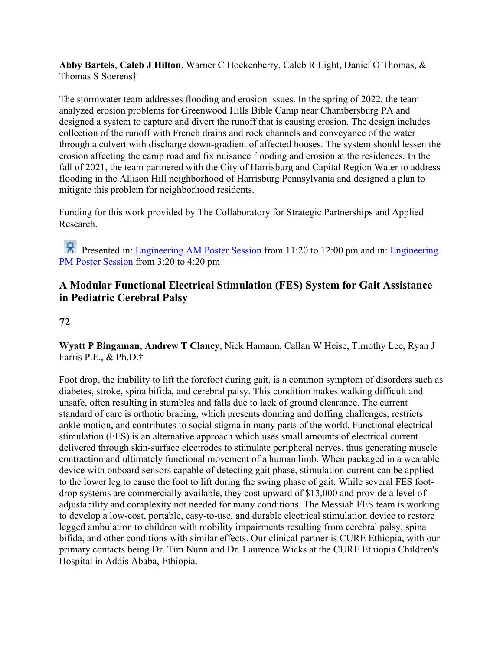**Abby Bartels**, **Caleb J Hilton**, Warner C Hockenberry, Caleb R Light, Daniel O Thomas, & Thomas S Soerens†

The stormwater team addresses flooding and erosion issues. In the spring of 2022, the team analyzed erosion problems for Greenwood Hills Bible Camp near Chambersburg PA and designed a system to capture and divert the runoff that is causing erosion. The design includes collection of the runoff with French drains and rock channels and conveyance of the water through a culvert with discharge down-gradient of affected houses. The system should lessen the erosion affecting the camp road and fix nuisance flooding and erosion at the residences. In the fall of 2021, the team partnered with the City of Harrisburg and Capital Region Water to address flooding in the Allison Hill neighborhood of Harrisburg Pennsylvania and designed a plan to mitigate this problem for neighborhood residents.

Funding for this work provided by The Collaboratory for Strategic Partnerships and Applied Research.

Presented in: [Engineering AM Poster Session](http://huggs.messiah.edu/seh_symposium/symposium_posters.php?session=1) from 11:20 to 12:00 pm and in: Engineering [PM Poster Session](http://huggs.messiah.edu/seh_symposium/symposium_posters.php?session=2) from 3:20 to 4:20 pm

## **A Modular Functional Electrical Stimulation (FES) System for Gait Assistance in Pediatric Cerebral Palsy**

### **72**

**Wyatt P Bingaman**, **Andrew T Clancy**, Nick Hamann, Callan W Heise, Timothy Lee, Ryan J Farris P.E., & Ph.D.†

Foot drop, the inability to lift the forefoot during gait, is a common symptom of disorders such as diabetes, stroke, spina bifida, and cerebral palsy. This condition makes walking difficult and unsafe, often resulting in stumbles and falls due to lack of ground clearance. The current standard of care is orthotic bracing, which presents donning and doffing challenges, restricts ankle motion, and contributes to social stigma in many parts of the world. Functional electrical stimulation (FES) is an alternative approach which uses small amounts of electrical current delivered through skin-surface electrodes to stimulate peripheral nerves, thus generating muscle contraction and ultimately functional movement of a human limb. When packaged in a wearable device with onboard sensors capable of detecting gait phase, stimulation current can be applied to the lower leg to cause the foot to lift during the swing phase of gait. While several FES footdrop systems are commercially available, they cost upward of \$13,000 and provide a level of adjustability and complexity not needed for many conditions. The Messiah FES team is working to develop a low-cost, portable, easy-to-use, and durable electrical stimulation device to restore legged ambulation to children with mobility impairments resulting from cerebral palsy, spina bifida, and other conditions with similar effects. Our clinical partner is CURE Ethiopia, with our primary contacts being Dr. Tim Nunn and Dr. Laurence Wicks at the CURE Ethiopia Children's Hospital in Addis Ababa, Ethiopia.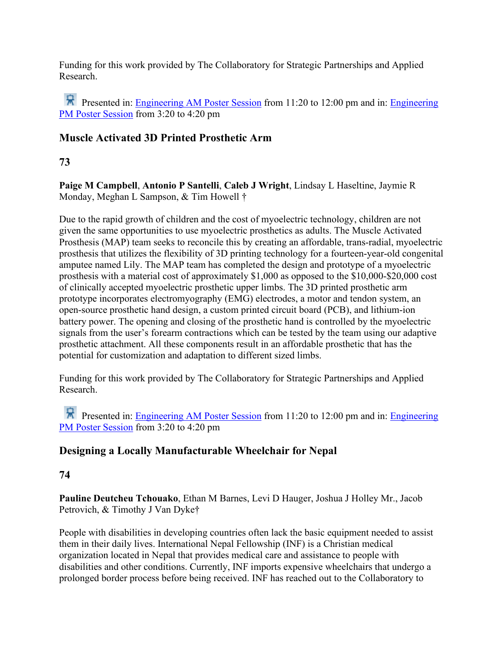Funding for this work provided by The Collaboratory for Strategic Partnerships and Applied Research.

Presented in: [Engineering AM Poster Session](http://huggs.messiah.edu/seh_symposium/symposium_posters.php?session=1) from 11:20 to 12:00 pm and in: Engineering [PM Poster Session](http://huggs.messiah.edu/seh_symposium/symposium_posters.php?session=2) from 3:20 to 4:20 pm

## **Muscle Activated 3D Printed Prosthetic Arm**

## **73**

**Paige M Campbell**, **Antonio P Santelli**, **Caleb J Wright**, Lindsay L Haseltine, Jaymie R Monday, Meghan L Sampson, & Tim Howell †

Due to the rapid growth of children and the cost of myoelectric technology, children are not given the same opportunities to use myoelectric prosthetics as adults. The Muscle Activated Prosthesis (MAP) team seeks to reconcile this by creating an affordable, trans-radial, myoelectric prosthesis that utilizes the flexibility of 3D printing technology for a fourteen-year-old congenital amputee named Lily. The MAP team has completed the design and prototype of a myoelectric prosthesis with a material cost of approximately \$1,000 as opposed to the \$10,000-\$20,000 cost of clinically accepted myoelectric prosthetic upper limbs. The 3D printed prosthetic arm prototype incorporates electromyography (EMG) electrodes, a motor and tendon system, an open-source prosthetic hand design, a custom printed circuit board (PCB), and lithium-ion battery power. The opening and closing of the prosthetic hand is controlled by the myoelectric signals from the user's forearm contractions which can be tested by the team using our adaptive prosthetic attachment. All these components result in an affordable prosthetic that has the potential for customization and adaptation to different sized limbs.

Funding for this work provided by The Collaboratory for Strategic Partnerships and Applied Research.

Presented in: [Engineering AM Poster Session](http://huggs.messiah.edu/seh_symposium/symposium_posters.php?session=1) from 11:20 to 12:00 pm and in: Engineering [PM Poster Session](http://huggs.messiah.edu/seh_symposium/symposium_posters.php?session=2) from 3:20 to 4:20 pm

## **Designing a Locally Manufacturable Wheelchair for Nepal**

## **74**

**Pauline Deutcheu Tchouako**, Ethan M Barnes, Levi D Hauger, Joshua J Holley Mr., Jacob Petrovich, & Timothy J Van Dyke†

People with disabilities in developing countries often lack the basic equipment needed to assist them in their daily lives. International Nepal Fellowship (INF) is a Christian medical organization located in Nepal that provides medical care and assistance to people with disabilities and other conditions. Currently, INF imports expensive wheelchairs that undergo a prolonged border process before being received. INF has reached out to the Collaboratory to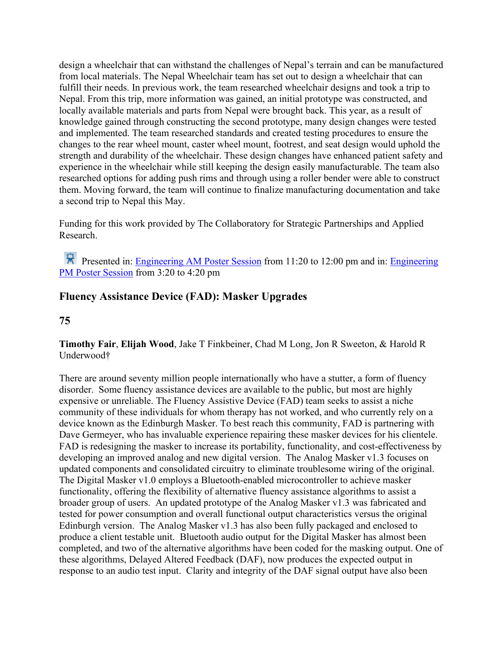design a wheelchair that can withstand the challenges of Nepal's terrain and can be manufactured from local materials. The Nepal Wheelchair team has set out to design a wheelchair that can fulfill their needs. In previous work, the team researched wheelchair designs and took a trip to Nepal. From this trip, more information was gained, an initial prototype was constructed, and locally available materials and parts from Nepal were brought back. This year, as a result of knowledge gained through constructing the second prototype, many design changes were tested and implemented. The team researched standards and created testing procedures to ensure the changes to the rear wheel mount, caster wheel mount, footrest, and seat design would uphold the strength and durability of the wheelchair. These design changes have enhanced patient safety and experience in the wheelchair while still keeping the design easily manufacturable. The team also researched options for adding push rims and through using a roller bender were able to construct them. Moving forward, the team will continue to finalize manufacturing documentation and take a second trip to Nepal this May.

Funding for this work provided by The Collaboratory for Strategic Partnerships and Applied Research.

Presented in: [Engineering AM Poster Session](http://huggs.messiah.edu/seh_symposium/symposium_posters.php?session=1) from 11:20 to 12:00 pm and in: Engineering [PM Poster Session](http://huggs.messiah.edu/seh_symposium/symposium_posters.php?session=2) from 3:20 to 4:20 pm

## **Fluency Assistance Device (FAD): Masker Upgrades**

#### **75**

**Timothy Fair**, **Elijah Wood**, Jake T Finkbeiner, Chad M Long, Jon R Sweeton, & Harold R Underwood†

There are around seventy million people internationally who have a stutter, a form of fluency disorder. Some fluency assistance devices are available to the public, but most are highly expensive or unreliable. The Fluency Assistive Device (FAD) team seeks to assist a niche community of these individuals for whom therapy has not worked, and who currently rely on a device known as the Edinburgh Masker. To best reach this community, FAD is partnering with Dave Germeyer, who has invaluable experience repairing these masker devices for his clientele. FAD is redesigning the masker to increase its portability, functionality, and cost-effectiveness by developing an improved analog and new digital version. The Analog Masker v1.3 focuses on updated components and consolidated circuitry to eliminate troublesome wiring of the original. The Digital Masker v1.0 employs a Bluetooth-enabled microcontroller to achieve masker functionality, offering the flexibility of alternative fluency assistance algorithms to assist a broader group of users. An updated prototype of the Analog Masker v1.3 was fabricated and tested for power consumption and overall functional output characteristics versus the original Edinburgh version. The Analog Masker v1.3 has also been fully packaged and enclosed to produce a client testable unit. Bluetooth audio output for the Digital Masker has almost been completed, and two of the alternative algorithms have been coded for the masking output. One of these algorithms, Delayed Altered Feedback (DAF), now produces the expected output in response to an audio test input. Clarity and integrity of the DAF signal output have also been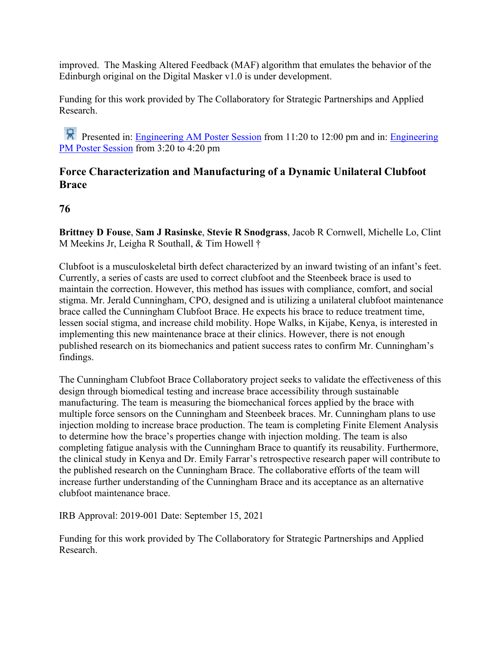improved. The Masking Altered Feedback (MAF) algorithm that emulates the behavior of the Edinburgh original on the Digital Masker v1.0 is under development.

Funding for this work provided by The Collaboratory for Strategic Partnerships and Applied Research.

Presented in: [Engineering AM Poster Session](http://huggs.messiah.edu/seh_symposium/symposium_posters.php?session=1) from 11:20 to 12:00 pm and in: Engineering [PM Poster Session](http://huggs.messiah.edu/seh_symposium/symposium_posters.php?session=2) from 3:20 to 4:20 pm

## **Force Characterization and Manufacturing of a Dynamic Unilateral Clubfoot Brace**

**76**

**Brittney D Fouse**, **Sam J Rasinske**, **Stevie R Snodgrass**, Jacob R Cornwell, Michelle Lo, Clint M Meekins Jr, Leigha R Southall, & Tim Howell †

Clubfoot is a musculoskeletal birth defect characterized by an inward twisting of an infant's feet. Currently, a series of casts are used to correct clubfoot and the Steenbeek brace is used to maintain the correction. However, this method has issues with compliance, comfort, and social stigma. Mr. Jerald Cunningham, CPO, designed and is utilizing a unilateral clubfoot maintenance brace called the Cunningham Clubfoot Brace. He expects his brace to reduce treatment time, lessen social stigma, and increase child mobility. Hope Walks, in Kijabe, Kenya, is interested in implementing this new maintenance brace at their clinics. However, there is not enough published research on its biomechanics and patient success rates to confirm Mr. Cunningham's findings.

The Cunningham Clubfoot Brace Collaboratory project seeks to validate the effectiveness of this design through biomedical testing and increase brace accessibility through sustainable manufacturing. The team is measuring the biomechanical forces applied by the brace with multiple force sensors on the Cunningham and Steenbeek braces. Mr. Cunningham plans to use injection molding to increase brace production. The team is completing Finite Element Analysis to determine how the brace's properties change with injection molding. The team is also completing fatigue analysis with the Cunningham Brace to quantify its reusability. Furthermore, the clinical study in Kenya and Dr. Emily Farrar's retrospective research paper will contribute to the published research on the Cunningham Brace. The collaborative efforts of the team will increase further understanding of the Cunningham Brace and its acceptance as an alternative clubfoot maintenance brace.

IRB Approval: 2019-001 Date: September 15, 2021

Funding for this work provided by The Collaboratory for Strategic Partnerships and Applied Research.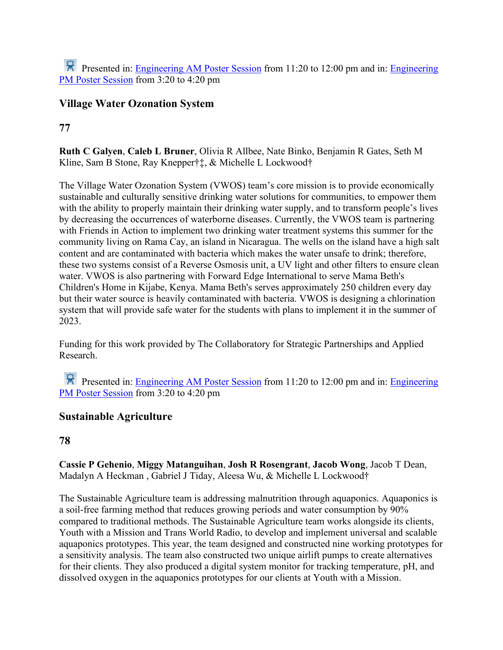**Presented in:** [Engineering AM Poster Session](http://huggs.messiah.edu/seh_symposium/symposium_posters.php?session=1) from 11:20 to 12:00 pm and in: Engineering [PM Poster Session](http://huggs.messiah.edu/seh_symposium/symposium_posters.php?session=2) from 3:20 to 4:20 pm

#### **Village Water Ozonation System**

#### **77**

**Ruth C Galyen**, **Caleb L Bruner**, Olivia R Allbee, Nate Binko, Benjamin R Gates, Seth M Kline, Sam B Stone, Ray Knepper†‡, & Michelle L Lockwood†

The Village Water Ozonation System (VWOS) team's core mission is to provide economically sustainable and culturally sensitive drinking water solutions for communities, to empower them with the ability to properly maintain their drinking water supply, and to transform people's lives by decreasing the occurrences of waterborne diseases. Currently, the VWOS team is partnering with Friends in Action to implement two drinking water treatment systems this summer for the community living on Rama Cay, an island in Nicaragua. The wells on the island have a high salt content and are contaminated with bacteria which makes the water unsafe to drink; therefore, these two systems consist of a Reverse Osmosis unit, a UV light and other filters to ensure clean water. VWOS is also partnering with Forward Edge International to serve Mama Beth's Children's Home in Kijabe, Kenya. Mama Beth's serves approximately 250 children every day but their water source is heavily contaminated with bacteria. VWOS is designing a chlorination system that will provide safe water for the students with plans to implement it in the summer of 2023.

Funding for this work provided by The Collaboratory for Strategic Partnerships and Applied Research.

Presented in: [Engineering AM Poster Session](http://huggs.messiah.edu/seh_symposium/symposium_posters.php?session=1) from 11:20 to 12:00 pm and in: Engineering [PM Poster Session](http://huggs.messiah.edu/seh_symposium/symposium_posters.php?session=2) from 3:20 to 4:20 pm

#### **Sustainable Agriculture**

#### **78**

**Cassie P Gehenio**, **Miggy Matanguihan**, **Josh R Rosengrant**, **Jacob Wong**, Jacob T Dean, Madalyn A Heckman , Gabriel J Tiday, Aleesa Wu, & Michelle L Lockwood†

The Sustainable Agriculture team is addressing malnutrition through aquaponics. Aquaponics is a soil-free farming method that reduces growing periods and water consumption by 90% compared to traditional methods. The Sustainable Agriculture team works alongside its clients, Youth with a Mission and Trans World Radio, to develop and implement universal and scalable aquaponics prototypes. This year, the team designed and constructed nine working prototypes for a sensitivity analysis. The team also constructed two unique airlift pumps to create alternatives for their clients. They also produced a digital system monitor for tracking temperature, pH, and dissolved oxygen in the aquaponics prototypes for our clients at Youth with a Mission.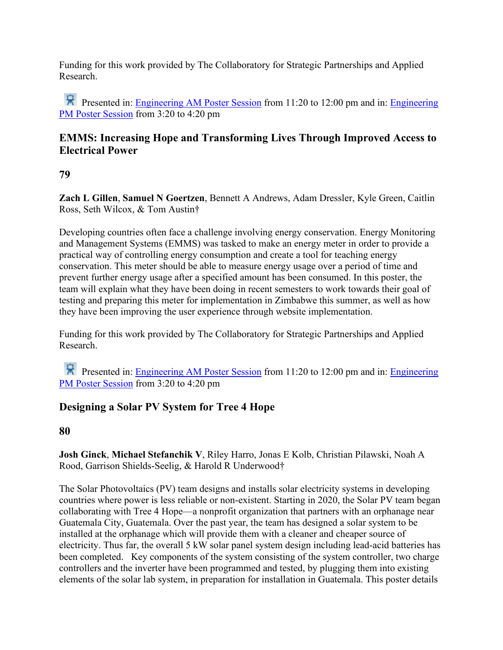Funding for this work provided by The Collaboratory for Strategic Partnerships and Applied Research.

Presented in: [Engineering AM Poster Session](http://huggs.messiah.edu/seh_symposium/symposium_posters.php?session=1) from 11:20 to 12:00 pm and in: Engineering [PM Poster Session](http://huggs.messiah.edu/seh_symposium/symposium_posters.php?session=2) from 3:20 to 4:20 pm

## **EMMS: Increasing Hope and Transforming Lives Through Improved Access to Electrical Power**

**79**

**Zach L Gillen**, **Samuel N Goertzen**, Bennett A Andrews, Adam Dressler, Kyle Green, Caitlin Ross, Seth Wilcox, & Tom Austin†

Developing countries often face a challenge involving energy conservation. Energy Monitoring and Management Systems (EMMS) was tasked to make an energy meter in order to provide a practical way of controlling energy consumption and create a tool for teaching energy conservation. This meter should be able to measure energy usage over a period of time and prevent further energy usage after a specified amount has been consumed. In this poster, the team will explain what they have been doing in recent semesters to work towards their goal of testing and preparing this meter for implementation in Zimbabwe this summer, as well as how they have been improving the user experience through website implementation.

Funding for this work provided by The Collaboratory for Strategic Partnerships and Applied Research.

Presented in: [Engineering AM Poster Session](http://huggs.messiah.edu/seh_symposium/symposium_posters.php?session=1) from 11:20 to 12:00 pm and in: Engineering [PM Poster Session](http://huggs.messiah.edu/seh_symposium/symposium_posters.php?session=2) from 3:20 to 4:20 pm

## **Designing a Solar PV System for Tree 4 Hope**

**80**

**Josh Ginck**, **Michael Stefanchik V**, Riley Harro, Jonas E Kolb, Christian Pilawski, Noah A Rood, Garrison Shields-Seelig, & Harold R Underwood†

The Solar Photovoltaics (PV) team designs and installs solar electricity systems in developing countries where power is less reliable or non-existent. Starting in 2020, the Solar PV team began collaborating with Tree 4 Hope—a nonprofit organization that partners with an orphanage near Guatemala City, Guatemala. Over the past year, the team has designed a solar system to be installed at the orphanage which will provide them with a cleaner and cheaper source of electricity. Thus far, the overall 5 kW solar panel system design including lead-acid batteries has been completed. Key components of the system consisting of the system controller, two charge controllers and the inverter have been programmed and tested, by plugging them into existing elements of the solar lab system, in preparation for installation in Guatemala. This poster details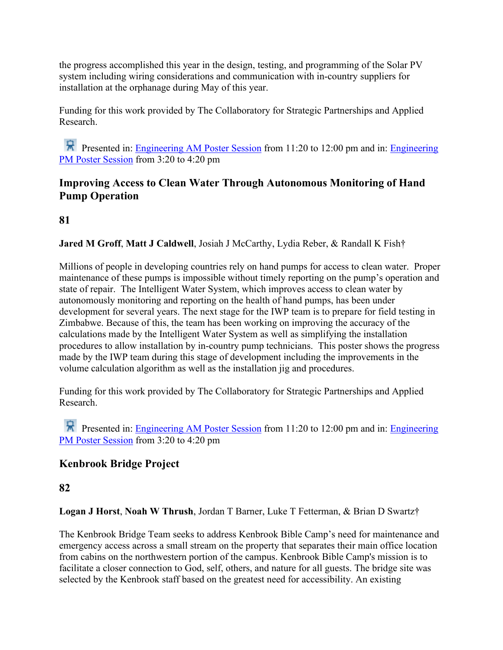the progress accomplished this year in the design, testing, and programming of the Solar PV system including wiring considerations and communication with in-country suppliers for installation at the orphanage during May of this year.

Funding for this work provided by The Collaboratory for Strategic Partnerships and Applied Research.

Presented in: [Engineering AM Poster Session](http://huggs.messiah.edu/seh_symposium/symposium_posters.php?session=1) from 11:20 to 12:00 pm and in: Engineering [PM Poster Session](http://huggs.messiah.edu/seh_symposium/symposium_posters.php?session=2) from 3:20 to 4:20 pm

## **Improving Access to Clean Water Through Autonomous Monitoring of Hand Pump Operation**

## **81**

#### **Jared M Groff**, **Matt J Caldwell**, Josiah J McCarthy, Lydia Reber, & Randall K Fish†

Millions of people in developing countries rely on hand pumps for access to clean water. Proper maintenance of these pumps is impossible without timely reporting on the pump's operation and state of repair. The Intelligent Water System, which improves access to clean water by autonomously monitoring and reporting on the health of hand pumps, has been under development for several years. The next stage for the IWP team is to prepare for field testing in Zimbabwe. Because of this, the team has been working on improving the accuracy of the calculations made by the Intelligent Water System as well as simplifying the installation procedures to allow installation by in-country pump technicians. This poster shows the progress made by the IWP team during this stage of development including the improvements in the volume calculation algorithm as well as the installation jig and procedures.

Funding for this work provided by The Collaboratory for Strategic Partnerships and Applied Research.

Presented in: [Engineering AM Poster Session](http://huggs.messiah.edu/seh_symposium/symposium_posters.php?session=1) from 11:20 to 12:00 pm and in: Engineering [PM Poster Session](http://huggs.messiah.edu/seh_symposium/symposium_posters.php?session=2) from 3:20 to 4:20 pm

#### **Kenbrook Bridge Project**

#### **82**

**Logan J Horst**, **Noah W Thrush**, Jordan T Barner, Luke T Fetterman, & Brian D Swartz†

The Kenbrook Bridge Team seeks to address Kenbrook Bible Camp's need for maintenance and emergency access across a small stream on the property that separates their main office location from cabins on the northwestern portion of the campus. Kenbrook Bible Camp's mission is to facilitate a closer connection to God, self, others, and nature for all guests. The bridge site was selected by the Kenbrook staff based on the greatest need for accessibility. An existing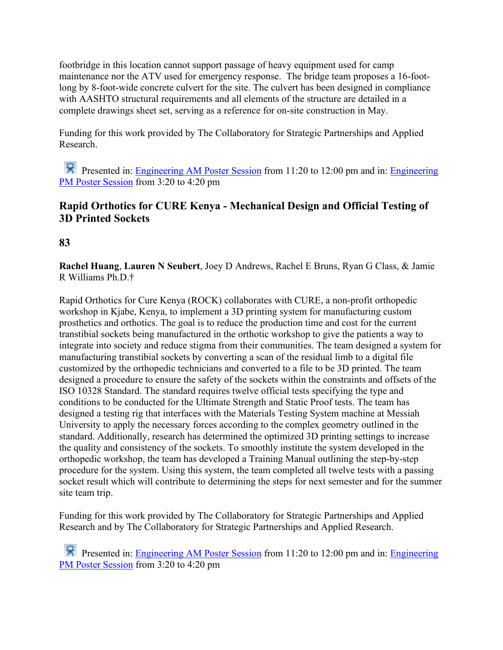footbridge in this location cannot support passage of heavy equipment used for camp maintenance nor the ATV used for emergency response. The bridge team proposes a 16-footlong by 8-foot-wide concrete culvert for the site. The culvert has been designed in compliance with AASHTO structural requirements and all elements of the structure are detailed in a complete drawings sheet set, serving as a reference for on-site construction in May.

Funding for this work provided by The Collaboratory for Strategic Partnerships and Applied Research.

Presented in: [Engineering AM Poster Session](http://huggs.messiah.edu/seh_symposium/symposium_posters.php?session=1) from 11:20 to 12:00 pm and in: Engineering [PM Poster Session](http://huggs.messiah.edu/seh_symposium/symposium_posters.php?session=2) from 3:20 to 4:20 pm

## **Rapid Orthotics for CURE Kenya - Mechanical Design and Official Testing of 3D Printed Sockets**

**83**

**Rachel Huang**, **Lauren N Seubert**, Joey D Andrews, Rachel E Bruns, Ryan G Class, & Jamie R Williams Ph.D.†

Rapid Orthotics for Cure Kenya (ROCK) collaborates with CURE, a non-profit orthopedic workshop in Kjabe, Kenya, to implement a 3D printing system for manufacturing custom prosthetics and orthotics. The goal is to reduce the production time and cost for the current transtibial sockets being manufactured in the orthotic workshop to give the patients a way to integrate into society and reduce stigma from their communities. The team designed a system for manufacturing transtibial sockets by converting a scan of the residual limb to a digital file customized by the orthopedic technicians and converted to a file to be 3D printed. The team designed a procedure to ensure the safety of the sockets within the constraints and offsets of the ISO 10328 Standard. The standard requires twelve official tests specifying the type and conditions to be conducted for the Ultimate Strength and Static Proof tests. The team has designed a testing rig that interfaces with the Materials Testing System machine at Messiah University to apply the necessary forces according to the complex geometry outlined in the standard. Additionally, research has determined the optimized 3D printing settings to increase the quality and consistency of the sockets. To smoothly institute the system developed in the orthopedic workshop, the team has developed a Training Manual outlining the step-by-step procedure for the system. Using this system, the team completed all twelve tests with a passing socket result which will contribute to determining the steps for next semester and for the summer site team trip.

Funding for this work provided by The Collaboratory for Strategic Partnerships and Applied Research and by The Collaboratory for Strategic Partnerships and Applied Research.

**Presented in: [Engineering AM Poster Session](http://huggs.messiah.edu/seh_symposium/symposium_posters.php?session=1) from 11:20 to 12:00 pm and in: Engineering** [PM Poster Session](http://huggs.messiah.edu/seh_symposium/symposium_posters.php?session=2) from 3:20 to 4:20 pm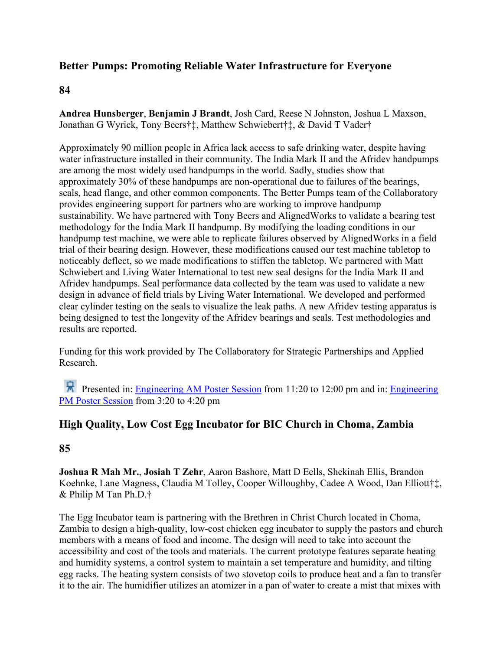### **Better Pumps: Promoting Reliable Water Infrastructure for Everyone**

#### **84**

**Andrea Hunsberger**, **Benjamin J Brandt**, Josh Card, Reese N Johnston, Joshua L Maxson, Jonathan G Wyrick, Tony Beers†‡, Matthew Schwiebert†‡, & David T Vader†

Approximately 90 million people in Africa lack access to safe drinking water, despite having water infrastructure installed in their community. The India Mark II and the Afridev handpumps are among the most widely used handpumps in the world. Sadly, studies show that approximately 30% of these handpumps are non-operational due to failures of the bearings, seals, head flange, and other common components. The Better Pumps team of the Collaboratory provides engineering support for partners who are working to improve handpump sustainability. We have partnered with Tony Beers and AlignedWorks to validate a bearing test methodology for the India Mark II handpump. By modifying the loading conditions in our handpump test machine, we were able to replicate failures observed by AlignedWorks in a field trial of their bearing design. However, these modifications caused our test machine tabletop to noticeably deflect, so we made modifications to stiffen the tabletop. We partnered with Matt Schwiebert and Living Water International to test new seal designs for the India Mark II and Afridev handpumps. Seal performance data collected by the team was used to validate a new design in advance of field trials by Living Water International. We developed and performed clear cylinder testing on the seals to visualize the leak paths. A new Afridev testing apparatus is being designed to test the longevity of the Afridev bearings and seals. Test methodologies and results are reported.

Funding for this work provided by The Collaboratory for Strategic Partnerships and Applied Research.

Presented in: [Engineering AM Poster Session](http://huggs.messiah.edu/seh_symposium/symposium_posters.php?session=1) from 11:20 to 12:00 pm and in: Engineering [PM Poster Session](http://huggs.messiah.edu/seh_symposium/symposium_posters.php?session=2) from 3:20 to 4:20 pm

#### **High Quality, Low Cost Egg Incubator for BIC Church in Choma, Zambia**

#### **85**

**Joshua R Mah Mr.**, **Josiah T Zehr**, Aaron Bashore, Matt D Eells, Shekinah Ellis, Brandon Koehnke, Lane Magness, Claudia M Tolley, Cooper Willoughby, Cadee A Wood, Dan Elliott†‡, & Philip M Tan Ph.D.†

The Egg Incubator team is partnering with the Brethren in Christ Church located in Choma, Zambia to design a high-quality, low-cost chicken egg incubator to supply the pastors and church members with a means of food and income. The design will need to take into account the accessibility and cost of the tools and materials. The current prototype features separate heating and humidity systems, a control system to maintain a set temperature and humidity, and tilting egg racks. The heating system consists of two stovetop coils to produce heat and a fan to transfer it to the air. The humidifier utilizes an atomizer in a pan of water to create a mist that mixes with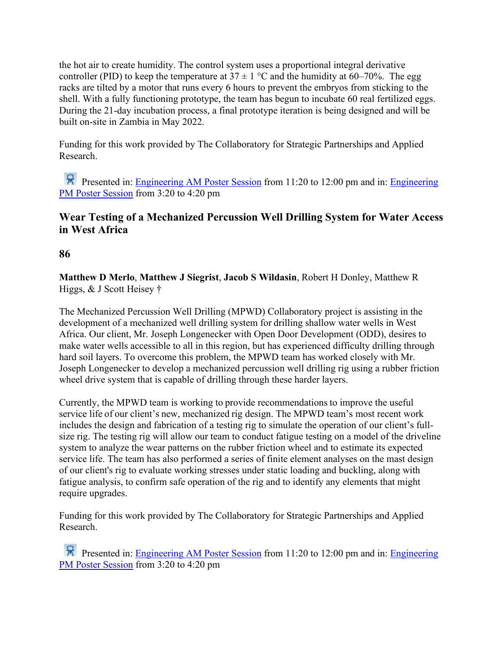the hot air to create humidity. The control system uses a proportional integral derivative controller (PID) to keep the temperature at  $37 \pm 1$  °C and the humidity at 60–70%. The egg racks are tilted by a motor that runs every 6 hours to prevent the embryos from sticking to the shell. With a fully functioning prototype, the team has begun to incubate 60 real fertilized eggs. During the 21-day incubation process, a final prototype iteration is being designed and will be built on-site in Zambia in May 2022.

Funding for this work provided by The Collaboratory for Strategic Partnerships and Applied Research.

Presented in: [Engineering AM Poster Session](http://huggs.messiah.edu/seh_symposium/symposium_posters.php?session=1) from 11:20 to 12:00 pm and in: Engineering [PM Poster Session](http://huggs.messiah.edu/seh_symposium/symposium_posters.php?session=2) from 3:20 to 4:20 pm

## **Wear Testing of a Mechanized Percussion Well Drilling System for Water Access in West Africa**

## **86**

**Matthew D Merlo**, **Matthew J Siegrist**, **Jacob S Wildasin**, Robert H Donley, Matthew R Higgs, & J Scott Heisey †

The Mechanized Percussion Well Drilling (MPWD) Collaboratory project is assisting in the development of a mechanized well drilling system for drilling shallow water wells in West Africa. Our client, Mr. Joseph Longenecker with Open Door Development (ODD), desires to make water wells accessible to all in this region, but has experienced difficulty drilling through hard soil layers. To overcome this problem, the MPWD team has worked closely with Mr. Joseph Longenecker to develop a mechanized percussion well drilling rig using a rubber friction wheel drive system that is capable of drilling through these harder layers.

Currently, the MPWD team is working to provide recommendations to improve the useful service life of our client's new, mechanized rig design. The MPWD team's most recent work includes the design and fabrication of a testing rig to simulate the operation of our client's fullsize rig. The testing rig will allow our team to conduct fatigue testing on a model of the driveline system to analyze the wear patterns on the rubber friction wheel and to estimate its expected service life. The team has also performed a series of finite element analyses on the mast design of our client's rig to evaluate working stresses under static loading and buckling, along with fatigue analysis, to confirm safe operation of the rig and to identify any elements that might require upgrades.

Funding for this work provided by The Collaboratory for Strategic Partnerships and Applied Research.

Presented in: [Engineering AM Poster Session](http://huggs.messiah.edu/seh_symposium/symposium_posters.php?session=1) from 11:20 to 12:00 pm and in: Engineering [PM Poster Session](http://huggs.messiah.edu/seh_symposium/symposium_posters.php?session=2) from 3:20 to 4:20 pm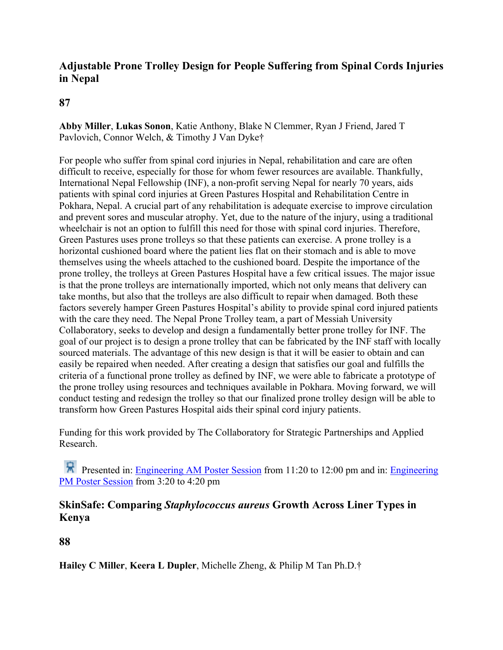## **Adjustable Prone Trolley Design for People Suffering from Spinal Cords Injuries in Nepal**

## **87**

**Abby Miller**, **Lukas Sonon**, Katie Anthony, Blake N Clemmer, Ryan J Friend, Jared T Pavlovich, Connor Welch, & Timothy J Van Dyke†

For people who suffer from spinal cord injuries in Nepal, rehabilitation and care are often difficult to receive, especially for those for whom fewer resources are available. Thankfully, International Nepal Fellowship (INF), a non-profit serving Nepal for nearly 70 years, aids patients with spinal cord injuries at Green Pastures Hospital and Rehabilitation Centre in Pokhara, Nepal. A crucial part of any rehabilitation is adequate exercise to improve circulation and prevent sores and muscular atrophy. Yet, due to the nature of the injury, using a traditional wheelchair is not an option to fulfill this need for those with spinal cord injuries. Therefore, Green Pastures uses prone trolleys so that these patients can exercise. A prone trolley is a horizontal cushioned board where the patient lies flat on their stomach and is able to move themselves using the wheels attached to the cushioned board. Despite the importance of the prone trolley, the trolleys at Green Pastures Hospital have a few critical issues. The major issue is that the prone trolleys are internationally imported, which not only means that delivery can take months, but also that the trolleys are also difficult to repair when damaged. Both these factors severely hamper Green Pastures Hospital's ability to provide spinal cord injured patients with the care they need. The Nepal Prone Trolley team, a part of Messiah University Collaboratory, seeks to develop and design a fundamentally better prone trolley for INF. The goal of our project is to design a prone trolley that can be fabricated by the INF staff with locally sourced materials. The advantage of this new design is that it will be easier to obtain and can easily be repaired when needed. After creating a design that satisfies our goal and fulfills the criteria of a functional prone trolley as defined by INF, we were able to fabricate a prototype of the prone trolley using resources and techniques available in Pokhara. Moving forward, we will conduct testing and redesign the trolley so that our finalized prone trolley design will be able to transform how Green Pastures Hospital aids their spinal cord injury patients.

Funding for this work provided by The Collaboratory for Strategic Partnerships and Applied Research.

Presented in: [Engineering AM Poster Session](http://huggs.messiah.edu/seh_symposium/symposium_posters.php?session=1) from 11:20 to 12:00 pm and in: Engineering [PM Poster Session](http://huggs.messiah.edu/seh_symposium/symposium_posters.php?session=2) from 3:20 to 4:20 pm

## **SkinSafe: Comparing** *Staphylococcus aureus* **Growth Across Liner Types in Kenya**

**88**

**Hailey C Miller**, **Keera L Dupler**, Michelle Zheng, & Philip M Tan Ph.D.†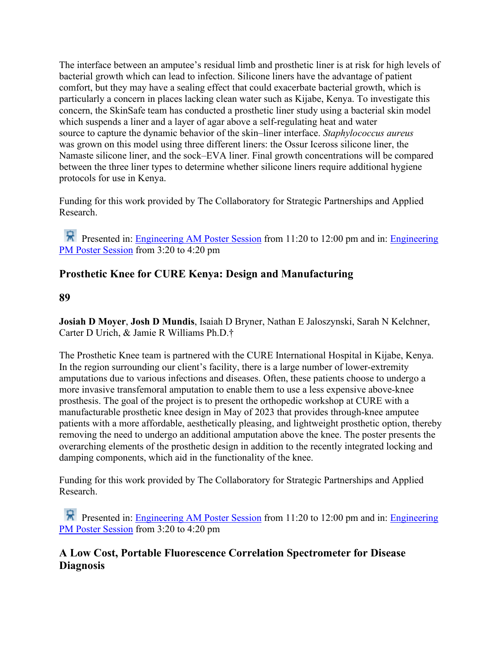The interface between an amputee's residual limb and prosthetic liner is at risk for high levels of bacterial growth which can lead to infection. Silicone liners have the advantage of patient comfort, but they may have a sealing effect that could exacerbate bacterial growth, which is particularly a concern in places lacking clean water such as Kijabe, Kenya. To investigate this concern, the SkinSafe team has conducted a prosthetic liner study using a bacterial skin model which suspends a liner and a layer of agar above a self-regulating heat and water source to capture the dynamic behavior of the skin–liner interface. *Staphylococcus aureus* was grown on this model using three different liners: the Ossur Iceross silicone liner, the Namaste silicone liner, and the sock–EVA liner. Final growth concentrations will be compared between the three liner types to determine whether silicone liners require additional hygiene protocols for use in Kenya.

Funding for this work provided by The Collaboratory for Strategic Partnerships and Applied Research.

Presented in: [Engineering AM Poster Session](http://huggs.messiah.edu/seh_symposium/symposium_posters.php?session=1) from 11:20 to 12:00 pm and in: Engineering [PM Poster Session](http://huggs.messiah.edu/seh_symposium/symposium_posters.php?session=2) from 3:20 to 4:20 pm

## **Prosthetic Knee for CURE Kenya: Design and Manufacturing**

### **89**

**Josiah D Moyer**, **Josh D Mundis**, Isaiah D Bryner, Nathan E Jaloszynski, Sarah N Kelchner, Carter D Urich, & Jamie R Williams Ph.D.†

The Prosthetic Knee team is partnered with the CURE International Hospital in Kijabe, Kenya. In the region surrounding our client's facility, there is a large number of lower-extremity amputations due to various infections and diseases. Often, these patients choose to undergo a more invasive transfemoral amputation to enable them to use a less expensive above-knee prosthesis. The goal of the project is to present the orthopedic workshop at CURE with a manufacturable prosthetic knee design in May of 2023 that provides through-knee amputee patients with a more affordable, aesthetically pleasing, and lightweight prosthetic option, thereby removing the need to undergo an additional amputation above the knee. The poster presents the overarching elements of the prosthetic design in addition to the recently integrated locking and damping components, which aid in the functionality of the knee.

Funding for this work provided by The Collaboratory for Strategic Partnerships and Applied Research.

Presented in: [Engineering AM Poster Session](http://huggs.messiah.edu/seh_symposium/symposium_posters.php?session=1) from 11:20 to 12:00 pm and in: Engineering [PM Poster Session](http://huggs.messiah.edu/seh_symposium/symposium_posters.php?session=2) from 3:20 to 4:20 pm

## **A Low Cost, Portable Fluorescence Correlation Spectrometer for Disease Diagnosis**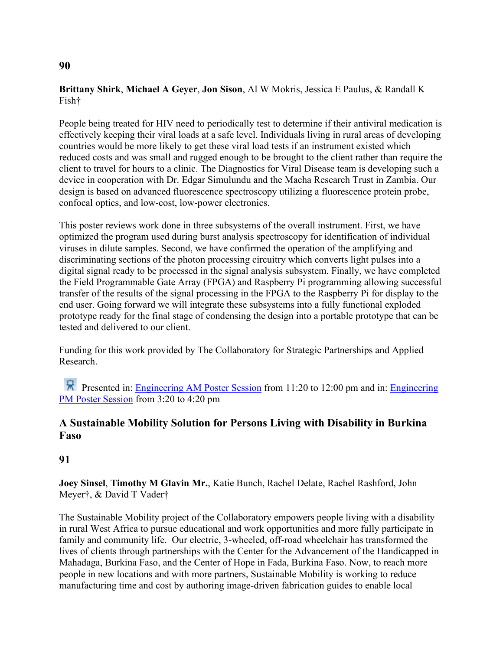#### **Brittany Shirk**, **Michael A Geyer**, **Jon Sison**, Al W Mokris, Jessica E Paulus, & Randall K Fish†

People being treated for HIV need to periodically test to determine if their antiviral medication is effectively keeping their viral loads at a safe level. Individuals living in rural areas of developing countries would be more likely to get these viral load tests if an instrument existed which reduced costs and was small and rugged enough to be brought to the client rather than require the client to travel for hours to a clinic. The Diagnostics for Viral Disease team is developing such a device in cooperation with Dr. Edgar Simulundu and the Macha Research Trust in Zambia. Our design is based on advanced fluorescence spectroscopy utilizing a fluorescence protein probe, confocal optics, and low-cost, low-power electronics. 

This poster reviews work done in three subsystems of the overall instrument. First, we have optimized the program used during burst analysis spectroscopy for identification of individual viruses in dilute samples. Second, we have confirmed the operation of the amplifying and discriminating sections of the photon processing circuitry which converts light pulses into a digital signal ready to be processed in the signal analysis subsystem. Finally, we have completed the Field Programmable Gate Array (FPGA) and Raspberry Pi programming allowing successful transfer of the results of the signal processing in the FPGA to the Raspberry Pi for display to the end user. Going forward we will integrate these subsystems into a fully functional exploded prototype ready for the final stage of condensing the design into a portable prototype that can be tested and delivered to our client.

Funding for this work provided by The Collaboratory for Strategic Partnerships and Applied Research.

Presented in: [Engineering AM Poster Session](http://huggs.messiah.edu/seh_symposium/symposium_posters.php?session=1) from 11:20 to 12:00 pm and in: Engineering [PM Poster Session](http://huggs.messiah.edu/seh_symposium/symposium_posters.php?session=2) from 3:20 to 4:20 pm

## **A Sustainable Mobility Solution for Persons Living with Disability in Burkina Faso**

## **91**

**Joey Sinsel**, **Timothy M Glavin Mr.**, Katie Bunch, Rachel Delate, Rachel Rashford, John Meyer†, & David T Vader†

The Sustainable Mobility project of the Collaboratory empowers people living with a disability in rural West Africa to pursue educational and work opportunities and more fully participate in family and community life. Our electric, 3-wheeled, off-road wheelchair has transformed the lives of clients through partnerships with the Center for the Advancement of the Handicapped in Mahadaga, Burkina Faso, and the Center of Hope in Fada, Burkina Faso. Now, to reach more people in new locations and with more partners, Sustainable Mobility is working to reduce manufacturing time and cost by authoring image-driven fabrication guides to enable local

#### **90**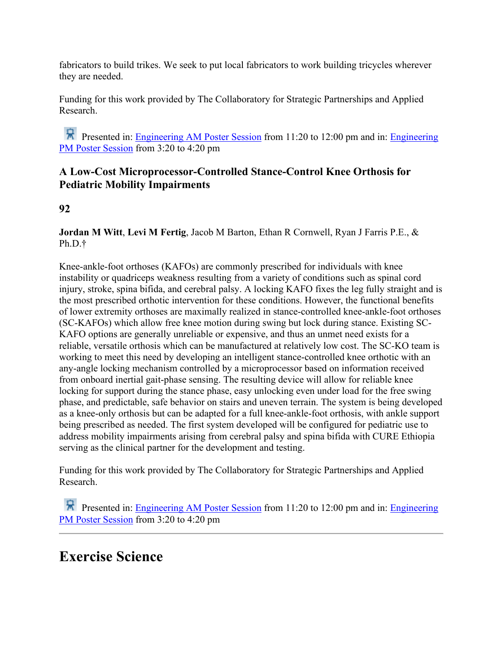fabricators to build trikes. We seek to put local fabricators to work building tricycles wherever they are needed.

Funding for this work provided by The Collaboratory for Strategic Partnerships and Applied Research.

Presented in: **Engineering AM Poster Session** from 11:20 to 12:00 pm and in: **Engineering** [PM Poster Session](http://huggs.messiah.edu/seh_symposium/symposium_posters.php?session=2) from 3:20 to 4:20 pm

## **A Low-Cost Microprocessor-Controlled Stance-Control Knee Orthosis for Pediatric Mobility Impairments**

**92**

**Jordan M Witt**, **Levi M Fertig**, Jacob M Barton, Ethan R Cornwell, Ryan J Farris P.E., & Ph.D.†

Knee-ankle-foot orthoses (KAFOs) are commonly prescribed for individuals with knee instability or quadriceps weakness resulting from a variety of conditions such as spinal cord injury, stroke, spina bifida, and cerebral palsy. A locking KAFO fixes the leg fully straight and is the most prescribed orthotic intervention for these conditions. However, the functional benefits of lower extremity orthoses are maximally realized in stance-controlled knee-ankle-foot orthoses (SC-KAFOs) which allow free knee motion during swing but lock during stance. Existing SC-KAFO options are generally unreliable or expensive, and thus an unmet need exists for a reliable, versatile orthosis which can be manufactured at relatively low cost. The SC-KO team is working to meet this need by developing an intelligent stance-controlled knee orthotic with an any-angle locking mechanism controlled by a microprocessor based on information received from onboard inertial gait-phase sensing. The resulting device will allow for reliable knee locking for support during the stance phase, easy unlocking even under load for the free swing phase, and predictable, safe behavior on stairs and uneven terrain. The system is being developed as a knee-only orthosis but can be adapted for a full knee-ankle-foot orthosis, with ankle support being prescribed as needed. The first system developed will be configured for pediatric use to address mobility impairments arising from cerebral palsy and spina bifida with CURE Ethiopia serving as the clinical partner for the development and testing.

Funding for this work provided by The Collaboratory for Strategic Partnerships and Applied Research.

Presented in: [Engineering AM Poster Session](http://huggs.messiah.edu/seh_symposium/symposium_posters.php?session=1) from 11:20 to 12:00 pm and in: Engineering [PM Poster Session](http://huggs.messiah.edu/seh_symposium/symposium_posters.php?session=2) from 3:20 to 4:20 pm

## **Exercise Science**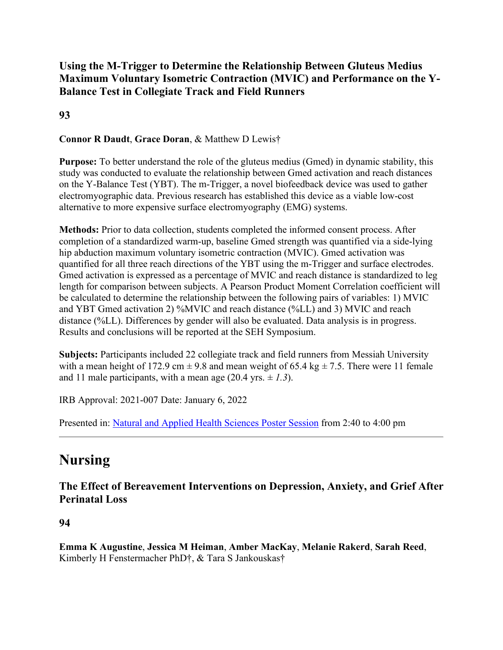## **Using the M-Trigger to Determine the Relationship Between Gluteus Medius Maximum Voluntary Isometric Contraction (MVIC) and Performance on the Y-Balance Test in Collegiate Track and Field Runners**

**93**

#### **Connor R Daudt**, **Grace Doran**, & Matthew D Lewis†

**Purpose:** To better understand the role of the gluteus medius (Gmed) in dynamic stability, this study was conducted to evaluate the relationship between Gmed activation and reach distances on the Y-Balance Test (YBT). The m-Trigger, a novel biofeedback device was used to gather electromyographic data. Previous research has established this device as a viable low-cost alternative to more expensive surface electromyography (EMG) systems.

**Methods:** Prior to data collection, students completed the informed consent process. After completion of a standardized warm-up, baseline Gmed strength was quantified via a side-lying hip abduction maximum voluntary isometric contraction (MVIC). Gmed activation was quantified for all three reach directions of the YBT using the m-Trigger and surface electrodes. Gmed activation is expressed as a percentage of MVIC and reach distance is standardized to leg length for comparison between subjects. A Pearson Product Moment Correlation coefficient will be calculated to determine the relationship between the following pairs of variables: 1) MVIC and YBT Gmed activation 2) %MVIC and reach distance (%LL) and 3) MVIC and reach distance (%LL). Differences by gender will also be evaluated. Data analysis is in progress. Results and conclusions will be reported at the SEH Symposium.

**Subjects:** Participants included 22 collegiate track and field runners from Messiah University with a mean height of 172.9 cm  $\pm$  9.8 and mean weight of 65.4 kg  $\pm$  7.5. There were 11 female and 11 male participants, with a mean age  $(20.4 \text{ yrs.} \pm 1.3)$ .

IRB Approval: 2021-007 Date: January 6, 2022

Presented in: [Natural and Applied Health Sciences Poster Session](http://huggs.messiah.edu/seh_symposium/symposium_posters.php?session=3) from 2:40 to 4:00 pm

## **Nursing**

**The Effect of Bereavement Interventions on Depression, Anxiety, and Grief After Perinatal Loss**

**94**

**Emma K Augustine**, **Jessica M Heiman**, **Amber MacKay**, **Melanie Rakerd**, **Sarah Reed**, Kimberly H Fenstermacher PhD†, & Tara S Jankouskas†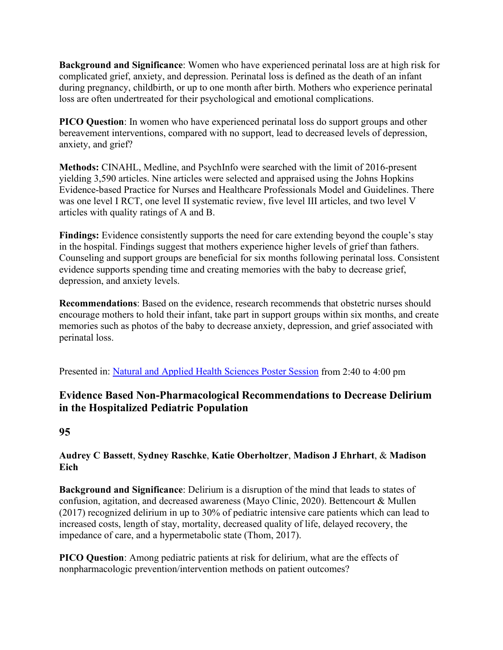**Background and Significance**: Women who have experienced perinatal loss are at high risk for complicated grief, anxiety, and depression. Perinatal loss is defined as the death of an infant during pregnancy, childbirth, or up to one month after birth. Mothers who experience perinatal loss are often undertreated for their psychological and emotional complications.

**PICO Question**: In women who have experienced perinatal loss do support groups and other bereavement interventions, compared with no support, lead to decreased levels of depression, anxiety, and grief?

**Methods:** CINAHL, Medline, and PsychInfo were searched with the limit of 2016-present yielding 3,590 articles. Nine articles were selected and appraised using the Johns Hopkins Evidence-based Practice for Nurses and Healthcare Professionals Model and Guidelines. There was one level I RCT, one level II systematic review, five level III articles, and two level V articles with quality ratings of A and B.

**Findings:** Evidence consistently supports the need for care extending beyond the couple's stay in the hospital. Findings suggest that mothers experience higher levels of grief than fathers. Counseling and support groups are beneficial for six months following perinatal loss. Consistent evidence supports spending time and creating memories with the baby to decrease grief, depression, and anxiety levels.

**Recommendations**: Based on the evidence, research recommends that obstetric nurses should encourage mothers to hold their infant, take part in support groups within six months, and create memories such as photos of the baby to decrease anxiety, depression, and grief associated with perinatal loss.

Presented in: [Natural and Applied Health Sciences Poster Session](http://huggs.messiah.edu/seh_symposium/symposium_posters.php?session=3) from 2:40 to 4:00 pm

## **Evidence Based Non-Pharmacological Recommendations to Decrease Delirium in the Hospitalized Pediatric Population**

**95**

#### **Audrey C Bassett**, **Sydney Raschke**, **Katie Oberholtzer**, **Madison J Ehrhart**, & **Madison Eich**

**Background and Significance**: Delirium is a disruption of the mind that leads to states of confusion, agitation, and decreased awareness (Mayo Clinic, 2020). Bettencourt & Mullen (2017) recognized delirium in up to 30% of pediatric intensive care patients which can lead to increased costs, length of stay, mortality, decreased quality of life, delayed recovery, the impedance of care, and a hypermetabolic state (Thom, 2017).

**PICO Question**: Among pediatric patients at risk for delirium, what are the effects of nonpharmacologic prevention/intervention methods on patient outcomes?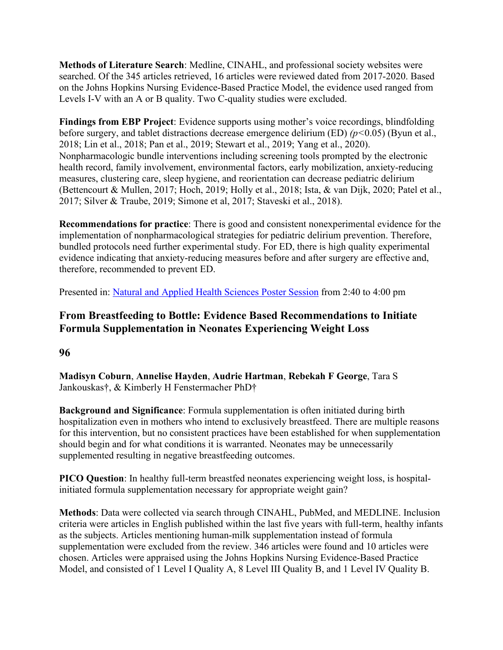**Methods of Literature Search**: Medline, CINAHL, and professional society websites were searched. Of the 345 articles retrieved, 16 articles were reviewed dated from 2017-2020. Based on the Johns Hopkins Nursing Evidence-Based Practice Model, the evidence used ranged from Levels I-V with an A or B quality. Two C-quality studies were excluded.

**Findings from EBP Project**: Evidence supports using mother's voice recordings, blindfolding before surgery, and tablet distractions decrease emergence delirium (ED) *(p<*0.05) (Byun et al., 2018; Lin et al., 2018; Pan et al., 2019; Stewart et al., 2019; Yang et al., 2020). Nonpharmacologic bundle interventions including screening tools prompted by the electronic health record, family involvement, environmental factors, early mobilization, anxiety-reducing measures, clustering care, sleep hygiene, and reorientation can decrease pediatric delirium (Bettencourt & Mullen, 2017; Hoch, 2019; Holly et al., 2018; Ista, & van Dijk, 2020; Patel et al., 2017; Silver & Traube, 2019; Simone et al, 2017; Staveski et al., 2018).

**Recommendations for practice**: There is good and consistent nonexperimental evidence for the implementation of nonpharmacological strategies for pediatric delirium prevention. Therefore, bundled protocols need further experimental study. For ED, there is high quality experimental evidence indicating that anxiety-reducing measures before and after surgery are effective and, therefore, recommended to prevent ED.

Presented in: [Natural and Applied Health Sciences Poster Session](http://huggs.messiah.edu/seh_symposium/symposium_posters.php?session=3) from 2:40 to 4:00 pm

## **From Breastfeeding to Bottle: Evidence Based Recommendations to Initiate Formula Supplementation in Neonates Experiencing Weight Loss**

#### **96**

**Madisyn Coburn**, **Annelise Hayden**, **Audrie Hartman**, **Rebekah F George**, Tara S Jankouskas†, & Kimberly H Fenstermacher PhD†

**Background and Significance**: Formula supplementation is often initiated during birth hospitalization even in mothers who intend to exclusively breastfeed. There are multiple reasons for this intervention, but no consistent practices have been established for when supplementation should begin and for what conditions it is warranted. Neonates may be unnecessarily supplemented resulting in negative breastfeeding outcomes.

**PICO Question**: In healthy full-term breastfed neonates experiencing weight loss, is hospitalinitiated formula supplementation necessary for appropriate weight gain?

**Methods**: Data were collected via search through CINAHL, PubMed, and MEDLINE. Inclusion criteria were articles in English published within the last five years with full-term, healthy infants as the subjects. Articles mentioning human-milk supplementation instead of formula supplementation were excluded from the review. 346 articles were found and 10 articles were chosen. Articles were appraised using the Johns Hopkins Nursing Evidence-Based Practice Model, and consisted of 1 Level I Quality A, 8 Level III Quality B, and 1 Level IV Quality B.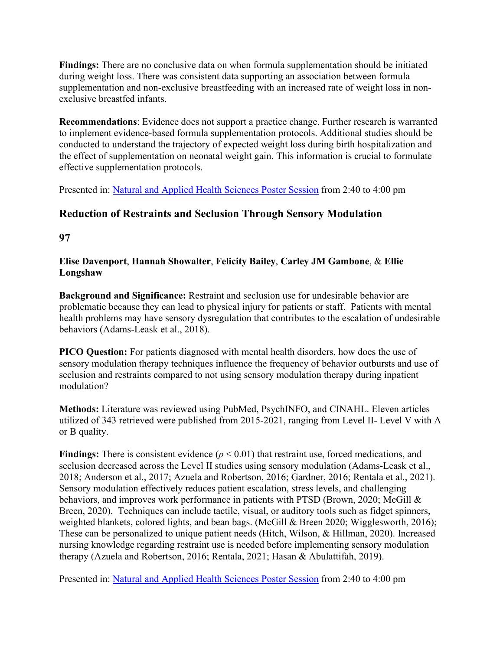**Findings:** There are no conclusive data on when formula supplementation should be initiated during weight loss. There was consistent data supporting an association between formula supplementation and non-exclusive breastfeeding with an increased rate of weight loss in nonexclusive breastfed infants.

**Recommendations**: Evidence does not support a practice change. Further research is warranted to implement evidence-based formula supplementation protocols. Additional studies should be conducted to understand the trajectory of expected weight loss during birth hospitalization and the effect of supplementation on neonatal weight gain. This information is crucial to formulate effective supplementation protocols.

Presented in: [Natural and Applied Health Sciences Poster Session](http://huggs.messiah.edu/seh_symposium/symposium_posters.php?session=3) from 2:40 to 4:00 pm

## **Reduction of Restraints and Seclusion Through Sensory Modulation**

**97**

#### **Elise Davenport**, **Hannah Showalter**, **Felicity Bailey**, **Carley JM Gambone**, & **Ellie Longshaw**

**Background and Significance:** Restraint and seclusion use for undesirable behavior are problematic because they can lead to physical injury for patients or staff. Patients with mental health problems may have sensory dysregulation that contributes to the escalation of undesirable behaviors (Adams-Leask et al., 2018).

**PICO Question:** For patients diagnosed with mental health disorders, how does the use of sensory modulation therapy techniques influence the frequency of behavior outbursts and use of seclusion and restraints compared to not using sensory modulation therapy during inpatient modulation?

**Methods:** Literature was reviewed using PubMed, PsychINFO, and CINAHL. Eleven articles utilized of 343 retrieved were published from 2015-2021, ranging from Level II- Level V with A or B quality.

**Findings:** There is consistent evidence (*p* < 0.01) that restraint use, forced medications, and seclusion decreased across the Level II studies using sensory modulation (Adams-Leask et al., 2018; Anderson et al., 2017; Azuela and Robertson, 2016; Gardner, 2016; Rentala et al., 2021). Sensory modulation effectively reduces patient escalation, stress levels, and challenging behaviors, and improves work performance in patients with PTSD (Brown, 2020; McGill & Breen, 2020). Techniques can include tactile, visual, or auditory tools such as fidget spinners, weighted blankets, colored lights, and bean bags. (McGill & Breen 2020; Wigglesworth, 2016); These can be personalized to unique patient needs (Hitch, Wilson, & Hillman, 2020). Increased nursing knowledge regarding restraint use is needed before implementing sensory modulation therapy (Azuela and Robertson, 2016; Rentala, 2021; Hasan & Abulattifah, 2019).

Presented in: [Natural and Applied Health Sciences Poster Session](http://huggs.messiah.edu/seh_symposium/symposium_posters.php?session=3) from 2:40 to 4:00 pm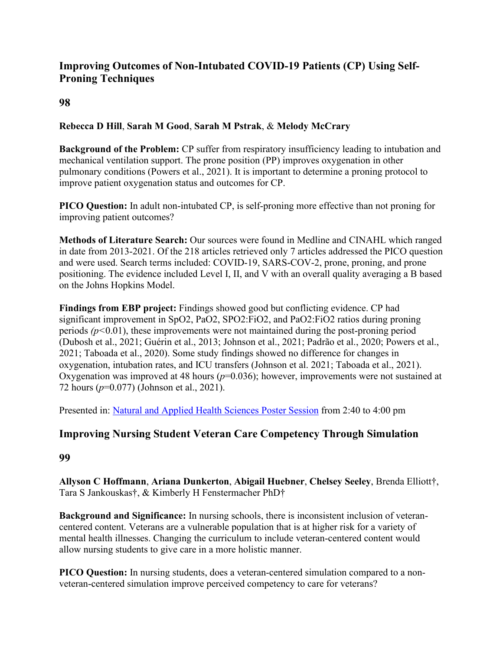## **Improving Outcomes of Non-Intubated COVID-19 Patients (CP) Using Self-Proning Techniques**

**98**

#### **Rebecca D Hill**, **Sarah M Good**, **Sarah M Pstrak**, & **Melody McCrary**

**Background of the Problem:** CP suffer from respiratory insufficiency leading to intubation and mechanical ventilation support. The prone position (PP) improves oxygenation in other pulmonary conditions (Powers et al., 2021). It is important to determine a proning protocol to improve patient oxygenation status and outcomes for CP.

**PICO Question:** In adult non-intubated CP, is self-proning more effective than not proning for improving patient outcomes?

**Methods of Literature Search:** Our sources were found in Medline and CINAHL which ranged in date from 2013-2021. Of the 218 articles retrieved only 7 articles addressed the PICO question and were used. Search terms included: COVID-19, SARS-COV-2, prone, proning, and prone positioning. The evidence included Level I, II, and V with an overall quality averaging a B based on the Johns Hopkins Model.

**Findings from EBP project:** Findings showed good but conflicting evidence. CP had significant improvement in SpO2, PaO2, SPO2:FiO2, and PaO2:FiO2 ratios during proning periods *(p<*0.01), these improvements were not maintained during the post-proning period (Dubosh et al., 2021; Guérin et al., 2013; Johnson et al., 2021; Padrão et al., 2020; Powers et al., 2021; Taboada et al., 2020). Some study findings showed no difference for changes in oxygenation, intubation rates, and ICU transfers (Johnson et al. 2021; Taboada et al., 2021). Oxygenation was improved at 48 hours (*p*=0.036); however, improvements were not sustained at 72 hours (*p*=0.077) (Johnson et al., 2021).

Presented in: [Natural and Applied Health Sciences Poster Session](http://huggs.messiah.edu/seh_symposium/symposium_posters.php?session=3) from 2:40 to 4:00 pm

## **Improving Nursing Student Veteran Care Competency Through Simulation**

#### **99**

**Allyson C Hoffmann**, **Ariana Dunkerton**, **Abigail Huebner**, **Chelsey Seeley**, Brenda Elliott†, Tara S Jankouskas†, & Kimberly H Fenstermacher PhD†

**Background and Significance:** In nursing schools, there is inconsistent inclusion of veterancentered content. Veterans are a vulnerable population that is at higher risk for a variety of mental health illnesses. Changing the curriculum to include veteran-centered content would allow nursing students to give care in a more holistic manner.

**PICO Question:** In nursing students, does a veteran-centered simulation compared to a nonveteran-centered simulation improve perceived competency to care for veterans?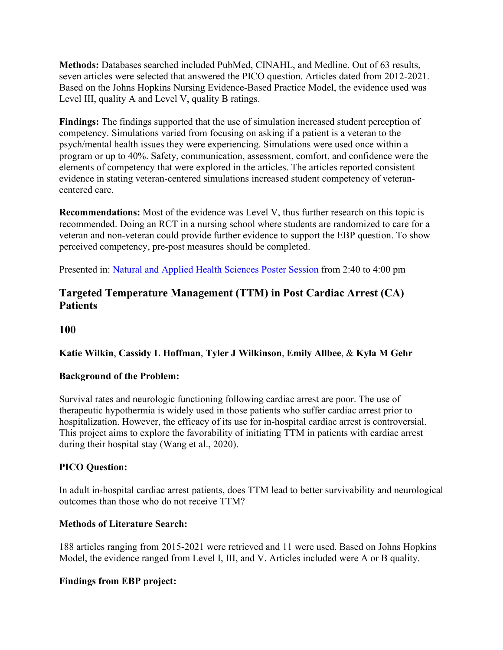**Methods:** Databases searched included PubMed, CINAHL, and Medline. Out of 63 results, seven articles were selected that answered the PICO question. Articles dated from 2012-2021. Based on the Johns Hopkins Nursing Evidence-Based Practice Model, the evidence used was Level III, quality A and Level V, quality B ratings.

**Findings:** The findings supported that the use of simulation increased student perception of competency. Simulations varied from focusing on asking if a patient is a veteran to the psych/mental health issues they were experiencing. Simulations were used once within a program or up to 40%. Safety, communication, assessment, comfort, and confidence were the elements of competency that were explored in the articles. The articles reported consistent evidence in stating veteran-centered simulations increased student competency of veterancentered care.

**Recommendations:** Most of the evidence was Level V, thus further research on this topic is recommended. Doing an RCT in a nursing school where students are randomized to care for a veteran and non-veteran could provide further evidence to support the EBP question. To show perceived competency, pre-post measures should be completed.

Presented in: [Natural and Applied Health Sciences Poster Session](http://huggs.messiah.edu/seh_symposium/symposium_posters.php?session=3) from 2:40 to 4:00 pm

## **Targeted Temperature Management (TTM) in Post Cardiac Arrest (CA) Patients**

#### **100**

#### **Katie Wilkin**, **Cassidy L Hoffman**, **Tyler J Wilkinson**, **Emily Allbee**, & **Kyla M Gehr**

#### **Background of the Problem:**

Survival rates and neurologic functioning following cardiac arrest are poor. The use of therapeutic hypothermia is widely used in those patients who suffer cardiac arrest prior to hospitalization. However, the efficacy of its use for in-hospital cardiac arrest is controversial. This project aims to explore the favorability of initiating TTM in patients with cardiac arrest during their hospital stay (Wang et al., 2020).

#### **PICO Question:**

In adult in-hospital cardiac arrest patients, does TTM lead to better survivability and neurological outcomes than those who do not receive TTM?

#### **Methods of Literature Search:**

188 articles ranging from 2015-2021 were retrieved and 11 were used. Based on Johns Hopkins Model, the evidence ranged from Level I, III, and V. Articles included were A or B quality.

#### **Findings from EBP project:**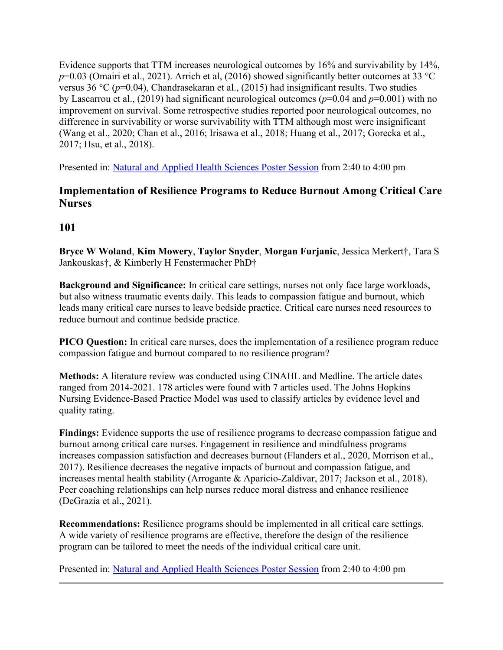Evidence supports that TTM increases neurological outcomes by 16% and survivability by 14%,  $p=0.03$  (Omairi et al., 2021). Arrich et al, (2016) showed significantly better outcomes at 33 °C versus 36 °C (*p*=0.04), Chandrasekaran et al., (2015) had insignificant results. Two studies by Lascarrou et al., (2019) had significant neurological outcomes (*p*=0.04 and *p*=0.001) with no improvement on survival. Some retrospective studies reported poor neurological outcomes, no difference in survivability or worse survivability with TTM although most were insignificant (Wang et al., 2020; Chan et al., 2016; Irisawa et al., 2018; Huang et al., 2017; Gorecka et al., 2017; Hsu, et al., 2018).

Presented in: [Natural and Applied Health Sciences Poster Session](http://huggs.messiah.edu/seh_symposium/symposium_posters.php?session=3) from 2:40 to 4:00 pm

## **Implementation of Resilience Programs to Reduce Burnout Among Critical Care Nurses**

### **101**

**Bryce W Woland**, **Kim Mowery**, **Taylor Snyder**, **Morgan Furjanic**, Jessica Merkert†, Tara S Jankouskas†, & Kimberly H Fenstermacher PhD†

**Background and Significance:** In critical care settings, nurses not only face large workloads, but also witness traumatic events daily. This leads to compassion fatigue and burnout, which leads many critical care nurses to leave bedside practice. Critical care nurses need resources to reduce burnout and continue bedside practice.

**PICO Question:** In critical care nurses, does the implementation of a resilience program reduce compassion fatigue and burnout compared to no resilience program?

**Methods:** A literature review was conducted using CINAHL and Medline. The article dates ranged from 2014-2021. 178 articles were found with 7 articles used. The Johns Hopkins Nursing Evidence-Based Practice Model was used to classify articles by evidence level and quality rating.

**Findings:** Evidence supports the use of resilience programs to decrease compassion fatigue and burnout among critical care nurses. Engagement in resilience and mindfulness programs increases compassion satisfaction and decreases burnout (Flanders et al., 2020, Morrison et al., 2017). Resilience decreases the negative impacts of burnout and compassion fatigue, and increases mental health stability (Arrogante & Aparicio-Zaldivar, 2017; Jackson et al., 2018). Peer coaching relationships can help nurses reduce moral distress and enhance resilience (DeGrazia et al., 2021).

**Recommendations:** Resilience programs should be implemented in all critical care settings. A wide variety of resilience programs are effective, therefore the design of the resilience program can be tailored to meet the needs of the individual critical care unit.

Presented in: [Natural and Applied Health Sciences Poster Session](http://huggs.messiah.edu/seh_symposium/symposium_posters.php?session=3) from 2:40 to 4:00 pm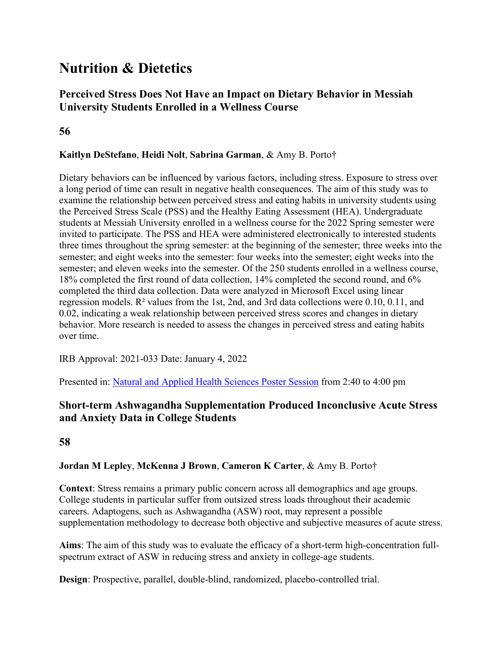## **Nutrition & Dietetics**

## **Perceived Stress Does Not Have an Impact on Dietary Behavior in Messiah University Students Enrolled in a Wellness Course**

**56**

#### **Kaitlyn DeStefano**, **Heidi Nolt**, **Sabrina Garman**, & Amy B. Porto†

Dietary behaviors can be influenced by various factors, including stress. Exposure to stress over a long period of time can result in negative health consequences. The aim of this study was to examine the relationship between perceived stress and eating habits in university students using the Perceived Stress Scale (PSS) and the Healthy Eating Assessment (HEA). Undergraduate students at Messiah University enrolled in a wellness course for the 2022 Spring semester were invited to participate. The PSS and HEA were administered electronically to interested students three times throughout the spring semester: at the beginning of the semester; three weeks into the semester; and eight weeks into the semester: four weeks into the semester; eight weeks into the semester; and eleven weeks into the semester. Of the 250 students enrolled in a wellness course, 18% completed the first round of data collection, 14% completed the second round, and 6% completed the third data collection. Data were analyzed in Microsoft Excel using linear regression models. R² values from the 1st, 2nd, and 3rd data collections were 0.10, 0.11, and 0.02, indicating a weak relationship between perceived stress scores and changes in dietary behavior. More research is needed to assess the changes in perceived stress and eating habits over time.

IRB Approval: 2021-033 Date: January 4, 2022

Presented in: [Natural and Applied Health Sciences Poster Session](http://huggs.messiah.edu/seh_symposium/symposium_posters.php?session=3) from 2:40 to 4:00 pm

## **Short-term Ashwagandha Supplementation Produced Inconclusive Acute Stress and Anxiety Data in College Students**

## **58**

## **Jordan M Lepley**, **McKenna J Brown**, **Cameron K Carter**, & Amy B. Porto†

**Context**: Stress remains a primary public concern across all demographics and age groups. College students in particular suffer from outsized stress loads throughout their academic careers. Adaptogens, such as Ashwagandha (ASW) root, may represent a possible supplementation methodology to decrease both objective and subjective measures of acute stress.

**Aims**: The aim of this study was to evaluate the efficacy of a short-term high-concentration fullspectrum extract of ASW in reducing stress and anxiety in college-age students.

**Design**: Prospective, parallel, double-blind, randomized, placebo-controlled trial.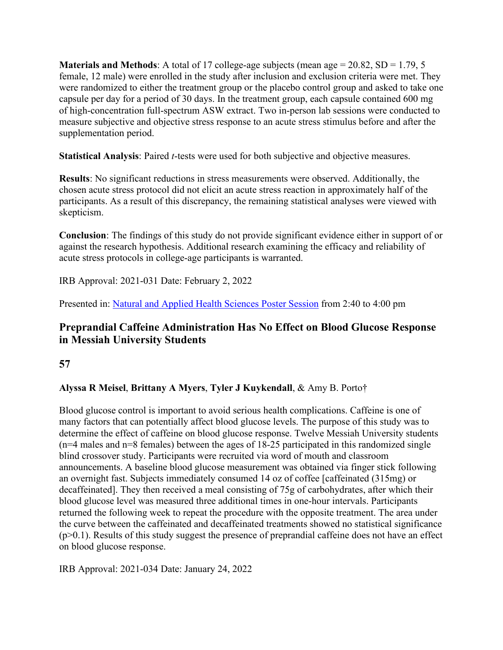**Materials and Methods:** A total of 17 college-age subjects (mean age  $= 20.82$ , SD  $= 1.79$ , 5 female, 12 male) were enrolled in the study after inclusion and exclusion criteria were met. They were randomized to either the treatment group or the placebo control group and asked to take one capsule per day for a period of 30 days. In the treatment group, each capsule contained 600 mg of high-concentration full-spectrum ASW extract. Two in-person lab sessions were conducted to measure subjective and objective stress response to an acute stress stimulus before and after the supplementation period.

**Statistical Analysis**: Paired *t*-tests were used for both subjective and objective measures.

**Results**: No significant reductions in stress measurements were observed. Additionally, the chosen acute stress protocol did not elicit an acute stress reaction in approximately half of the participants. As a result of this discrepancy, the remaining statistical analyses were viewed with skepticism.

**Conclusion**: The findings of this study do not provide significant evidence either in support of or against the research hypothesis. Additional research examining the efficacy and reliability of acute stress protocols in college-age participants is warranted.

IRB Approval: 2021-031 Date: February 2, 2022

Presented in: [Natural and Applied Health Sciences Poster Session](http://huggs.messiah.edu/seh_symposium/symposium_posters.php?session=3) from 2:40 to 4:00 pm

## **Preprandial Caffeine Administration Has No Effect on Blood Glucose Response in Messiah University Students**

**57**

### **Alyssa R Meisel**, **Brittany A Myers**, **Tyler J Kuykendall**, & Amy B. Porto†

Blood glucose control is important to avoid serious health complications. Caffeine is one of many factors that can potentially affect blood glucose levels. The purpose of this study was to determine the effect of caffeine on blood glucose response. Twelve Messiah University students  $(n=4 \text{ males and } n=8 \text{ females})$  between the ages of 18-25 participated in this randomized single blind crossover study. Participants were recruited via word of mouth and classroom announcements. A baseline blood glucose measurement was obtained via finger stick following an overnight fast. Subjects immediately consumed 14 oz of coffee [caffeinated (315mg) or decaffeinated]. They then received a meal consisting of 75g of carbohydrates, after which their blood glucose level was measured three additional times in one-hour intervals. Participants returned the following week to repeat the procedure with the opposite treatment. The area under the curve between the caffeinated and decaffeinated treatments showed no statistical significance  $(p>0.1)$ . Results of this study suggest the presence of preprandial caffeine does not have an effect on blood glucose response.

IRB Approval: 2021-034 Date: January 24, 2022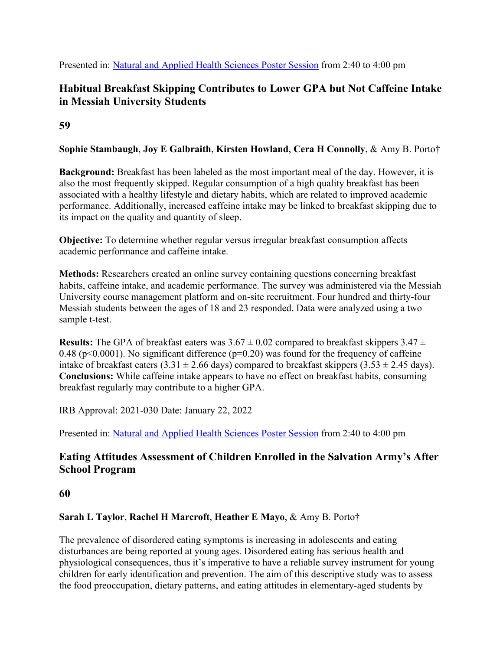Presented in: [Natural and Applied Health Sciences Poster Session](http://huggs.messiah.edu/seh_symposium/symposium_posters.php?session=3) from 2:40 to 4:00 pm

# **Habitual Breakfast Skipping Contributes to Lower GPA but Not Caffeine Intake in Messiah University Students**

# **59**

## **Sophie Stambaugh**, **Joy E Galbraith**, **Kirsten Howland**, **Cera H Connolly**, & Amy B. Porto†

**Background:** Breakfast has been labeled as the most important meal of the day. However, it is also the most frequently skipped. Regular consumption of a high quality breakfast has been associated with a healthy lifestyle and dietary habits, which are related to improved academic performance. Additionally, increased caffeine intake may be linked to breakfast skipping due to its impact on the quality and quantity of sleep.

**Objective:** To determine whether regular versus irregular breakfast consumption affects academic performance and caffeine intake.

**Methods:** Researchers created an online survey containing questions concerning breakfast habits, caffeine intake, and academic performance. The survey was administered via the Messiah University course management platform and on-site recruitment. Four hundred and thirty-four Messiah students between the ages of 18 and 23 responded. Data were analyzed using a two sample t-test.

**Results:** The GPA of breakfast eaters was  $3.67 \pm 0.02$  compared to breakfast skippers  $3.47 \pm 0.02$ 0.48 ( $p$ <0.0001). No significant difference ( $p$ =0.20) was found for the frequency of caffeine intake of breakfast eaters  $(3.31 \pm 2.66 \text{ days})$  compared to breakfast skippers  $(3.53 \pm 2.45 \text{ days})$ . **Conclusions:** While caffeine intake appears to have no effect on breakfast habits, consuming breakfast regularly may contribute to a higher GPA.

IRB Approval: 2021-030 Date: January 22, 2022

Presented in: [Natural and Applied Health Sciences Poster Session](http://huggs.messiah.edu/seh_symposium/symposium_posters.php?session=3) from 2:40 to 4:00 pm

# **Eating Attitudes Assessment of Children Enrolled in the Salvation Army's After School Program**

# **60**

# **Sarah L Taylor**, **Rachel H Marcroft**, **Heather E Mayo**, & Amy B. Porto†

The prevalence of disordered eating symptoms is increasing in adolescents and eating disturbances are being reported at young ages. Disordered eating has serious health and physiological consequences, thus it's imperative to have a reliable survey instrument for young children for early identification and prevention. The aim of this descriptive study was to assess the food preoccupation, dietary patterns, and eating attitudes in elementary-aged students by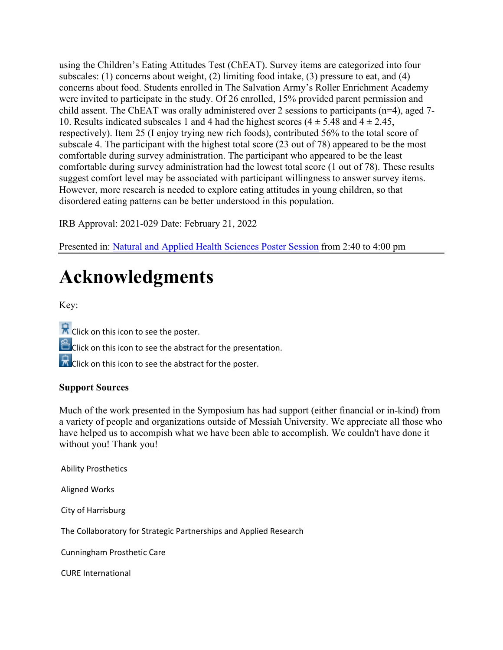using the Children's Eating Attitudes Test (ChEAT). Survey items are categorized into four subscales: (1) concerns about weight, (2) limiting food intake, (3) pressure to eat, and (4) concerns about food. Students enrolled in The Salvation Army's Roller Enrichment Academy were invited to participate in the study. Of 26 enrolled, 15% provided parent permission and child assent. The ChEAT was orally administered over 2 sessions to participants (n=4), aged 7- 10. Results indicated subscales 1 and 4 had the highest scores  $(4 \pm 5.48 \text{ and } 4 \pm 2.45,$ respectively). Item 25 (I enjoy trying new rich foods), contributed 56% to the total score of subscale 4. The participant with the highest total score (23 out of 78) appeared to be the most comfortable during survey administration. The participant who appeared to be the least comfortable during survey administration had the lowest total score (1 out of 78). These results suggest comfort level may be associated with participant willingness to answer survey items. However, more research is needed to explore eating attitudes in young children, so that disordered eating patterns can be better understood in this population.

IRB Approval: 2021-029 Date: February 21, 2022

Presented in: [Natural and Applied Health Sciences Poster Session](http://huggs.messiah.edu/seh_symposium/symposium_posters.php?session=3) from 2:40 to 4:00 pm

# **Acknowledgments**

Key:

**R** Click on this icon to see the poster.

 $\mathbf{B}$  Click on this icon to see the abstract for the presentation.

 $\mathbb R$  Click on this icon to see the abstract for the poster.

### **Support Sources**

Much of the work presented in the Symposium has had support (either financial or in-kind) from a variety of people and organizations outside of Messiah University. We appreciate all those who have helped us to accompish what we have been able to accomplish. We couldn't have done it without you! Thank you!

Ability Prosthetics

Aligned Works

City of Harrisburg

The Collaboratory for Strategic Partnerships and Applied Research

Cunningham Prosthetic Care

CURE International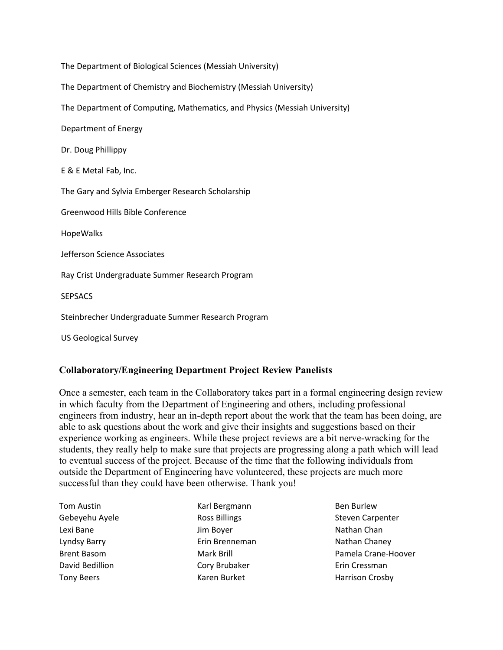The Department of Biological Sciences (Messiah University)

The Department of Chemistry and Biochemistry (Messiah University)

The Department of Computing, Mathematics, and Physics (Messiah University)

Department of Energy

Dr. Doug Phillippy

E & E Metal Fab, Inc.

The Gary and Sylvia Emberger Research Scholarship

Greenwood Hills Bible Conference

HopeWalks

Jefferson Science Associates

Ray Crist Undergraduate Summer Research Program

**SEPSACS** 

Steinbrecher Undergraduate Summer Research Program

US Geological Survey

#### **Collaboratory/Engineering Department Project Review Panelists**

Once a semester, each team in the Collaboratory takes part in a formal engineering design review in which faculty from the Department of Engineering and others, including professional engineers from industry, hear an in-depth report about the work that the team has been doing, are able to ask questions about the work and give their insights and suggestions based on their experience working as engineers. While these project reviews are a bit nerve-wracking for the students, they really help to make sure that projects are progressing along a path which will lead to eventual success of the project. Because of the time that the following individuals from outside the Department of Engineering have volunteered, these projects are much more successful than they could have been otherwise. Thank you!

| <b>Tom Austin</b>  |
|--------------------|
| Gebeyehu Ayele     |
| Lexi Bane          |
| Lyndsy Barry       |
| <b>Brent Basom</b> |
| David Bedillion    |
| <b>Tony Beers</b>  |

Karl Bergmann Ross Billings Jim Boyer Erin Brenneman Mark Brill Cory Brubaker Karen Burket

Ben Burlew Steven Carpenter Nathan Chan Nathan Chaney Pamela Crane-Hoover Erin Cressman Harrison Crosby